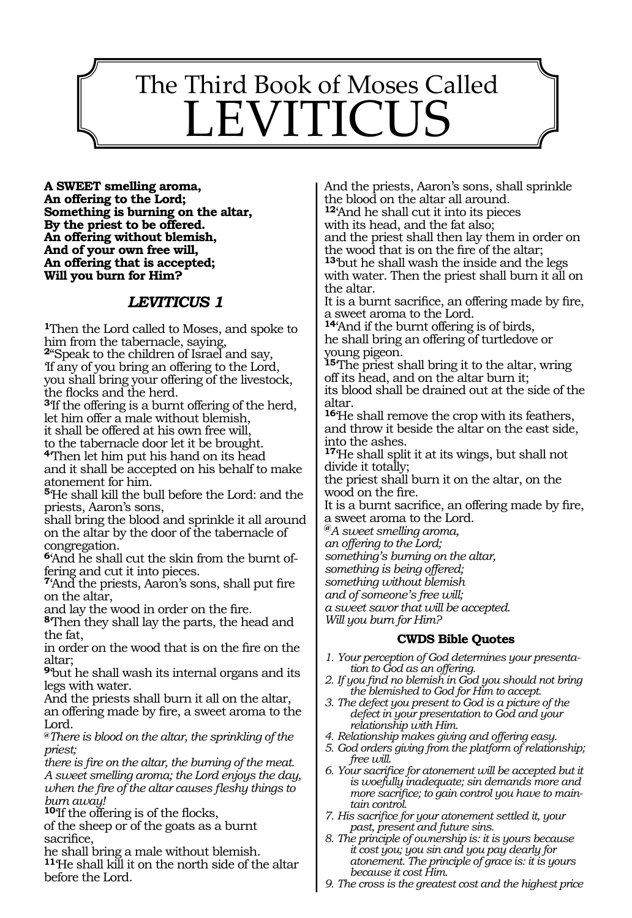# The Third Book of Moses Called LEVITICUS

130

**A sweet smelling aroma, An offering to the Lord; Something is burning on the altar, By the priest to be offered. An offering without blemish, And of your own free will, An offering that is accepted; Will you burn for Him?**

#### *LEVITICUS 1*

**<sup>1</sup>**Then the Lord called to Moses, and spoke to him from the tabernacle, saying,

**<sup>2</sup>**"Speak to the children of Israel and say, 'If any of you bring an offering to the Lord, you shall bring your offering of the livestock, the flocks and the herd.

**<sup>3</sup>**'If the offering is a burnt offering of the herd, let him offer a male without blemish,

it shall be offered at his own free will,

to the tabernacle door let it be brought. **<sup>4</sup>**'Then let him put his hand on its head

and it shall be accepted on his behalf to make atonement for him.

**<sup>5</sup>**'He shall kill the bull before the Lord: and the priests, Aaron's sons,

shall bring the blood and sprinkle it all around on the altar by the door of the tabernacle of congregation.

**6**'And he shall cut the skin from the burnt offering and cut it into pieces.

**<sup>7</sup>**'And the priests, Aaron's sons, shall put fire on the altar,

and lay the wood in order on the fire.

**<sup>8</sup>**'Then they shall lay the parts, the head and the fat,

in order on the wood that is on the fire on the altar;

**<sup>9</sup>**'but he shall wash its internal organs and its legs with water.

And the priests shall burn it all on the altar, an offering made by fire, a sweet aroma to the Lord.

**@***There is blood on the altar, the sprinkling of the priest;* 

*there is fire on the altar, the burning of the meat. A sweet smelling aroma; the Lord enjoys the day, when the fire of the altar causes fleshy things to burn away!* 

**<sup>10</sup>**'If the offering is of the flocks,

of the sheep or of the goats as a burnt sacrifice,

he shall bring a male without blemish. **<sup>11</sup>**'He shall kill it on the north side of the altar before the Lord.

And the priests, Aaron's sons, shall sprinkle the blood on the altar all around. **<sup>12</sup>**'And he shall cut it into its pieces with its head, and the fat also; and the priest shall then lay them in order on the wood that is on the fire of the altar; **<sup>13</sup>**'but he shall wash the inside and the legs with water. Then the priest shall burn it all on the altar.

It is a burnt sacrifice, an offering made by fire, a sweet aroma to the Lord.

**<sup>14</sup>**'And if the burnt offering is of birds, he shall bring an offering of turtledove or young pigeon.

**<sup>15</sup>**'The priest shall bring it to the altar, wring off its head, and on the altar burn it; its blood shall be drained out at the side of the

altar.

**<sup>16</sup>**'He shall remove the crop with its feathers, and throw it beside the altar on the east side, into the ashes.

**<sup>17</sup>**'He shall split it at its wings, but shall not divide it totally;

the priest shall burn it on the altar, on the wood on the fire.

It is a burnt sacrifice, an offering made by fire, a sweet aroma to the Lord.

**@***A sweet smelling aroma,* 

*an offering to the Lord;*

*something's burning on the altar,* 

*something is being offered;* 

*something without blemish* 

*and of someone's free will;* 

*a sweet savor that will be accepted. Will you burn for Him?* 

#### **CWDS Bible Quotes**

- *1. Your perception of God determines your presentation to God as an offering.*
- *2. If you find no blemish in God you should not bring the blemished to God for Him to accept.*
- *3. The defect you present to God is a picture of the defect in your presentation to God and your relationship with Him.*
- *4. Relationship makes giving and offering easy.*
- *5. God orders giving from the platform of relationship; free will.*
- *6. Your sacrifice for atonement will be accepted but it is woefully inadequate; sin demands more and more sacrifice; to gain control you have to maintain control.*
- *7. His sacrifice for your atonement settled it, your past, present and future sins.*
- *8. The principle of ownership is: it is yours because it cost you; you sin and you pay dearly for atonement. The principle of grace is: it is yours because it cost Him.*
- *9. The cross is the greatest cost and the highest price*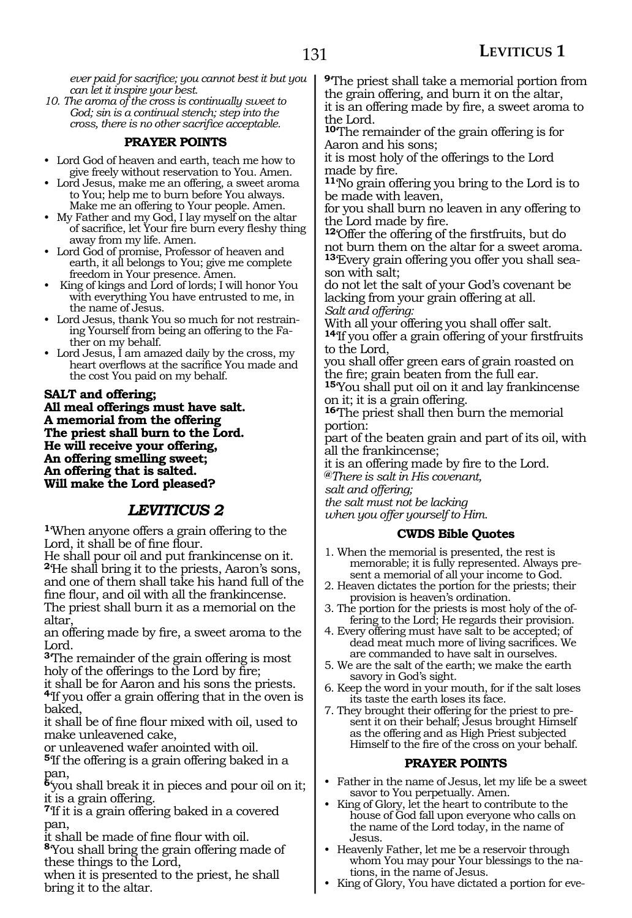*ever paid for sacrifice; you cannot best it but you can let it inspire your best.*

*10. The aroma of the cross is continually sweet to God; sin is a continual stench; step into the cross, there is no other sacrifice acceptable.*

#### **PRAYER POINTS**

- Lord God of heaven and earth, teach me how to give freely without reservation to You. Amen.
- Lord Jesus, make me an offering, a sweet aroma to You; help me to burn before You always. Make me an offering to Your people. Amen.
- My Father and my God, I lay myself on the altar of sacrifice, let Your fire burn every fleshy thing away from my life. Amen.
- Lord God of promise, Professor of heaven and earth, it all belongs to You; give me complete freedom in Your presence. Amen.
- King of kings and Lord of lords; I will honor You with everything You have entrusted to me, in the name of Jesus.
- Lord Jesus, thank You so much for not restraining Yourself from being an offering to the Father on my behalf.
- Lord Jesus, I am amazed daily by the cross, my heart overflows at the sacrifice You made and the cost You paid on my behalf.

#### **Salt and offering;**

**All meal offerings must have salt. A memorial from the offering The priest shall burn to the Lord. He will receive your offering, An offering smelling sweet; An offering that is salted. Will make the Lord pleased?**

#### *LEVITICUS 2*

**<sup>1</sup>**'When anyone offers a grain offering to the Lord, it shall be of fine flour.

He shall pour oil and put frankincense on it. **<sup>2</sup>**'He shall bring it to the priests, Aaron's sons, and one of them shall take his hand full of the fine flour, and oil with all the frankincense. The priest shall burn it as a memorial on the altar,

an offering made by fire, a sweet aroma to the Lord.

**<sup>3</sup>**'The remainder of the grain offering is most holy of the offerings to the Lord by fire;

it shall be for Aaron and his sons the priests. **<sup>4</sup>**'If you offer a grain offering that in the oven is baked,

it shall be of fine flour mixed with oil, used to make unleavened cake,

or unleavened wafer anointed with oil.

**<sup>5</sup>**'If the offering is a grain offering baked in a pan,

**<sup>6</sup>**'you shall break it in pieces and pour oil on it; it is a grain offering.

**<sup>7</sup>**'If it is a grain offering baked in a covered pan,

it shall be made of fine flour with oil.

**<sup>8</sup>**'You shall bring the grain offering made of these things to the Lord,

when it is presented to the priest, he shall bring it to the altar.

**<sup>9</sup>**'The priest shall take a memorial portion from the grain offering, and burn it on the altar, it is an offering made by fire, a sweet aroma to

the Lord.

**<sup>10</sup>**'The remainder of the grain offering is for Aaron and his sons;

it is most holy of the offerings to the Lord made by fire.

**<sup>11</sup>**'No grain offering you bring to the Lord is to be made with leaven,

for you shall burn no leaven in any offering to the Lord made by fire.

**<sup>12</sup>**'Offer the offering of the firstfruits, but do not burn them on the altar for a sweet aroma. **13**'Every grain offering you offer you shall season with salt;

do not let the salt of your God's covenant be lacking from your grain offering at all. *Salt and offering:*

With all your offering you shall offer salt. **<sup>14</sup>**'If you offer a grain offering of your firstfruits

to the Lord,

you shall offer green ears of grain roasted on the fire; grain beaten from the full ear.

**<sup>15</sup>**'You shall put oil on it and lay frankincense on it; it is a grain offering.

**<sup>16</sup>**'The priest shall then burn the memorial portion:

part of the beaten grain and part of its oil, with all the frankincense;

it is an offering made by fire to the Lord.

**@***There is salt in His covenant,*

*salt and offering;*

*the salt must not be lacking*

*when you offer yourself to Him.*

#### **CWDS Bible Quotes**

- 1. When the memorial is presented, the rest is memorable; it is fully represented. Always present a memorial of all your income to God.
- 2. Heaven dictates the portion for the priests; their provision is heaven's ordination.
- 3. The portion for the priests is most holy of the offering to the Lord; He regards their provision.
- 4. Every offering must have salt to be accepted; of dead meat much more of living sacrifices. We are commanded to have salt in ourselves.
- 5. We are the salt of the earth; we make the earth savory in God's sight.
- 6. Keep the word in your mouth, for if the salt loses its taste the earth loses its face.
- 7. They brought their offering for the priest to present it on their behalf; Jesus brought Himself as the offering and as High Priest subjected Himself to the fire of the cross on your behalf.

#### **PRAYER POINTS**

- Father in the name of Jesus, let my life be a sweet savor to You perpetually. Amen.
- King of Glory, let the heart to contribute to the house of God fall upon everyone who calls on the name of the Lord today, in the name of Jesus.
- Heavenly Father, let me be a reservoir through whom You may pour Your blessings to the nations, in the name of Jesus.
- King of Glory, You have dictated a portion for eve-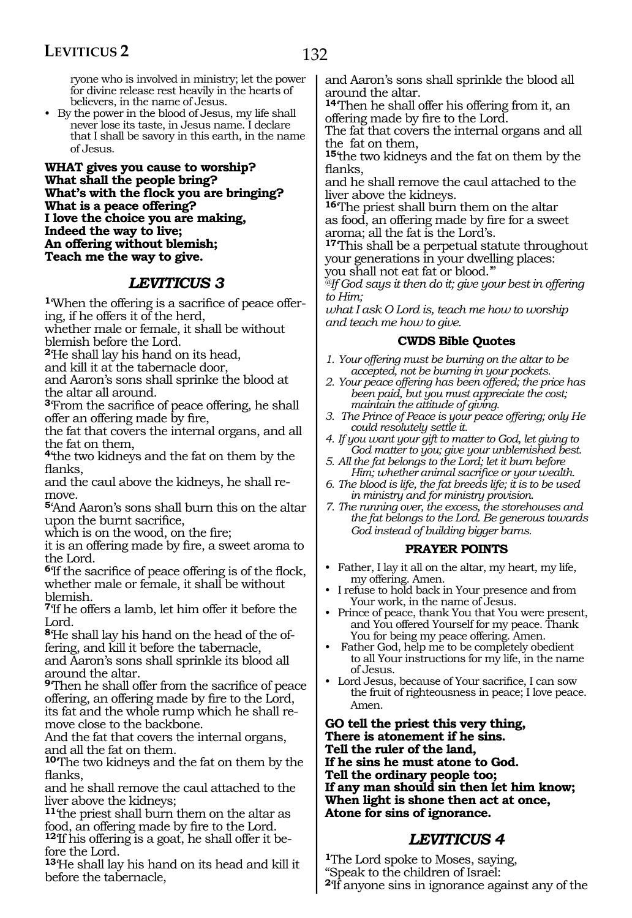ryone who is involved in ministry; let the power for divine release rest heavily in the hearts of believers, in the name of Jesus.

• By the power in the blood of Jesus, my life shall never lose its taste, in Jesus name. I declare that I shall be savory in this earth, in the name of Jesus.

**What gives you cause to worship? What shall the people bring? What's with the flock you are bringing? What is a peace offering? I love the choice you are making, Indeed the way to live; An offering without blemish; Teach me the way to give.**

#### *LEVITICUS 3*

**<sup>1</sup>**'When the offering is a sacrifice of peace offer- ing, if he offers it of the herd,

whether male or female, it shall be without blemish before the Lord.

**<sup>2</sup>**'He shall lay his hand on its head,

and kill it at the tabernacle door,

and Aaron's sons shall sprinke the blood at the altar all around.

**<sup>3</sup>**'From the sacrifice of peace offering, he shall offer an offering made by fire,

the fat that covers the internal organs, and all the fat on them,

**<sup>4</sup>**'the two kidneys and the fat on them by the flanks,

and the caul above the kidneys, he shall re- move.

**<sup>5</sup>**'And Aaron's sons shall burn this on the altar upon the burnt sacrifice,

which is on the wood, on the fire;

it is an offering made by fire, a sweet aroma to the Lord.

**<sup>6</sup>**'If the sacrifice of peace offering is of the flock, whether male or female, it shall be without blemish.

**<sup>7</sup>**'If he offers a lamb, let him offer it before the Lord.

<sup>8</sup>He shall lay his hand on the head of the offering, and kill it before the tabernacle, and Aaron's sons shall sprinkle its blood all around the altar.

**<sup>9</sup>**'Then he shall offer from the sacrifice of peace offering, an offering made by fire to the Lord, its fat and the whole rump which he shall re- move close to the backbone.

And the fat that covers the internal organs, and all the fat on them.

**<sup>10</sup>**'The two kidneys and the fat on them by the flanks,

and he shall remove the caul attached to the liver above the kidneys;

**<sup>11</sup>**'the priest shall burn them on the altar as food, an offering made by fire to the Lord. **12**'If his offering is a goat, he shall offer it be-

fore the Lord. **<sup>13</sup>**'He shall lay his hand on its head and kill it before the tabernacle,

and Aaron's sons shall sprinkle the blood all around the altar.

**<sup>14</sup>**'Then he shall offer his offering from it, an offering made by fire to the Lord.

The fat that covers the internal organs and all the fat on them,

**<sup>15</sup>**'the two kidneys and the fat on them by the flanks,

and he shall remove the caul attached to the liver above the kidneys.

**<sup>16</sup>**'The priest shall burn them on the altar as food, an offering made by fire for a sweet aroma; all the fat is the Lord's.

**<sup>17</sup>**'This shall be a perpetual statute throughout your generations in your dwelling places: you shall not eat fat or blood.'"

*@If God says it then do it; give your best in offering to Him;*

*what I ask O Lord is, teach me how to worship and teach me how to give.*

#### **CWDS Bible Quotes**

- *1. Your offering must be burning on the altar to be accepted, not be burning in your pockets.*
- *2. Your peace offering has been offered; the price has been paid, but you must appreciate the cost; maintain the attitude of giving.*
- *3. The Prince of Peace is your peace offering; only He could resolutely settle it.*
- *4. If you want your gift to matter to God, let giving to God matter to you; give your unblemished best.*
- *5. All the fat belongs to the Lord; let it burn before Him; whether animal sacrifice or your wealth.*
- *6. The blood is life, the fat breeds life; it is to be used in ministry and for ministry provision.*
- *7. The running over, the excess, the storehouses and the fat belongs to the Lord. Be generous towards God instead of building bigger barns.*

#### **PRAYER POINTS**

- Father, I lay it all on the altar, my heart, my life, my offering. Amen.
- I refuse to hold back in Your presence and from Your work, in the name of Jesus.
- Prince of peace, thank You that You were present, and You offered Yourself for my peace. Thank You for being my peace offering. Amen.
- Father God, help me to be completely obedient to all Your instructions for my life, in the name of Jesus.
- Lord Jesus, because of Your sacrifice, I can sow the fruit of righteousness in peace; I love peace. Amen.

**Go tell the priest this very thing, There is atonement if he sins. Tell the ruler of the land, If he sins he must atone to God. Tell the ordinary people too; If any man should sin then let him know; When light is shone then act at once, Atone for sins of ignorance.**

### *LEVITICUS 4*

**<sup>1</sup>**The Lord spoke to Moses, saying, "Speak to the children of Israel: **<sup>2</sup>**'If anyone sins in ignorance against any of the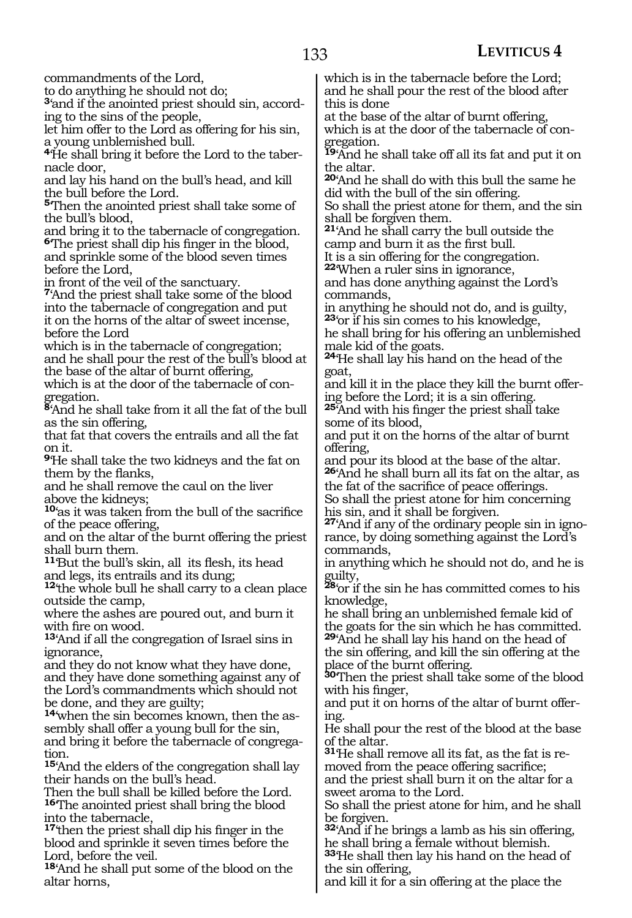commandments of the Lord,

to do anything he should not do;

**3**'and if the anointed priest should sin, according to the sins of the people,

let him offer to the Lord as offering for his sin, a young unblemished bull.

**4**'He shall bring it before the Lord to the tabernacle door,

and lay his hand on the bull's head, and kill the bull before the Lord.

**<sup>5</sup>**'Then the anointed priest shall take some of the bull's blood,

and bring it to the tabernacle of congregation. **<sup>6</sup>**'The priest shall dip his finger in the blood, and sprinkle some of the blood seven times before the Lord,

in front of the veil of the sanctuary.

**<sup>7</sup>**'And the priest shall take some of the blood into the tabernacle of congregation and put it on the horns of the altar of sweet incense, before the Lord

which is in the tabernacle of congregation; and he shall pour the rest of the bull's blood at the base of the altar of burnt offering,

which is at the door of the tabernacle of congregation.

**<sup>8</sup>**'And he shall take from it all the fat of the bull as the sin offering,

that fat that covers the entrails and all the fat on it.

**<sup>9</sup>**'He shall take the two kidneys and the fat on them by the flanks,

and he shall remove the caul on the liver above the kidneys;

**<sup>10</sup>**'as it was taken from the bull of the sacrifice of the peace offering,

and on the altar of the burnt offering the priest shall burn them.

**<sup>11</sup>**'But the bull's skin, all its flesh, its head and legs, its entrails and its dung;

**<sup>12</sup>**'the whole bull he shall carry to a clean place outside the camp,

where the ashes are poured out, and burn it with fire on wood.

**<sup>13</sup>**'And if all the congregation of Israel sins in ignorance,

and they do not know what they have done, and they have done something against any of the Lord's commandments which should not be done, and they are guilty;

**14**'when the sin becomes known, then the assembly shall offer a young bull for the sin, and bring it before the tabernacle of congregation.

**<sup>15</sup>**'And the elders of the congregation shall lay their hands on the bull's head.

Then the bull shall be killed before the Lord. **<sup>16</sup>**'The anointed priest shall bring the blood into the tabernacle,

**<sup>17</sup>**'then the priest shall dip his finger in the blood and sprinkle it seven times before the Lord, before the veil.

**<sup>18</sup>**'And he shall put some of the blood on the altar horns,

which is in the tabernacle before the Lord; and he shall pour the rest of the blood after this is done

at the base of the altar of burnt offering, which is at the door of the tabernacle of congregation.

**<sup>19</sup>**'And he shall take off all its fat and put it on the altar.

**<sup>20</sup>**'And he shall do with this bull the same he did with the bull of the sin offering.

So shall the priest atone for them, and the sin shall be forgiven them.

**<sup>21</sup>**'And he shall carry the bull outside the camp and burn it as the first bull.

It is a sin offering for the congregation.

**<sup>22</sup>**'When a ruler sins in ignorance,

and has done anything against the Lord's commands,

in anything he should not do, and is guilty, **<sup>23</sup>**'or if his sin comes to his knowledge,

he shall bring for his offering an unblemished male kid of the goats.

**<sup>24</sup>**'He shall lay his hand on the head of the goat,

and kill it in the place they kill the burnt offering before the Lord; it is a sin offering.

**<sup>25</sup>**'And with his finger the priest shall take some of its blood,

and put it on the horns of the altar of burnt offering,

and pour its blood at the base of the altar. **<sup>26</sup>**'And he shall burn all its fat on the altar, as the fat of the sacrifice of peace offerings.

So shall the priest atone for him concerning his sin, and it shall be forgiven.

**27**'And if any of the ordinary people sin in ignorance, by doing something against the Lord's commands,

in anything which he should not do, and he is guilty,

**<sup>28</sup>**'or if the sin he has committed comes to his knowledge,

he shall bring an unblemished female kid of the goats for the sin which he has committed. **<sup>29</sup>**'And he shall lay his hand on the head of

the sin offering, and kill the sin offering at the place of the burnt offering.

**<sup>30</sup>**'Then the priest shall take some of the blood with his finger,

and put it on horns of the altar of burnt offering.

He shall pour the rest of the blood at the base of the altar.

**31**'He shall remove all its fat, as the fat is removed from the peace offering sacrifice;

and the priest shall burn it on the altar for a sweet aroma to the Lord.

So shall the priest atone for him, and he shall be forgiven.

**<sup>32</sup>**'And if he brings a lamb as his sin offering, he shall bring a female without blemish.

**<sup>33</sup>**'He shall then lay his hand on the head of the sin offering,

and kill it for a sin offering at the place the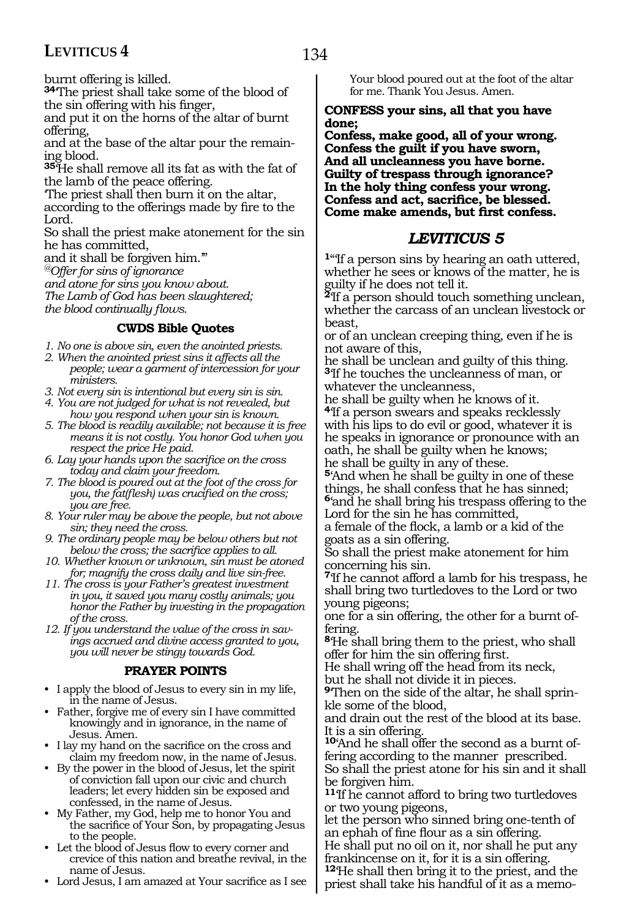burnt offering is killed.

**<sup>34</sup>**'The priest shall take some of the blood of the sin offering with his finger,

and put it on the horns of the altar of burnt offering,

and at the base of the altar pour the remaining blood.

**<sup>35</sup>**'He shall remove all its fat as with the fat of the lamb of the peace offering.

'The priest shall then burn it on the altar, according to the offerings made by fire to the Lord.

So shall the priest make atonement for the sin he has committed,

and it shall be forgiven him.'"

*@Offer for sins of ignorance*

*and atone for sins you know about.*

*The Lamb of God has been slaughtered; the blood continually flows.*

#### **CWDS Bible Quotes**

- *1. No one is above sin, even the anointed priests.*
- *2. When the anointed priest sins it affects all the people; wear a garment of intercession for your ministers.*
- *3. Not every sin is intentional but every sin is sin.*
- *4. You are not judged for what is not revealed, but how you respond when your sin is known.*
- *5. The blood is readily available; not because it is free means it is not costly. You honor God when you respect the price He paid.*
- *6. Lay your hands upon the sacrifice on the cross today and claim your freedom.*
- *7. The blood is poured out at the foot of the cross for you, the fat(flesh) was crucified on the cross; you are free.*
- *8. Your ruler may be above the people, but not above sin; they need the cross.*
- *9. The ordinary people may be below others but not below the cross; the sacrifice applies to all.*
- *10. Whether known or unknown, sin must be atoned for; magnify the cross daily and live sin-free.*
- *11. The cross is your Father's greatest investment in you, it saved you many costly animals; you honor the Father by investing in the propagation of the cross.*
- *12. If you understand the value of the cross in savings accrued and divine access granted to you, you will never be stingy towards God.*

#### **PRAYER POINTS**

- I apply the blood of Jesus to every sin in my life, in the name of Jesus.
- Father, forgive me of every sin I have committed knowingly and in ignorance, in the name of Jesus. Amen.
- I lay my hand on the sacrifice on the cross and claim my freedom now, in the name of Jesus.
- By the power in the blood of Jesus, let the spirit of conviction fall upon our civic and church leaders; let every hidden sin be exposed and confessed, in the name of Jesus.
- My Father, my God, help me to honor You and the sacrifice of Your Son, by propagating Jesus to the people.
- Let the blood of Jesus flow to every corner and crevice of this nation and breathe revival, in the name of Jesus.
- Lord Jesus, I am amazed at Your sacrifice as I see

Your blood poured out at the foot of the altar for me. Thank You Jesus. Amen.

#### **Confess your sins, all that you have done;**

**Confess, make good, all of your wrong. Confess the guilt if you have sworn, And all uncleanness you have borne. Guilty of trespass through ignorance? In the holy thing confess your wrong. Confess and act, sacrifice, be blessed. Come make amends, but first confess.**

### *LEVITICUS 5*

**<sup>1</sup>**"'If a person sins by hearing an oath uttered, whether he sees or knows of the matter, he is guilty if he does not tell it.

**<sup>2</sup>**'If a person should touch something unclean, whether the carcass of an unclean livestock or beast,

or of an unclean creeping thing, even if he is not aware of this,

he shall be unclean and guilty of this thing. **<sup>3</sup>**'If he touches the uncleanness of man, or whatever the uncleanness,

he shall be guilty when he knows of it. **<sup>4</sup>**'If a person swears and speaks recklessly with his lips to do evil or good, whatever it is he speaks in ignorance or pronounce with an oath, he shall be guilty when he knows; he shall be guilty in any of these.

**<sup>5</sup>**'And when he shall be guilty in one of these things, he shall confess that he has sinned; **<sup>6</sup>**'and he shall bring his trespass offering to the Lord for the sin he has committed,

a female of the flock, a lamb or a kid of the goats as a sin offering.

So shall the priest make atonement for him concerning his sin.

**<sup>7</sup>**'If he cannot afford a lamb for his trespass, he shall bring two turtledoves to the Lord or two young pigeons;

one for a sin offering, the other for a burnt offering.

**<sup>8</sup>**'He shall bring them to the priest, who shall offer for him the sin offering first.

He shall wring off the head from its neck, but he shall not divide it in pieces.

**9**'Then on the side of the altar, he shall sprinkle some of the blood,

and drain out the rest of the blood at its base. It is a sin offering.

**10**'And he shall offer the second as a burnt offering according to the manner prescribed. So shall the priest atone for his sin and it shall be forgiven him.

**<sup>11</sup>**'If he cannot afford to bring two turtledoves or two young pigeons,

let the person who sinned bring one-tenth of an ephah of fine flour as a sin offering.

He shall put no oil on it, nor shall he put any frankincense on it, for it is a sin offering.

**<sup>12</sup>**'He shall then bring it to the priest, and the priest shall take his handful of it as a memo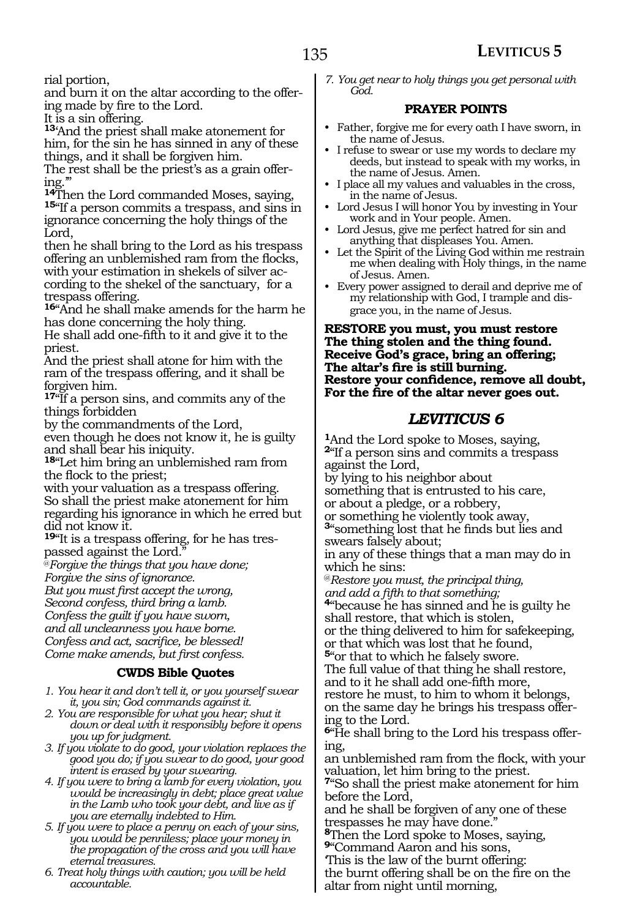rial portion,

and burn it on the altar according to the offer- ing made by fire to the Lord.

It is a sin offering.

**<sup>13</sup>**'And the priest shall make atonement for him, for the sin he has sinned in any of these things, and it shall be forgiven him.

The rest shall be the priest's as a grain offering.'"

**<sup>14</sup>**Then the Lord commanded Moses, saying, **<sup>15</sup>**"If a person commits a trespass, and sins in ignorance concerning the holy things of the Lord,

then he shall bring to the Lord as his trespass offering an unblemished ram from the flocks, with your estimation in shekels of silver according to the shekel of the sanctuary, for a trespass offering.

**<sup>16</sup>**"And he shall make amends for the harm he has done concerning the holy thing.

He shall add one-fifth to it and give it to the priest.

And the priest shall atone for him with the ram of the trespass offering, and it shall be forgiven him.

**<sup>17</sup>**"If a person sins, and commits any of the things forbidden

by the commandments of the Lord,

even though he does not know it, he is guilty and shall bear his iniquity.

**<sup>18</sup>**"Let him bring an unblemished ram from the flock to the priest;

with your valuation as a trespass offering. So shall the priest make atonement for him regarding his ignorance in which he erred but did not know it.

**19**"It is a trespass offering, for he has trespassed against the Lord.

@*Forgive the things that you have done;*

*Forgive the sins of ignorance.*

*But you must first accept the wrong,*

*Second confess, third bring a lamb.*

*Confess the guilt if you have sworn,*

*and all uncleanness you have borne.*

*Confess and act, sacrifice, be blessed! Come make amends, but first confess.*

#### **CWDS Bible Quotes**

- *1. You hear it and don't tell it, or you yourself swear it, you sin; God commands against it.*
- *2. You are responsible for what you hear; shut it down or deal with it responsibly before it opens you up for judgment.*

*3. If you violate to do good, your violation replaces the good you do; if you swear to do good, your good intent is erased by your swearing.*

*4. If you were to bring a lamb for every violation, you would be increasingly in debt; place great value in the Lamb who took your debt, and live as if you are eternally indebted to Him.*

*5. If you were to place a penny on each of your sins, you would be penniless; place your money in the propagation of the cross and you will have eternal treasures.*

*6. Treat holy things with caution; you will be held accountable.*

*7. You get near to holy things you get personal with God.*

#### **PRAYER POINTS**

- Father, forgive me for every oath I have sworn, in the name of Jesus.
- I refuse to swear or use my words to declare my deeds, but instead to speak with my works, in the name of Jesus. Amen.
- I place all my values and valuables in the cross, in the name of Jesus.
- Lord Jesus I will honor You by investing in Your work and in Your people. Amen.
- Lord Jesus, give me perfect hatred for sin and anything that displeases You. Amen.
- Let the Spirit of the Living God within me restrain me when dealing with Holy things, in the name of Jesus. Amen.
- Every power assigned to derail and deprive me of my relationship with God, I trample and disgrace you, in the name of Jesus.

#### **Restore you must, you must restore The thing stolen and the thing found. Receive God's grace, bring an offering; The altar's fire is still burning. Restore your confidence, remove all doubt, For the fire of the altar never goes out.**

### *LEVITICUS 6*

**<sup>1</sup>**And the Lord spoke to Moses, saying, **<sup>2</sup>**"If a person sins and commits a trespass against the Lord,

by lying to his neighbor about

something that is entrusted to his care,

or about a pledge, or a robbery,

or something he violently took away, **<sup>3</sup>**"something lost that he finds but lies and swears falsely about;

in any of these things that a man may do in which he sins:

@*Restore you must, the principal thing,*

*and add a fifth to that something;* **<sup>4</sup>**"because he has sinned and he is guilty he shall restore, that which is stolen,

or the thing delivered to him for safekeeping, or that which was lost that he found,

**<sup>5</sup>**"or that to which he falsely swore.

The full value of that thing he shall restore,

and to it he shall add one-fifth more,

restore he must, to him to whom it belongs, on the same day he brings his trespass offering to the Lord.

**6**"He shall bring to the Lord his trespass offering,

an unblemished ram from the flock, with your valuation, let him bring to the priest.

**<sup>7</sup>**"So shall the priest make atonement for him before the Lord,

and he shall be forgiven of any one of these trespasses he may have done."

**<sup>8</sup>**Then the Lord spoke to Moses, saying,

**<sup>9</sup>**"Command Aaron and his sons,

'This is the law of the burnt offering: the burnt offering shall be on the fire on the altar from night until morning,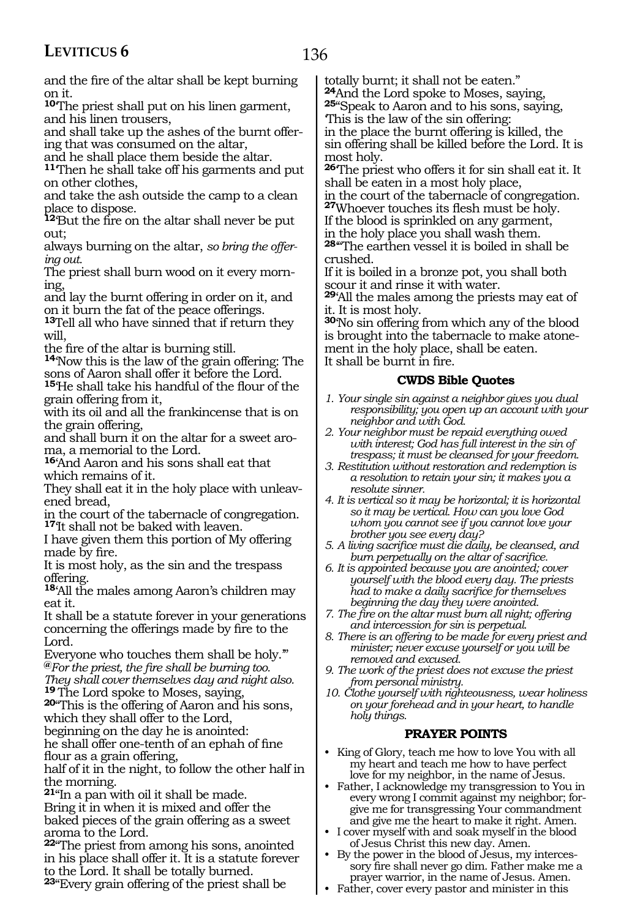and the fire of the altar shall be kept burning on it.

**<sup>10</sup>**'The priest shall put on his linen garment, and his linen trousers,

and shall take up the ashes of the burnt offering that was consumed on the altar,

and he shall place them beside the altar.

**<sup>11</sup>**'Then he shall take off his garments and put on other clothes,

and take the ash outside the camp to a clean place to dispose.

**<sup>12</sup>**'But the fire on the altar shall never be put out;

always burning on the altar, *so bring the offering out.*

The priest shall burn wood on it every morning,

and lay the burnt offering in order on it, and on it burn the fat of the peace offerings.

**<sup>13</sup>**Tell all who have sinned that if return they will,

the fire of the altar is burning still.

**<sup>14</sup>**'Now this is the law of the grain offering: The sons of Aaron shall offer it before the Lord.

**<sup>15</sup>**'He shall take his handful of the flour of the grain offering from it,

with its oil and all the frankincense that is on the grain offering,

and shall burn it on the altar for a sweet aroma, a memorial to the Lord.

**<sup>16</sup>**'And Aaron and his sons shall eat that which remains of it.

They shall eat it in the holy place with unleavened bread,

in the court of the tabernacle of congregation. **<sup>17</sup>**'It shall not be baked with leaven.

I have given them this portion of My offering made by fire.

It is most holy, as the sin and the trespass offering.

**<sup>18</sup>**'All the males among Aaron's children may eat it.

It shall be a statute forever in your generations concerning the offerings made by fire to the Lord.

Everyone who touches them shall be holy.'" **@***For the priest, the fire shall be burning too.*

*They shall cover themselves day and night also.*

**20**"This is the offering of Aaron and his sons, which they shall offer to the Lord,

beginning on the day he is anointed: he shall offer one-tenth of an ephah of fine flour as a grain offering,

half of it in the night, to follow the other half in the morning.

**<sup>21</sup>**"In a pan with oil it shall be made. Bring it in when it is mixed and offer the baked pieces of the grain offering as a sweet aroma to the Lord.

**<sup>22</sup>**"The priest from among his sons, anointed in his place shall offer it. It is a statute forever to the Lord. It shall be totally burned.

**<sup>23</sup>**"Every grain offering of the priest shall be

totally burnt; it shall not be eaten."<br><sup>24</sup>And the Lord spoke to Moses, saying,

**25**"Speak to Aaron and to his sons, saying, 'This is the law of the sin offering:

in the place the burnt offering is killed, the sin offering shall be killed before the Lord. It is most holy.

**<sup>26</sup>**'The priest who offers it for sin shall eat it. It shall be eaten in a most holy place,

in the court of the tabernacle of congregation. **<sup>27</sup>**Whoever touches its flesh must be holy.

If the blood is sprinkled on any garment,

in the holy place you shall wash them.

**<sup>28</sup>**'"The earthen vessel it is boiled in shall be crushed.

If it is boiled in a bronze pot, you shall both scour it and rinse it with water.

**<sup>29</sup>**'All the males among the priests may eat of it. It is most holy.

**<sup>30</sup>**'No sin offering from which any of the blood is brought into the tabernacle to make atonement in the holy place, shall be eaten. It shall be burnt in fire.

#### **CWDS Bible Quotes**

- *1. Your single sin against a neighbor gives you dual responsibility; you open up an account with your neighbor and with God.*
- *2. Your neighbor must be repaid everything owed with interest; God has full interest in the sin of trespass; it must be cleansed for your freedom.*
- *3. Restitution without restoration and redemption is a resolution to retain your sin; it makes you a resolute sinner.*
- *4. It is vertical so it may be horizontal; it is horizontal so it may be vertical. How can you love God whom you cannot see if you cannot love your brother you see every day?*
- *5. A living sacrifice must die daily, be cleansed, and burn perpetually on the altar of sacrifice.*

*6. It is appointed because you are anointed; cover yourself with the blood every day. The priests had to make a daily sacrifice for themselves beginning the day they were anointed.*

*7. The fire on the altar must burn all night; offering and intercession for sin is perpetual.*

*8. There is an offering to be made for every priest and minister; never excuse yourself or you will be removed and excused.*

- *9. The work of the priest does not excuse the priest from personal ministry.*
- *10. Clothe yourself with righteousness, wear holiness on your forehead and in your heart, to handle holy things.*

#### **PRAYER POINTS**

- King of Glory, teach me how to love You with all my heart and teach me how to have perfect love for my neighbor, in the name of Jesus.
- Father, I acknowledge my transgression to You in every wrong I commit against my neighbor; forgive me for transgressing Your commandment and give me the heart to make it right. Amen.
- I cover myself with and soak myself in the blood of Jesus Christ this new day. Amen.
- By the power in the blood of Jesus, my intercessory fire shall never go dim. Father make me a prayer warrior, in the name of Jesus. Amen.
- Father, cover every pastor and minister in this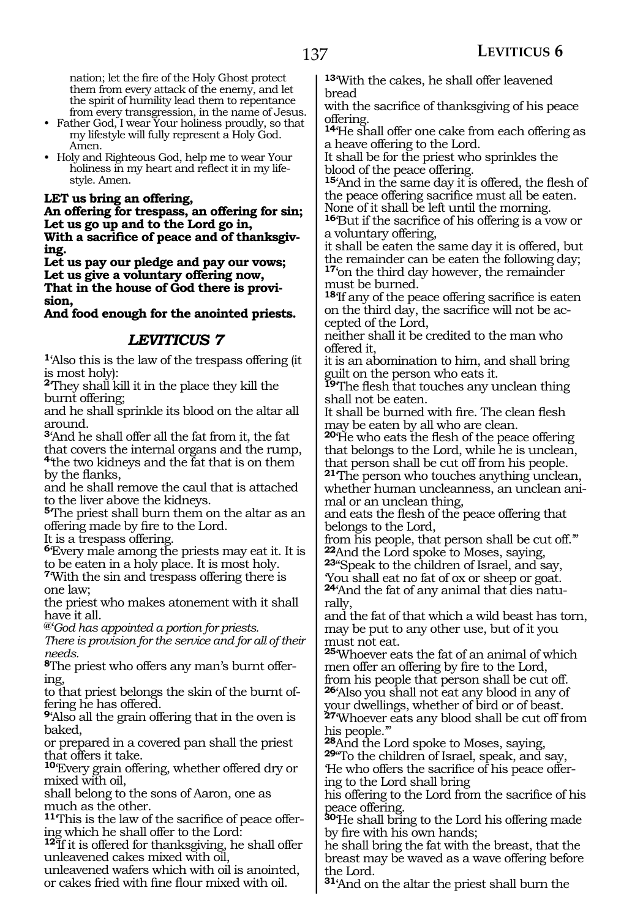nation; let the fire of the Holy Ghost protect them from every attack of the enemy, and let the spirit of humility lead them to repentance from every transgression, in the name of Jesus.

- Father God, I wear Your holiness proudly, so that my lifestyle will fully represent a Holy God. Amen.
- Holy and Righteous God, help me to wear Your holiness in my heart and reflect it in my lifestyle. Amen.

#### **Let us bring an offering,**

**An offering for trespass, an offering for sin; Let us go up and to the Lord go in, With a sacrifice of peace and of thanksgiving.**

**Let us pay our pledge and pay our vows; Let us give a voluntary offering now, That in the house of God there is provision,** 

**And food enough for the anointed priests.**

#### *LEVITICUS 7*

**<sup>1</sup>**'Also this is the law of the trespass offering (it is most holy):

<sup>2</sup>They shall kill it in the place they kill the burnt offering;

and he shall sprinkle its blood on the altar all around.

**<sup>3</sup>**'And he shall offer all the fat from it, the fat

that covers the internal organs and the rump, **<sup>4</sup>**'the two kidneys and the fat that is on them by the flanks,

and he shall remove the caul that is attached to the liver above the kidneys.

**<sup>5</sup>**'The priest shall burn them on the altar as an offering made by fire to the Lord.

It is a trespass offering.

**<sup>6</sup>**'Every male among the priests may eat it. It is to be eaten in a holy place. It is most holy.

**<sup>7</sup>**'With the sin and trespass offering there is one law;

the priest who makes atonement with it shall have it all.

**@**'*God has appointed a portion for priests.*

*There is provision for the service and for all of their needs.*

**8**The priest who offers any man's burnt offering,

to that priest belongs the skin of the burnt offering he has offered.

**<sup>9</sup>**'Also all the grain offering that in the oven is baked,

or prepared in a covered pan shall the priest that offers it take.

**<sup>10</sup>**'Every grain offering, whether offered dry or mixed with oil,

shall belong to the sons of Aaron, one as much as the other.

**11**'This is the law of the sacrifice of peace offering which he shall offer to the Lord:

**<sup>12</sup>**'If it is offered for thanksgiving, he shall offer unleavened cakes mixed with oil,

unleavened wafers which with oil is anointed, or cakes fried with fine flour mixed with oil.

**<sup>13</sup>**'With the cakes, he shall offer leavened bread

with the sacrifice of thanksgiving of his peace offering.

**<sup>14</sup>**'He shall offer one cake from each offering as a heave offering to the Lord.

It shall be for the priest who sprinkles the blood of the peace offering.

**<sup>15</sup>**'And in the same day it is offered, the flesh of the peace offering sacrifice must all be eaten. None of it shall be left until the morning.

**<sup>16</sup>**'But if the sacrifice of his offering is a vow or a voluntary offering,

it shall be eaten the same day it is offered, but the remainder can be eaten the following day; **<sup>17</sup>**'on the third day however, the remainder must be burned.

**<sup>18</sup>**'If any of the peace offering sacrifice is eaten on the third day, the sacrifice will not be accepted of the Lord,

neither shall it be credited to the man who offered it,

it is an abomination to him, and shall bring guilt on the person who eats it.

**<sup>19</sup>**'The flesh that touches any unclean thing shall not be eaten.

It shall be burned with fire. The clean flesh may be eaten by all who are clean.

**<sup>20</sup>**'He who eats the flesh of the peace offering that belongs to the Lord, while he is unclean, that person shall be cut off from his people.

**<sup>21</sup>**'The person who touches anything unclean, whether human uncleanness, an unclean animal or an unclean thing,

and eats the flesh of the peace offering that belongs to the Lord,

from his people, that person shall be cut off."<br><sup>22</sup>And the Lord spoke to Moses, saying,

**23**"Speak to the children of Israel, and say,

'You shall eat no fat of ox or sheep or goat. **24**'And the fat of any animal that dies naturally,

and the fat of that which a wild beast has torn, may be put to any other use, but of it you must not eat.

**<sup>25</sup>**'Whoever eats the fat of an animal of which men offer an offering by fire to the Lord, from his people that person shall be cut off. **<sup>26</sup>**'Also you shall not eat any blood in any of

your dwellings, whether of bird or of beast. **<sup>27</sup>**'Whoever eats any blood shall be cut off from

his people."<br><sup>28</sup>And the Lord spoke to Moses, saying, **29**"To the children of Israel, speak, and say, 'He who offers the sacrifice of his peace offer- ing to the Lord shall bring

his offering to the Lord from the sacrifice of his peace offering.

**<sup>30</sup>**'He shall bring to the Lord his offering made by fire with his own hands;

he shall bring the fat with the breast, that the breast may be waved as a wave offering before the Lord.

**<sup>31</sup>**'And on the altar the priest shall burn the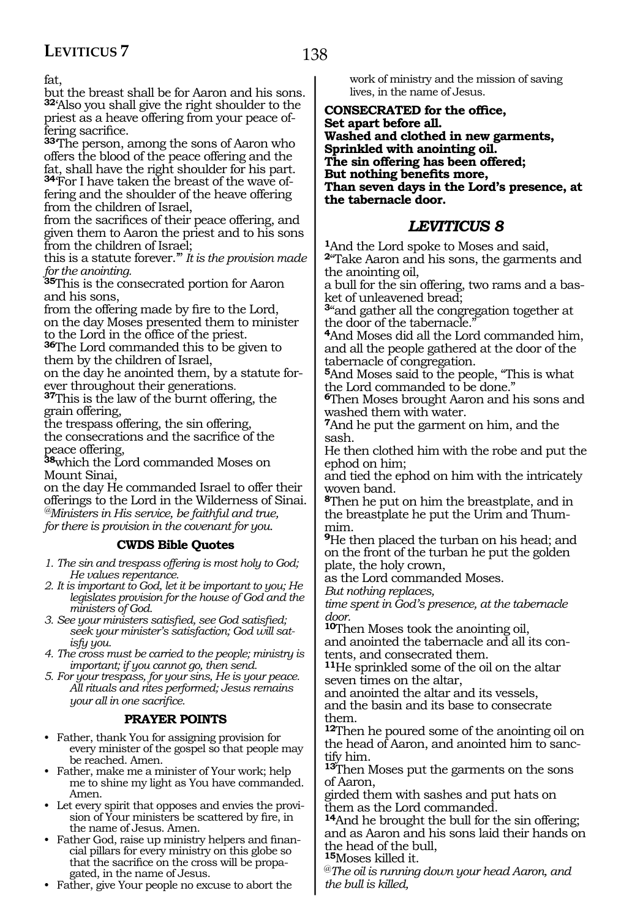fat,

but the breast shall be for Aaron and his sons. **<sup>32</sup>**'Also you shall give the right shoulder to the priest as a heave offering from your peace offering sacrifice.

**<sup>33</sup>**'The person, among the sons of Aaron who offers the blood of the peace offering and the fat, shall have the right shoulder for his part. **34**'For I have taken the breast of the wave offering and the shoulder of the heave offering from the children of Israel,

from the sacrifices of their peace offering, and given them to Aaron the priest and to his sons from the children of Israel;

this is a statute forever.'" *It is the provision made for the anointing.*

**<sup>35</sup>**This is the consecrated portion for Aaron and his sons,

from the offering made by fire to the Lord, on the day Moses presented them to minister to the Lord in the office of the priest.

**<sup>36</sup>**The Lord commanded this to be given to them by the children of Israel,

on the day he anointed them, by a statute for-<br>ever throughout their generations.

**37**This is the law of the burnt offering, the grain offering,

the trespass offering, the sin offering, the consecrations and the sacrifice of the peace offering,

**<sup>38</sup>**which the Lord commanded Moses on Mount Sinai,

on the day He commanded Israel to offer their offerings to the Lord in the Wilderness of Sinai. *@Ministers in His service, be faithful and true, for there is provision in the covenant for you.*

#### **CWDS Bible Quotes**

*1. The sin and trespass offering is most holy to God; He values repentance.*

*2. It is important to God, let it be important to you; He legislates provision for the house of God and the ministers of God.*

*3. See your ministers satisfied, see God satisfied; seek your minister's satisfaction; God will satisfy you.*

*4. The cross must be carried to the people; ministry is important; if you cannot go, then send.* 

*5. For your trespass, for your sins, He is your peace. All rituals and rites performed; Jesus remains your all in one sacrifice.* 

#### **PRAYER POINTS**

• Father, thank You for assigning provision for every minister of the gospel so that people may be reached. Amen.

• Father, make me a minister of Your work; help me to shine my light as You have commanded. Amen.

• Let every spirit that opposes and envies the provision of Your ministers be scattered by fire, in the name of Jesus. Amen.

• Father God, raise up ministry helpers and financial pillars for every ministry on this globe so that the sacrifice on the cross will be propagated, in the name of Jesus.

• Father, give Your people no excuse to abort the

work of ministry and the mission of saving lives, in the name of Jesus.

**Consecrated for the office, Set apart before all. Washed and clothed in new garments, Sprinkled with anointing oil. The sin offering has been offered; But nothing benefits more, Than seven days in the Lord's presence, at the tabernacle door.**

### *LEVITICUS 8*

**<sup>1</sup>**And the Lord spoke to Moses and said, **<sup>2</sup>**"Take Aaron and his sons, the garments and the anointing oil,

a bull for the sin offering, two rams and a basket of unleavened bread;

**<sup>3</sup>**"and gather all the congregation together at the door of the tabernacle.'

**<sup>4</sup>**And Moses did all the Lord commanded him, and all the people gathered at the door of the tabernacle of congregation.

**<sup>5</sup>**And Moses said to the people, "This is what the Lord commanded to be done."

**<sup>6</sup>**Then Moses brought Aaron and his sons and washed them with water.

**<sup>7</sup>**And he put the garment on him, and the sash.

He then clothed him with the robe and put the ephod on him;

and tied the ephod on him with the intricately woven band.

**<sup>8</sup>**Then he put on him the breastplate, and in the breastplate he put the Urim and Thummim.

**<sup>9</sup>**He then placed the turban on his head; and on the front of the turban he put the golden plate, the holy crown,

as the Lord commanded Moses.

*But nothing replaces,*

*time spent in God's presence, at the tabernacle door.* 

**<sup>10</sup>**Then Moses took the anointing oil, and anointed the tabernacle and all its contents, and consecrated them.

**<sup>11</sup>**He sprinkled some of the oil on the altar seven times on the altar,

and anointed the altar and its vessels, and the basin and its base to consecrate them.

**<sup>12</sup>**Then he poured some of the anointing oil on the head of Aaron, and anointed him to sanctify him.

**<sup>13</sup>**Then Moses put the garments on the sons of Aaron,

girded them with sashes and put hats on them as the Lord commanded.

**<sup>14</sup>**And he brought the bull for the sin offering; and as Aaron and his sons laid their hands on the head of the bull,

**<sup>15</sup>**Moses killed it.

@*The oil is running down your head Aaron, and the bull is killed,*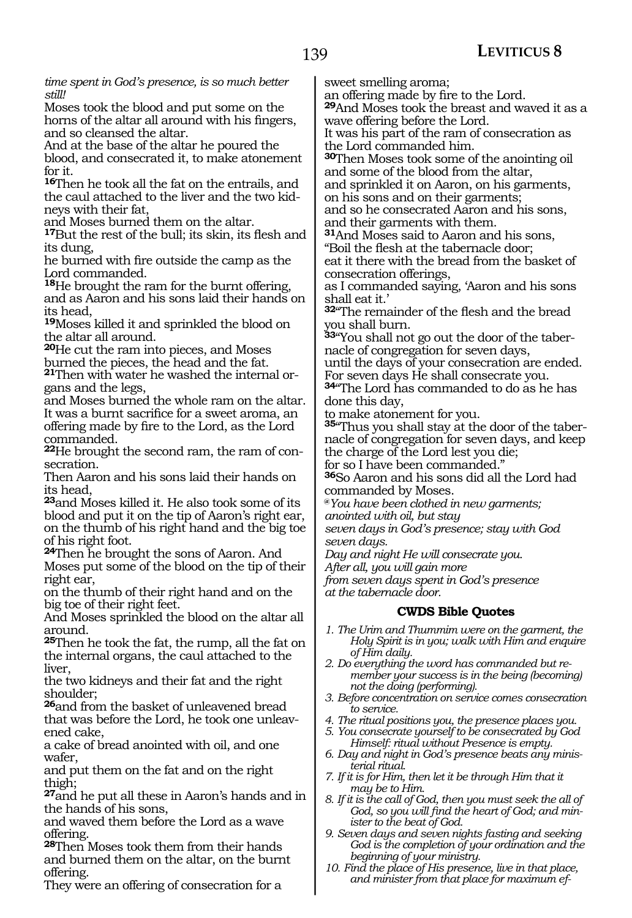*time spent in God's presence, is so much better still!*

Moses took the blood and put some on the horns of the altar all around with his fingers, and so cleansed the altar.

And at the base of the altar he poured the blood, and consecrated it, to make atonement for it.

**<sup>16</sup>**Then he took all the fat on the entrails, and the caul attached to the liver and the two kidneys with their fat,

and Moses burned them on the altar.

**<sup>17</sup>**But the rest of the bull; its skin, its flesh and its dung,

he burned with fire outside the camp as the Lord commanded.

**<sup>18</sup>**He brought the ram for the burnt offering, and as Aaron and his sons laid their hands on its head,

**<sup>19</sup>**Moses killed it and sprinkled the blood on the altar all around.

**<sup>20</sup>**He cut the ram into pieces, and Moses burned the pieces, the head and the fat.

**<sup>21</sup>**Then with water he washed the internal or- gans and the legs,

and Moses burned the whole ram on the altar. It was a burnt sacrifice for a sweet aroma, an offering made by fire to the Lord, as the Lord commanded.

**<sup>22</sup>**He brought the second ram, the ram of con- secration.

Then Aaron and his sons laid their hands on its head,

**<sup>23</sup>**and Moses killed it. He also took some of its blood and put it on the tip of Aaron's right ear, on the thumb of his right hand and the big toe of his right foot.

**<sup>24</sup>**Then he brought the sons of Aaron. And Moses put some of the blood on the tip of their right ear,

on the thumb of their right hand and on the big toe of their right feet.

And Moses sprinkled the blood on the altar all around.

**<sup>25</sup>**Then he took the fat, the rump, all the fat on the internal organs, the caul attached to the liver,

the two kidneys and their fat and the right shoulder;

**<sup>26</sup>**and from the basket of unleavened bread that was before the Lord, he took one unleavened cake,

a cake of bread anointed with oil, and one wafer,

and put them on the fat and on the right thigh;

**<sup>27</sup>**and he put all these in Aaron's hands and in the hands of his sons,

and waved them before the Lord as a wave offering.

**<sup>28</sup>**Then Moses took them from their hands and burned them on the altar, on the burnt offering.

They were an offering of consecration for a

sweet smelling aroma;

an offering made by fire to the Lord.

**<sup>29</sup>**And Moses took the breast and waved it as a wave offering before the Lord.

It was his part of the ram of consecration as the Lord commanded him.

**<sup>30</sup>**Then Moses took some of the anointing oil and some of the blood from the altar,

and sprinkled it on Aaron, on his garments, on his sons and on their garments;

and so he consecrated Aaron and his sons, and their garments with them.

**<sup>31</sup>**And Moses said to Aaron and his sons, "Boil the flesh at the tabernacle door;

eat it there with the bread from the basket of consecration offerings,

as I commanded saying, 'Aaron and his sons shall eat it.'

**<sup>32</sup>**"The remainder of the flesh and the bread you shall burn.

**33**"You shall not go out the door of the tabernacle of congregation for seven days,

until the days of your consecration are ended. For seven days He shall consecrate you.

**<sup>34</sup>**"The Lord has commanded to do as he has done this day,

to make atonement for you.

**35**"Thus you shall stay at the door of the tabernacle of congregation for seven days, and keep the charge of the Lord lest you die;

for so I have been commanded."

**<sup>36</sup>**So Aaron and his sons did all the Lord had commanded by Moses.

**@***You have been clothed in new garments;*

*anointed with oil, but stay*

*seven days in God's presence; stay with God seven days.*

*Day and night He will consecrate you.*

*After all, you will gain more*

*from seven days spent in God's presence at the tabernacle door.*

### **CWDS Bible Quotes**

- *1. The Urim and Thummim were on the garment, the Holy Spirit is in you; walk with Him and enquire of Him daily.*
- *2. Do everything the word has commanded but remember your success is in the being (becoming) not the doing (performing).*
- *3. Before concentration on service comes consecration to service.*
- *4. The ritual positions you, the presence places you.*
- *5. You consecrate yourself to be consecrated by God Himself: ritual without Presence is empty.*
- *6. Day and night in God's presence beats any ministerial ritual.*
- *7. If it is for Him, then let it be through Him that it may be to Him.*
- *8. If it is the call of God, then you must seek the all of God, so you will find the heart of God; and minister to the beat of God.*
- *9. Seven days and seven nights fasting and seeking God is the completion of your ordination and the beginning of your ministry.*
- *10. Find the place of His presence, live in that place, and minister from that place for maximum ef-*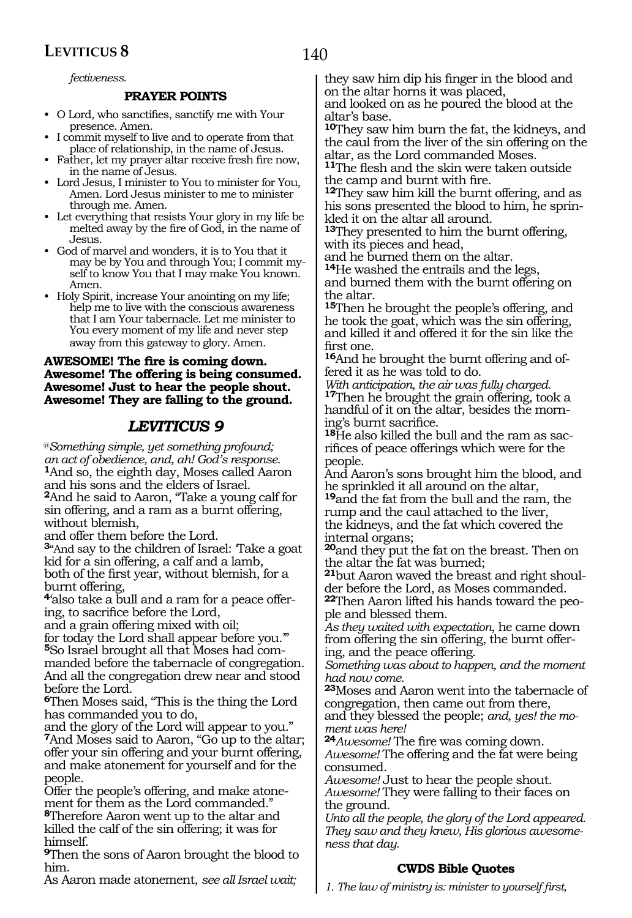140

*fectiveness.* 

#### **PRAYER POINTS**

- O Lord, who sanctifies, sanctify me with Your presence. Amen.
- I commit myself to live and to operate from that place of relationship, in the name of Jesus.
- Father, let my prayer altar receive fresh fire now, in the name of Jesus.
- Lord Jesus, I minister to You to minister for You, Amen. Lord Jesus minister to me to minister through me. Amen.
- Let everything that resists Your glory in my life be melted away by the fire of God, in the name of Jesus.
- God of marvel and wonders, it is to You that it may be by You and through You; I commit myself to know You that I may make You known. Amen.
- Holy Spirit, increase Your anointing on my life; help me to live with the conscious awareness that I am Your tabernacle. Let me minister to You every moment of my life and never step away from this gateway to glory. Amen.

#### **Awesome! The fire is coming down. Awesome! The offering is being consumed. Awesome! Just to hear the people shout. Awesome! They are falling to the ground.**

#### *LEVITICUS 9*

@*Something simple, yet something profound; an act of obedience, and, ah! God's response.* **<sup>1</sup>**And so, the eighth day, Moses called Aaron and his sons and the elders of Israel. **<sup>2</sup>**And he said to Aaron, "Take a young calf for sin offering, and a ram as a burnt offering, without blemish,

and offer them before the Lord. **<sup>3</sup>**"And say to the children of Israel: 'Take a goat kid for a sin offering, a calf and a lamb, both of the first year, without blemish, for a burnt offering,

**4**'also take a bull and a ram for a peace offering, to sacrifice before the Lord,

and a grain offering mixed with oil;

for today the Lord shall appear before you.'" **5**So Israel brought all that Moses had commanded before the tabernacle of congregation. And all the congregation drew near and stood before the Lord.

**<sup>6</sup>**Then Moses said, "This is the thing the Lord has commanded you to do,

and the glory of the Lord will appear to you." **<sup>7</sup>**And Moses said to Aaron, "Go up to the altar; offer your sin offering and your burnt offering, and make atonement for yourself and for the people.

Offer the people's offering, and make atonement for them as the Lord commanded."

**<sup>8</sup>**Therefore Aaron went up to the altar and killed the calf of the sin offering; it was for himself.

**<sup>9</sup>**Then the sons of Aaron brought the blood to him.

As Aaron made atonement, *see all Israel wait;*

they saw him dip his finger in the blood and on the altar horns it was placed,

and looked on as he poured the blood at the altar's base.

**<sup>10</sup>**They saw him burn the fat, the kidneys, and the caul from the liver of the sin offering on the altar, as the Lord commanded Moses.

**<sup>11</sup>**The flesh and the skin were taken outside the camp and burnt with fire.

**<sup>12</sup>**They saw him kill the burnt offering, and as his sons presented the blood to him, he sprinkled it on the altar all around.

**<sup>13</sup>**They presented to him the burnt offering, with its pieces and head,

and he burned them on the altar.

**<sup>14</sup>**He washed the entrails and the legs, and burned them with the burnt offering on the altar.

**<sup>15</sup>**Then he brought the people's offering, and he took the goat, which was the sin offering, and killed it and offered it for the sin like the first one.

**16**And he brought the burnt offering and offered it as he was told to do.

*With anticipation, the air was fully charged.* **<sup>17</sup>**Then he brought the grain offering, took a handful of it on the altar, besides the morning's burnt sacrifice.

**18**He also killed the bull and the ram as sacrifices of peace offerings which were for the people.

And Aaron's sons brought him the blood, and he sprinkled it all around on the altar,

**<sup>19</sup>**and the fat from the bull and the ram, the rump and the caul attached to the liver, the kidneys, and the fat which covered the internal organs;

**<sup>20</sup>**and they put the fat on the breast. Then on the altar the fat was burned;

**21**but Aaron waved the breast and right shoulder before the Lord, as Moses commanded.

**22**Then Aaron lifted his hands toward the people and blessed them.

*As they waited with expectation*, he came down from offering the sin offering, the burnt offering, and the peace offering.

*Something was about to happen, and the moment had now come.*

**<sup>23</sup>**Moses and Aaron went into the tabernacle of congregation, then came out from there,

and they blessed the people; *and, yes! the moment was here!*

**<sup>24</sup>***Awesome!* The fire was coming down. *Awesome!* The offering and the fat were being consumed.

*Awesome!* Just to hear the people shout. *Awesome!* They were falling to their faces on the ground.

*Unto all the people, the glory of the Lord appeared. They saw and they knew, His glorious awesomeness that day.*

#### **CWDS Bible Quotes**

*1. The law of ministry is: minister to yourself first,*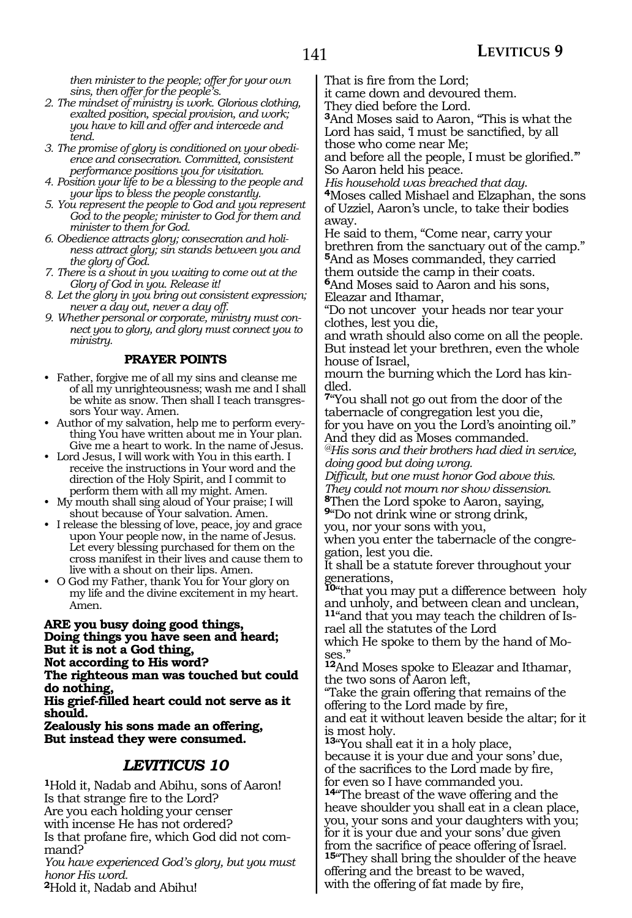*then minister to the people; offer for your own sins, then offer for the people's.*

- *2. The mindset of ministry is work. Glorious clothing, exalted position, special provision, and work; you have to kill and offer and intercede and tend.*
- *3. The promise of glory is conditioned on your obedience and consecration. Committed, consistent performance positions you for visitation.*
- *4. Position your life to be a blessing to the people and your lips to bless the people constantly.*
- *5. You represent the people to God and you represent God to the people; minister to God for them and minister to them for God.*
- *6. Obedience attracts glory; consecration and holiness attract glory; sin stands between you and the glory of God.*
- *7. There is a shout in you waiting to come out at the Glory of God in you. Release it!*
- *8. Let the glory in you bring out consistent expression; never a day out, never a day off.*
- *9. Whether personal or corporate, ministry must connect you to glory, and glory must connect you to ministry.*

#### **PRAYER POINTS**

- Father, forgive me of all my sins and cleanse me of all my unrighteousness; wash me and I shall be white as snow. Then shall I teach transgressors Your way. Amen.
- Author of my salvation, help me to perform everything You have written about me in Your plan. Give me a heart to work. In the name of Jesus.
- Lord Jesus, I will work with You in this earth. I receive the instructions in Your word and the direction of the Holy Spirit, and I commit to perform them with all my might. Amen.
- My mouth shall sing aloud of Your praise; I will shout because of Your salvation. Amen.
- I release the blessing of love, peace, joy and grace upon Your people now, in the name of Jesus. Let every blessing purchased for them on the cross manifest in their lives and cause them to live with a shout on their lips. Amen.
- O God my Father, thank You for Your glory on my life and the divine excitement in my heart. Amen.

**Are you busy doing good things, Doing things you have seen and heard; But it is not a God thing, Not according to His word?**

**The righteous man was touched but could do nothing,**

**His grief-filled heart could not serve as it should.**

**Zealously his sons made an offering, But instead they were consumed.** 

#### *LEVITICUS 10*

**<sup>1</sup>**Hold it, Nadab and Abihu, sons of Aaron! Is that strange fire to the Lord? Are you each holding your censer with incense He has not ordered? Is that profane fire, which God did not com- mand?

*You have experienced God's glory, but you must honor His word.* **<sup>2</sup>**Hold it, Nadab and Abihu!

That is fire from the Lord;

it came down and devoured them.

They died before the Lord.

**<sup>3</sup>**And Moses said to Aaron, "This is what the Lord has said, 'I must be sanctified, by all those who come near Me;

and before all the people, I must be glorified.'" So Aaron held his peace.

*His household was breached that day*. **<sup>4</sup>**Moses called Mishael and Elzaphan, the sons of Uzziel, Aaron's uncle, to take their bodies away.

He said to them, "Come near, carry your brethren from the sanctuary out of the camp." **<sup>5</sup>**And as Moses commanded, they carried them outside the camp in their coats.

**<sup>6</sup>**And Moses said to Aaron and his sons, Eleazar and Ithamar,

"Do not uncover your heads nor tear your clothes, lest you die,

and wrath should also come on all the people. But instead let your brethren, even the whole house of Israel,

mourn the burning which the Lord has kindled.

**<sup>7</sup>**"You shall not go out from the door of the tabernacle of congregation lest you die, for you have on you the Lord's anointing oil." And they did as Moses commanded.

*@His sons and their brothers had died in service, doing good but doing wrong.*

*Difficult, but one must honor God above this. They could not mourn nor show dissension.*

**<sup>8</sup>**Then the Lord spoke to Aaron, saying, **<sup>9</sup>**"Do not drink wine or strong drink,

you, nor your sons with you, when you enter the tabernacle of the congregation, lest you die.

It shall be a statute forever throughout your generations,

**<sup>10</sup>**"that you may put a difference between holy and unholy, and between clean and unclean, **11**"and that you may teach the children of Israel all the statutes of the Lord

which He spoke to them by the hand of Moses."

**<sup>12</sup>**And Moses spoke to Eleazar and Ithamar, the two sons of Aaron left,

"Take the grain offering that remains of the offering to the Lord made by fire, and eat it without leaven beside the altar; for it is most holy.

**<sup>13</sup>**"You shall eat it in a holy place, because it is your due and your sons' due, of the sacrifices to the Lord made by fire, for even so I have commanded you.

**<sup>14</sup>**"The breast of the wave offering and the heave shoulder you shall eat in a clean place, you, your sons and your daughters with you; for it is your due and your sons' due given from the sacrifice of peace offering of Israel. **<sup>15</sup>**"They shall bring the shoulder of the heave offering and the breast to be waved, with the offering of fat made by fire,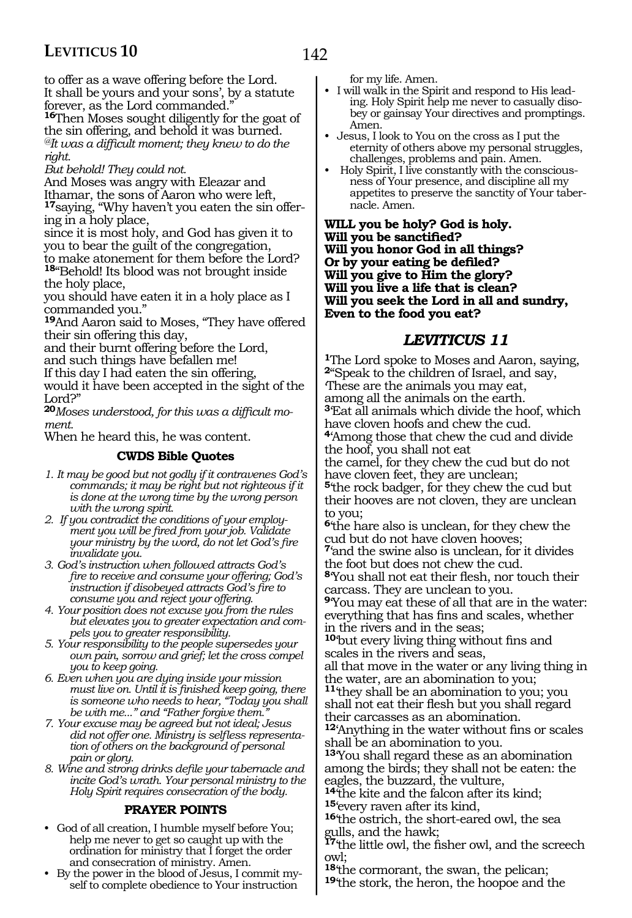to offer as a wave offering before the Lord. It shall be yours and your sons', by a statute forever, as the Lord commanded.

**<sup>16</sup>**Then Moses sought diligently for the goat of the sin offering, and behold it was burned. *@It was a difficult moment; they knew to do the right.*

#### *But behold! They could not.*

And Moses was angry with Eleazar and Ithamar, the sons of Aaron who were left, **17**saying, "Why haven't you eaten the sin offering in a holy place,

since it is most holy, and God has given it to you to bear the guilt of the congregation, to make atonement for them before the Lord? **<sup>18</sup>**"Behold! Its blood was not brought inside the holy place,

you should have eaten it in a holy place as I commanded you."

**<sup>19</sup>**And Aaron said to Moses, "They have offered their sin offering this day,

and their burnt offering before the Lord,

and such things have befallen me!

If this day I had eaten the sin offering, would it have been accepted in the sight of the Lord?"

**<sup>20</sup>***Moses understood, for this was a difficult moment.*

When he heard this, he was content.

#### **CWDS Bible Quotes**

- *1. It may be good but not godly if it contravenes God's commands; it may be right but not righteous if it is done at the wrong time by the wrong person with the wrong spirit.*
- *2. If you contradict the conditions of your employment you will be fired from your job. Validate your ministry by the word, do not let God's fire invalidate you.*
- *3. God's instruction when followed attracts God's fire to receive and consume your offering; God's instruction if disobeyed attracts God's fire to consume you and reject your offering.*
- *4. Your position does not excuse you from the rules but elevates you to greater expectation and compels you to greater responsibility.*
- *5. Your responsibility to the people supersedes your own pain, sorrow and grief; let the cross compel you to keep going.*
- *6. Even when you are dying inside your mission must live on. Until it is finished keep going, there is someone who needs to hear, "Today you shall*  be with me..." and "Father forgive them.
- *7. Your excuse may be agreed but not ideal; Jesus did not offer one. Ministry is selfless representation of others on the background of personal pain or glory.*

*8. Wine and strong drinks defile your tabernacle and incite God's wrath. Your personal ministry to the Holy Spirit requires consecration of the body.*

#### **PRAYER POINTS**

- God of all creation, I humble myself before You; help me never to get so caught up with the ordination for ministry that I forget the order and consecration of ministry. Amen.
- By the power in the blood of Jesus, I commit myself to complete obedience to Your instruction

for my life. Amen.

- I will walk in the Spirit and respond to His leading. Holy Spirit help me never to casually disobey or gainsay Your directives and promptings. Amen.
- Jesus, I look to You on the cross as I put the eternity of others above my personal struggles, challenges, problems and pain. Amen.
- Holy Spirit, I live constantly with the consciousness of Your presence, and discipline all my appetites to preserve the sanctity of Your tabernacle. Amen.

**Will you be holy? God is holy. Will you be sanctified? Will you honor God in all things? Or by your eating be defiled? Will you give to Him the glory? Will you live a life that is clean? Will you seek the Lord in all and sundry, Even to the food you eat?**

#### *LEVITICUS 11*

**<sup>1</sup>**The Lord spoke to Moses and Aaron, saying, **<sup>2</sup>**"Speak to the children of Israel, and say, 'These are the animals you may eat, among all the animals on the earth. **<sup>3</sup>**'Eat all animals which divide the hoof, which have cloven hoofs and chew the cud. **<sup>4</sup>**'Among those that chew the cud and divide the hoof, you shall not eat the camel, for they chew the cud but do not have cloven feet, they are unclean; **<sup>5</sup>**'the rock badger, for they chew the cud but their hooves are not cloven, they are unclean to you; **<sup>6</sup>**'the hare also is unclean, for they chew the

cud but do not have cloven hooves; **<sup>7</sup>**'and the swine also is unclean, for it divides the foot but does not chew the cud. **<sup>8</sup>**'You shall not eat their flesh, nor touch their carcass. They are unclean to you.

**<sup>9</sup>**'You may eat these of all that are in the water: everything that has fins and scales, whether in the rivers and in the seas;

**<sup>10</sup>**'but every living thing without fins and scales in the rivers and seas,

all that move in the water or any living thing in the water, are an abomination to you; **<sup>11</sup>**'they shall be an abomination to you; you

shall not eat their flesh but you shall regard their carcasses as an abomination.

**<sup>12</sup>**'Anything in the water without fins or scales shall be an abomination to you.

**<sup>13</sup>**'You shall regard these as an abomination among the birds; they shall not be eaten: the eagles, the buzzard, the vulture,

<sup>14</sup>the kite and the falcon after its kind;<br><sup>15</sup>'every raven after its kind,

16<sup>the</sup> ostrich, the short-eared owl, the sea gulls, and the hawk;

**<sup>17</sup>**'the little owl, the fisher owl, and the screech

owl;<br><sup>18</sup>'the cormorant, the swan, the pelican; **19**<sup>the</sup> stork, the heron, the hoopoe and the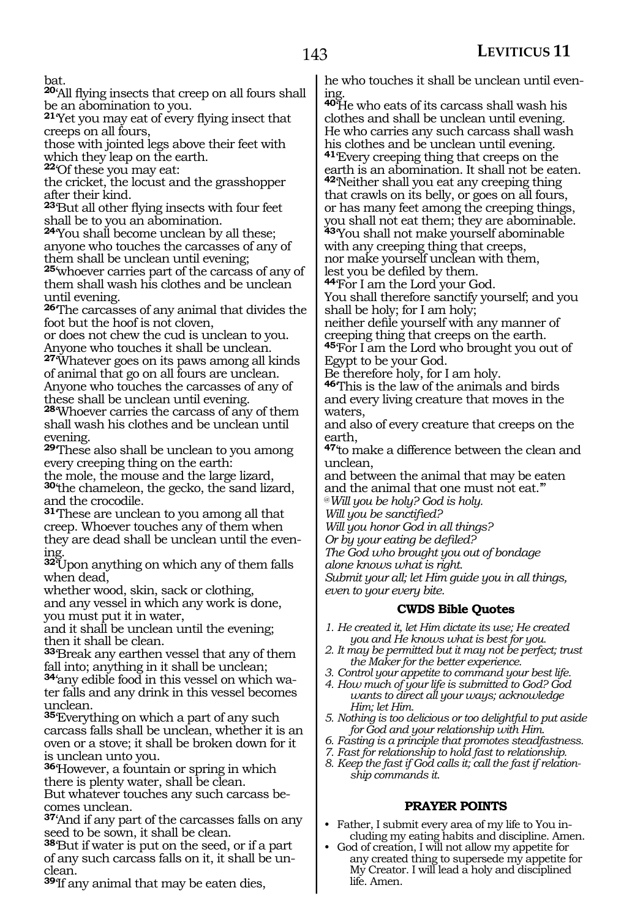bat.

**<sup>20</sup>**'All flying insects that creep on all fours shall be an abomination to you.

**<sup>21</sup>**'Yet you may eat of every flying insect that creeps on all fours,

those with jointed legs above their feet with which they leap on the earth.

**<sup>22</sup>**'Of these you may eat:

the cricket, the locust and the grasshopper after their kind.

**<sup>23</sup>**'But all other flying insects with four feet shall be to you an abomination.

**<sup>24</sup>**'You shall become unclean by all these; anyone who touches the carcasses of any of them shall be unclean until evening;

**<sup>25</sup>**'whoever carries part of the carcass of any of them shall wash his clothes and be unclean until evening.

**<sup>26</sup>**'The carcasses of any animal that divides the foot but the hoof is not cloven,

or does not chew the cud is unclean to you. Anyone who touches it shall be unclean.

**<sup>27</sup>**'Whatever goes on its paws among all kinds of animal that go on all fours are unclean. Anyone who touches the carcasses of any of these shall be unclean until evening.

**<sup>28</sup>**'Whoever carries the carcass of any of them shall wash his clothes and be unclean until evening.

**<sup>29</sup>**'These also shall be unclean to you among every creeping thing on the earth:

the mole, the mouse and the large lizard, **<sup>30</sup>**'the chameleon, the gecko, the sand lizard, and the crocodile.

**<sup>31</sup>**'These are unclean to you among all that creep. Whoever touches any of them when they are dead shall be unclean until the even-

**<sup>32</sup>**'Upon anything on which any of them falls when dead,

whether wood, skin, sack or clothing, and any vessel in which any work is done, you must put it in water,

and it shall be unclean until the evening; then it shall be clean.

**<sup>33</sup>**'Break any earthen vessel that any of them fall into; anything in it shall be unclean;

**34**'any edible food in this vessel on which water falls and any drink in this vessel becomes unclean.

**<sup>35</sup>**'Everything on which a part of any such carcass falls shall be unclean, whether it is an oven or a stove; it shall be broken down for it is unclean unto you.

**<sup>36</sup>**'However, a fountain or spring in which there is plenty water, shall be clean. But whatever touches any such carcass becomes unclean.

**<sup>37</sup>**'And if any part of the carcasses falls on any seed to be sown, it shall be clean.

**<sup>38</sup>**'But if water is put on the seed, or if a part of any such carcass falls on it, it shall be unclean.

**<sup>39</sup>**'If any animal that may be eaten dies,

he who touches it shall be unclean until evening.

**<sup>40</sup>**'He who eats of its carcass shall wash his clothes and shall be unclean until evening. He who carries any such carcass shall wash his clothes and be unclean until evening. **<sup>41</sup>**'Every creeping thing that creeps on the earth is an abomination. It shall not be eaten. **<sup>42</sup>**'Neither shall you eat any creeping thing that crawls on its belly, or goes on all fours, or has many feet among the creeping things, you shall not eat them; they are abominable. **<sup>43</sup>**'You shall not make yourself abominable with any creeping thing that creeps, nor make yourself unclean with them,

lest you be defiled by them.

**<sup>44</sup>**'For I am the Lord your God. You shall therefore sanctify yourself; and you shall be holy; for I am holy;

neither defile yourself with any manner of creeping thing that creeps on the earth. **<sup>45</sup>**'For I am the Lord who brought you out of Egypt to be your God.

Be therefore holy, for I am holy.

**<sup>46</sup>**'This is the law of the animals and birds and every living creature that moves in the waters,

and also of every creature that creeps on the earth,

**<sup>47</sup>**'to make a difference between the clean and unclean,

and between the animal that may be eaten and the animal that one must not eat.'"

@*Will you be holy? God is holy.*

*Will you be sanctified?*

*Will you honor God in all things?*

*Or by your eating be defiled?*

*The God who brought you out of bondage*

*alone knows what is right.*

*Submit your all; let Him guide you in all things, even to your every bite.*

#### **CWDS Bible Quotes**

- *1. He created it, let Him dictate its use; He created you and He knows what is best for you.*
- *2. It may be permitted but it may not be perfect; trust the Maker for the better experience.*
- *3. Control your appetite to command your best life.*
- *4. How much of your life is submitted to God? God wants to direct all your ways; acknowledge Him; let Him.*
- *5. Nothing is too delicious or too delightful to put aside for God and your relationship with Him.*
- *6. Fasting is a principle that promotes steadfastness.*
- *7. Fast for relationship to hold fast to relationship.*
- *8. Keep the fast if God calls it; call the fast if relationship commands it.*

#### **PRAYER POINTS**

- Father, I submit every area of my life to You including my eating habits and discipline. Amen.
- God of creation, I will not allow my appetite for any created thing to supersede my appetite for My Creator. I will lead a holy and disciplined life. Amen.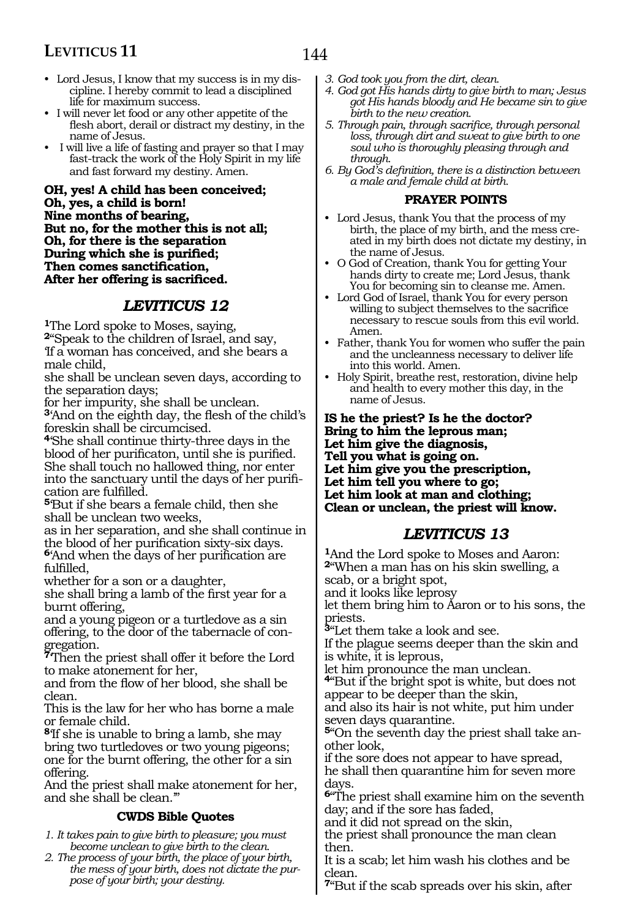- Lord Jesus, I know that my success is in my discipline. I hereby commit to lead a disciplined life for maximum success.
- I will never let food or any other appetite of the flesh abort, derail or distract my destiny, in the name of Jesus.
- I will live a life of fasting and prayer so that I may fast-track the work of the Holy Spirit in my life and fast forward my destiny. Amen.

**Oh, yes! A child has been conceived; Oh, yes, a child is born! Nine months of bearing, But no, for the mother this is not all; Oh, for there is the separation During which she is purified; Then comes sanctification, After her offering is sacrificed.**

### *LEVITICUS 12*

**<sup>1</sup>**The Lord spoke to Moses, saying,

**<sup>2</sup>**"Speak to the children of Israel, and say, 'If a woman has conceived, and she bears a

male child,

she shall be unclean seven days, according to the separation days;

for her impurity, she shall be unclean. **<sup>3</sup>**'And on the eighth day, the flesh of the child's foreskin shall be circumcised.

**<sup>4</sup>**'She shall continue thirty-three days in the blood of her purificaton, until she is purified. She shall touch no hallowed thing, nor enter into the sanctuary until the days of her purification are fulfilled.

**<sup>5</sup>**'But if she bears a female child, then she shall be unclean two weeks,

as in her separation, and she shall continue in the blood of her purification sixty-six days.

**<sup>6</sup>**'And when the days of her purification are fulfilled,

whether for a son or a daughter,

she shall bring a lamb of the first year for a burnt offering,

and a young pigeon or a turtledove as a sin offering, to the door of the tabernacle of congregation.

**<sup>7</sup>**'Then the priest shall offer it before the Lord to make atonement for her,

and from the flow of her blood, she shall be clean.

This is the law for her who has borne a male or female child.

**<sup>8</sup>**'If she is unable to bring a lamb, she may bring two turtledoves or two young pigeons; one for the burnt offering, the other for a sin offering.

And the priest shall make atonement for her, and she shall be clean.'"

#### **CWDS Bible Quotes**

- *1. It takes pain to give birth to pleasure; you must become unclean to give birth to the clean.*
- *2. The process of your birth, the place of your birth, the mess of your birth, does not dictate the purpose of your birth; your destiny.*
- *3. God took you from the dirt, clean.*
- *4. God got His hands dirty to give birth to man; Jesus got His hands bloody and He became sin to give birth to the new creation.*
- *5. Through pain, through sacrifice, through personal loss, through dirt and sweat to give birth to one soul who is thoroughly pleasing through and through.*
- *6. By God's definition, there is a distinction between a male and female child at birth.*

#### **PRAYER POINTS**

- Lord Jesus, thank You that the process of my birth, the place of my birth, and the mess created in my birth does not dictate my destiny, in the name of Jesus.
- O God of Creation, thank You for getting Your hands dirty to create me; Lord Jesus, thank You for becoming sin to cleanse me. Amen.
- Lord God of Israel, thank You for every person willing to subject themselves to the sacrifice necessary to rescue souls from this evil world. Amen.
- Father, thank You for women who suffer the pain and the uncleanness necessary to deliver life into this world. Amen.
- Holy Spirit, breathe rest, restoration, divine help and health to every mother this day, in the name of Jesus.

**Is he the priest? Is he the doctor? Bring to him the leprous man; Let him give the diagnosis, Tell you what is going on. Let him give you the prescription, Let him tell you where to go; Let him look at man and clothing; Clean or unclean, the priest will know.**

### *LEVITICUS 13*

**<sup>1</sup>**And the Lord spoke to Moses and Aaron: **<sup>2</sup>**"When a man has on his skin swelling, a scab, or a bright spot,

and it looks like leprosy

let them bring him to Aaron or to his sons, the priests.

**<sup>3</sup>**"Let them take a look and see.

If the plague seems deeper than the skin and is white, it is leprous,

let him pronounce the man unclean.

**<sup>4</sup>**"But if the bright spot is white, but does not appear to be deeper than the skin,

and also its hair is not white, put him under seven days quarantine.

**5**"On the seventh day the priest shall take another look,

if the sore does not appear to have spread, he shall then quarantine him for seven more days.

**<sup>6</sup>**"The priest shall examine him on the seventh day; and if the sore has faded,

and it did not spread on the skin,

the priest shall pronounce the man clean then.

It is a scab; let him wash his clothes and be clean.

**<sup>7</sup>**"But if the scab spreads over his skin, after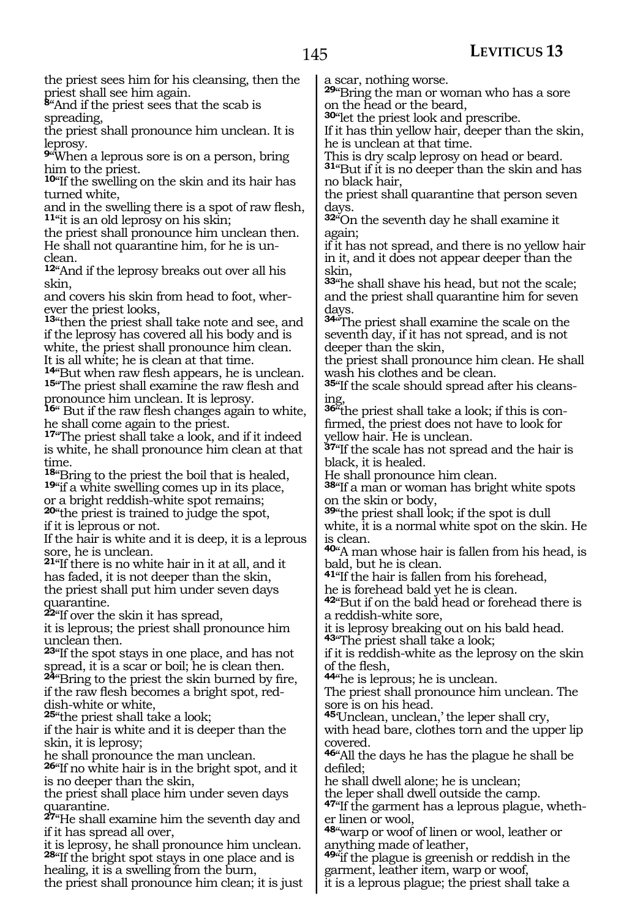145

the priest sees him for his cleansing, then the priest shall see him again.

**<sup>8</sup>**"And if the priest sees that the scab is spreading,

the priest shall pronounce him unclean. It is leprosy.

**<sup>9</sup>**"When a leprous sore is on a person, bring him to the priest.

**<sup>10</sup>**"If the swelling on the skin and its hair has turned white,

and in the swelling there is a spot of raw flesh, **<sup>11</sup>**"it is an old leprosy on his skin;

the priest shall pronounce him unclean then. He shall not quarantine him, for he is unclean.

**<sup>12</sup>**"And if the leprosy breaks out over all his skin,

and covers his skin from head to foot, wherever the priest looks,

**<sup>13</sup>**"then the priest shall take note and see, and if the leprosy has covered all his body and is white, the priest shall pronounce him clean. It is all white; he is clean at that time.

**<sup>14</sup>**"But when raw flesh appears, he is unclean. **<sup>15</sup>**"The priest shall examine the raw flesh and pronounce him unclean. It is leprosy.

**<sup>16</sup>**" But if the raw flesh changes again to white, he shall come again to the priest.

**<sup>17</sup>**"The priest shall take a look, and if it indeed is white, he shall pronounce him clean at that

time.<br><sup>18</sup>"Bring to the priest the boil that is healed, **19**"if a white swelling comes up in its place, or a bright reddish-white spot remains; **<sup>20</sup>**"the priest is trained to judge the spot, if it is leprous or not.

If the hair is white and it is deep, it is a leprous sore, he is unclean.

**<sup>21</sup>**"If there is no white hair in it at all, and it has faded, it is not deeper than the skin, the priest shall put him under seven days quarantine.

**<sup>22</sup>**"If over the skin it has spread,

it is leprous; the priest shall pronounce him unclean then.

**<sup>23</sup>**"If the spot stays in one place, and has not spread, it is a scar or boil; he is clean then. **<sup>24</sup>**"Bring to the priest the skin burned by fire, if the raw flesh becomes a bright spot, reddish-white or white,

**<sup>25</sup>**"the priest shall take a look;

if the hair is white and it is deeper than the skin, it is leprosy;

he shall pronounce the man unclean.

**<sup>26</sup>**"If no white hair is in the bright spot, and it is no deeper than the skin,

the priest shall place him under seven days quarantine.

**<sup>27</sup>**"He shall examine him the seventh day and if it has spread all over,

it is leprosy, he shall pronounce him unclean. **<sup>28</sup>**"If the bright spot stays in one place and is healing, it is a swelling from the burn,

the priest shall pronounce him clean; it is just

a scar, nothing worse.

**<sup>29</sup>**"Bring the man or woman who has a sore on the head or the beard,

**<sup>30</sup>**"let the priest look and prescribe.

If it has thin yellow hair, deeper than the skin, he is unclean at that time.

This is dry scalp leprosy on head or beard.

**<sup>31</sup>**"But if it is no deeper than the skin and has no black hair,

the priest shall quarantine that person seven days.

**<sup>32</sup>**"On the seventh day he shall examine it again;

if it has not spread, and there is no yellow hair in it, and it does not appear deeper than the skin,

**<sup>33</sup>**"he shall shave his head, but not the scale; and the priest shall quarantine him for seven days.

**<sup>34</sup>**"The priest shall examine the scale on the seventh day, if it has not spread, and is not deeper than the skin,

the priest shall pronounce him clean. He shall wash his clothes and be clean.

**35**"If the scale should spread after his cleansing,

**36**"the priest shall take a look; if this is confirmed, the priest does not have to look for yellow hair. He is unclean.

**<sup>37</sup>**"If the scale has not spread and the hair is black, it is healed.

He shall pronounce him clean.

**<sup>38</sup>**"If a man or woman has bright white spots on the skin or body,

**<sup>39</sup>**"the priest shall look; if the spot is dull white, it is a normal white spot on the skin. He is clean.

**<sup>40</sup>**"A man whose hair is fallen from his head, is bald, but he is clean.

**<sup>41</sup>**"If the hair is fallen from his forehead,

he is forehead bald yet he is clean.

**<sup>42</sup>**"But if on the bald head or forehead there is a reddish-white sore,

it is leprosy breaking out on his bald head.

**<sup>43</sup>**"The priest shall take a look;

if it is reddish-white as the leprosy on the skin of the flesh,

**<sup>44</sup>**"he is leprous; he is unclean.

The priest shall pronounce him unclean. The sore is on his head.

**<sup>45</sup>**'Unclean, unclean,' the leper shall cry,

with head bare, clothes torn and the upper lip covered.

**<sup>46</sup>**"All the days he has the plague he shall be defiled;

he shall dwell alone; he is unclean;

the leper shall dwell outside the camp.

**47**"If the garment has a leprous plague, whether linen or wool,

**<sup>48</sup>**"warp or woof of linen or wool, leather or anything made of leather,

**<sup>49</sup>**"if the plague is greenish or reddish in the garment, leather item, warp or woof,

it is a leprous plague; the priest shall take a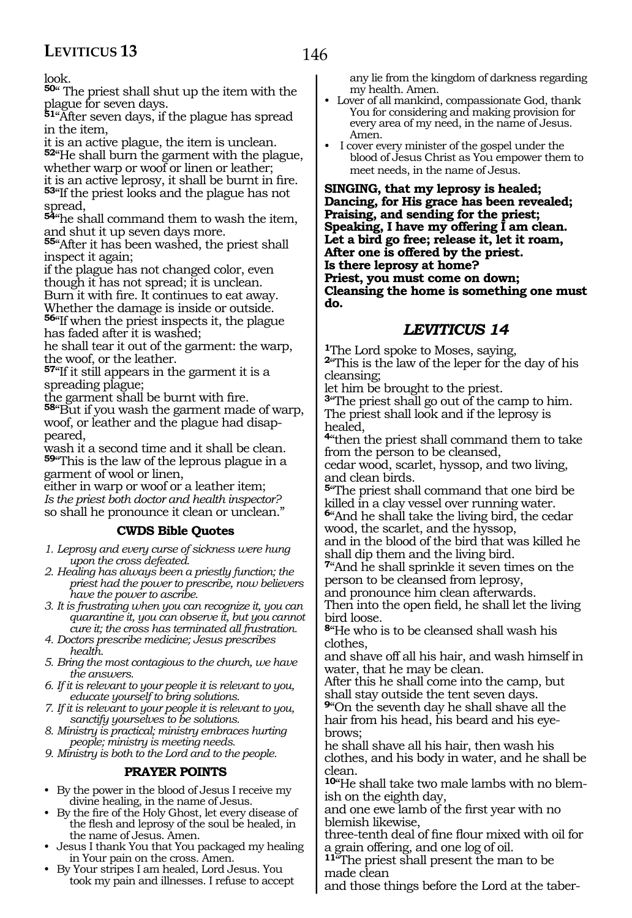look.

**<sup>50</sup>**" The priest shall shut up the item with the plague for seven days.

**<sup>51</sup>**"After seven days, if the plague has spread in the item,

it is an active plague, the item is unclean. **<sup>52</sup>**"He shall burn the garment with the plague, whether warp or woof or linen or leather; it is an active leprosy, it shall be burnt in fire.

**<sup>53</sup>**"If the priest looks and the plague has not spread,

**<sup>54</sup>**"he shall command them to wash the item, and shut it up seven days more.

**<sup>55</sup>**"After it has been washed, the priest shall inspect it again;

if the plague has not changed color, even though it has not spread; it is unclean. Burn it with fire. It continues to eat away. Whether the damage is inside or outside. **<sup>56</sup>**"If when the priest inspects it, the plague

has faded after it is washed;

he shall tear it out of the garment: the warp, the woof, or the leather.

**<sup>57</sup>**"If it still appears in the garment it is a spreading plague;

the garment shall be burnt with fire.

**<sup>58</sup>**"But if you wash the garment made of warp, woof, or leather and the plague had disappeared,

wash it a second time and it shall be clean. **<sup>59</sup>**"This is the law of the leprous plague in a garment of wool or linen,

either in warp or woof or a leather item; *Is the priest both doctor and health inspector?* so shall he pronounce it clean or unclean."

#### **CWDS Bible Quotes**

*1. Leprosy and every curse of sickness were hung upon the cross defeated.*

- *2. Healing has always been a priestly function; the priest had the power to prescribe, now believers have the power to ascribe.*
- *3. It is frustrating when you can recognize it, you can quarantine it, you can observe it, but you cannot cure it; the cross has terminated all frustration.*
- *4. Doctors prescribe medicine; Jesus prescribes health.*

*5. Bring the most contagious to the church, we have the answers.*

- *6. If it is relevant to your people it is relevant to you, educate yourself to bring solutions.*
- *7. If it is relevant to your people it is relevant to you, sanctify yourselves to be solutions.*
- *8. Ministry is practical; ministry embraces hurting people; ministry is meeting needs.*

*9. Ministry is both to the Lord and to the people.* 

#### **PRAYER POINTS**

- By the power in the blood of Jesus I receive my divine healing, in the name of Jesus.
- By the fire of the Holy Ghost, let every disease of the flesh and leprosy of the soul be healed, in the name of Jesus. Amen.
- Jesus I thank You that You packaged my healing in Your pain on the cross. Amen.
- By Your stripes I am healed, Lord Jesus. You took my pain and illnesses. I refuse to accept

any lie from the kingdom of darkness regarding my health. Amen.

- Lover of all mankind, compassionate God, thank You for considering and making provision for every area of my need, in the name of Jesus. Amen.
- I cover every minister of the gospel under the blood of Jesus Christ as You empower them to meet needs, in the name of Jesus.

**Singing, that my leprosy is healed; Dancing, for His grace has been revealed; Praising, and sending for the priest; Speaking, I have my offering I am clean. Let a bird go free; release it, let it roam, After one is offered by the priest. Is there leprosy at home? Priest, you must come on down; Cleansing the home is something one must do.**

#### *LEVITICUS 14*

**<sup>1</sup>**The Lord spoke to Moses, saying,

**<sup>2</sup>**"This is the law of the leper for the day of his cleansing;

let him be brought to the priest.

**<sup>3</sup>**"The priest shall go out of the camp to him. The priest shall look and if the leprosy is healed,

**<sup>4</sup>**"then the priest shall command them to take from the person to be cleansed,

cedar wood, scarlet, hyssop, and two living, and clean birds.

**<sup>5</sup>**"The priest shall command that one bird be killed in a clay vessel over running water.

**<sup>6</sup>**"And he shall take the living bird, the cedar wood, the scarlet, and the hyssop, and in the blood of the bird that was killed he

shall dip them and the living bird.

**<sup>7</sup>**"And he shall sprinkle it seven times on the person to be cleansed from leprosy,

and pronounce him clean afterwards. Then into the open field, he shall let the living bird loose.

**<sup>8</sup>**"He who is to be cleansed shall wash his clothes,

and shave off all his hair, and wash himself in water, that he may be clean.

After this he shall come into the camp, but shall stay outside the tent seven days.

**<sup>9</sup>**"On the seventh day he shall shave all the hair from his head, his beard and his eyebrows;

he shall shave all his hair, then wash his clothes, and his body in water, and he shall be clean.

**10**"He shall take two male lambs with no blemish on the eighth day,

and one ewe lamb of the first year with no blemish likewise,

three-tenth deal of fine flour mixed with oil for a grain offering, and one log of oil.

**<sup>11</sup>**"The priest shall present the man to be made clean

and those things before the Lord at the taber-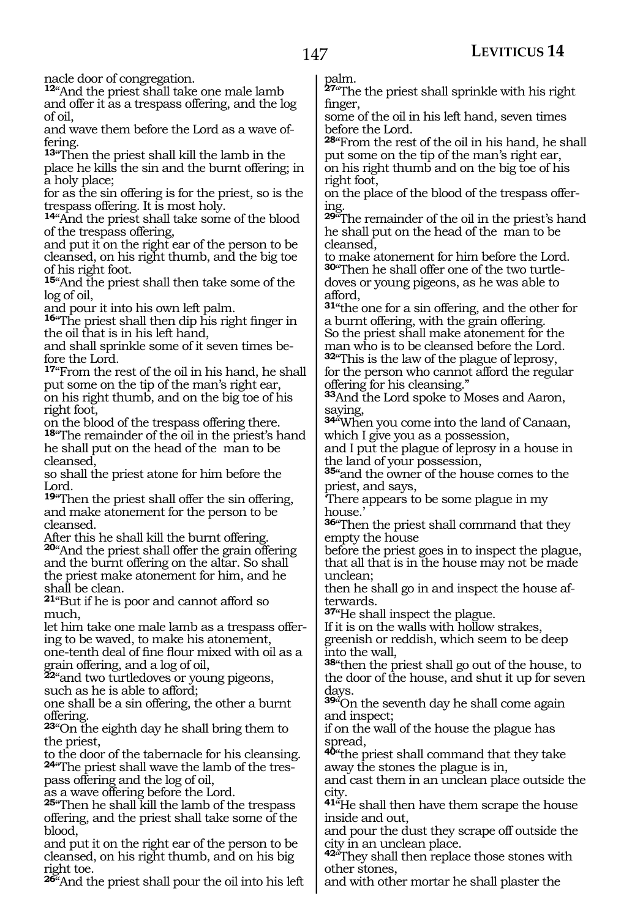nacle door of congregation.

**<sup>12</sup>**"And the priest shall take one male lamb and offer it as a trespass offering, and the log of oil,

and wave them before the Lord as a wave offering.

**<sup>13</sup>**"Then the priest shall kill the lamb in the place he kills the sin and the burnt offering; in a holy place;

for as the sin offering is for the priest, so is the trespass offering. It is most holy.

**<sup>14</sup>**"And the priest shall take some of the blood of the trespass offering,

and put it on the right ear of the person to be cleansed, on his right thumb, and the big toe of his right foot.

**<sup>15</sup>**"And the priest shall then take some of the log of oil,

and pour it into his own left palm.

**<sup>16</sup>**"The priest shall then dip his right finger in the oil that is in his left hand,

and shall sprinkle some of it seven times before the Lord.

**<sup>17</sup>**"From the rest of the oil in his hand, he shall put some on the tip of the man's right ear, on his right thumb, and on the big toe of his right foot,

on the blood of the trespass offering there. **<sup>18</sup>**"The remainder of the oil in the priest's hand he shall put on the head of the man to be cleansed,

so shall the priest atone for him before the Lord.

**<sup>19</sup>**"Then the priest shall offer the sin offering, and make atonement for the person to be cleansed.

After this he shall kill the burnt offering. **<sup>20</sup>**"And the priest shall offer the grain offering and the burnt offering on the altar. So shall the priest make atonement for him, and he shall be clean.

**<sup>21</sup>**"But if he is poor and cannot afford so much,

let him take one male lamb as a trespass offering to be waved, to make his atonement, one-tenth deal of fine flour mixed with oil as a grain offering, and a log of oil,

**<sup>22</sup>**"and two turtledoves or young pigeons, such as he is able to afford;

one shall be a sin offering, the other a burnt offering.

**<sup>23</sup>**"On the eighth day he shall bring them to the priest,

to the door of the tabernacle for his cleansing. **24**"The priest shall wave the lamb of the trespass offering and the log of oil,

as a wave offering before the Lord.

**<sup>25</sup>**"Then he shall kill the lamb of the trespass offering, and the priest shall take some of the blood,

and put it on the right ear of the person to be cleansed, on his right thumb, and on his big right toe.

**<sup>26</sup>**"And the priest shall pour the oil into his left

palm.

**<sup>27</sup>**"The the priest shall sprinkle with his right finger,

some of the oil in his left hand, seven times before the Lord.

**<sup>28</sup>**"From the rest of the oil in his hand, he shall put some on the tip of the man's right ear, on his right thumb and on the big toe of his right foot,

on the place of the blood of the trespass offering.

**<sup>29</sup>**"The remainder of the oil in the priest's hand he shall put on the head of the man to be cleansed,

to make atonement for him before the Lord. **30**"Then he shall offer one of the two turtledoves or young pigeons, as he was able to afford,

**<sup>31</sup>**"the one for a sin offering, and the other for a burnt offering, with the grain offering. So the priest shall make atonement for the man who is to be cleansed before the Lord.

**<sup>32</sup>**"This is the law of the plague of leprosy, for the person who cannot afford the regular offering for his cleansing."

**<sup>33</sup>**And the Lord spoke to Moses and Aaron, saying,

**<sup>34</sup>**"When you come into the land of Canaan, which I give you as a possession,

and I put the plague of leprosy in a house in the land of your possession,

**<sup>35</sup>**"and the owner of the house comes to the priest, and says,

'There appears to be some plague in my house.'

**<sup>36</sup>**"Then the priest shall command that they empty the house

before the priest goes in to inspect the plague, that all that is in the house may not be made unclean;

then he shall go in and inspect the house afterwards.

**<sup>37</sup>**"He shall inspect the plague.

If it is on the walls with hollow strakes, greenish or reddish, which seem to be deep

into the wall,

**<sup>38</sup>**"then the priest shall go out of the house, to the door of the house, and shut it up for seven days.

**<sup>39</sup>**"On the seventh day he shall come again and inspect;

if on the wall of the house the plague has spread,

**<sup>40</sup>**"the priest shall command that they take away the stones the plague is in,

and cast them in an unclean place outside the city.

**<sup>41</sup>**"He shall then have them scrape the house inside and out,

and pour the dust they scrape off outside the city in an unclean place.

**<sup>42</sup>**"They shall then replace those stones with other stones,

and with other mortar he shall plaster the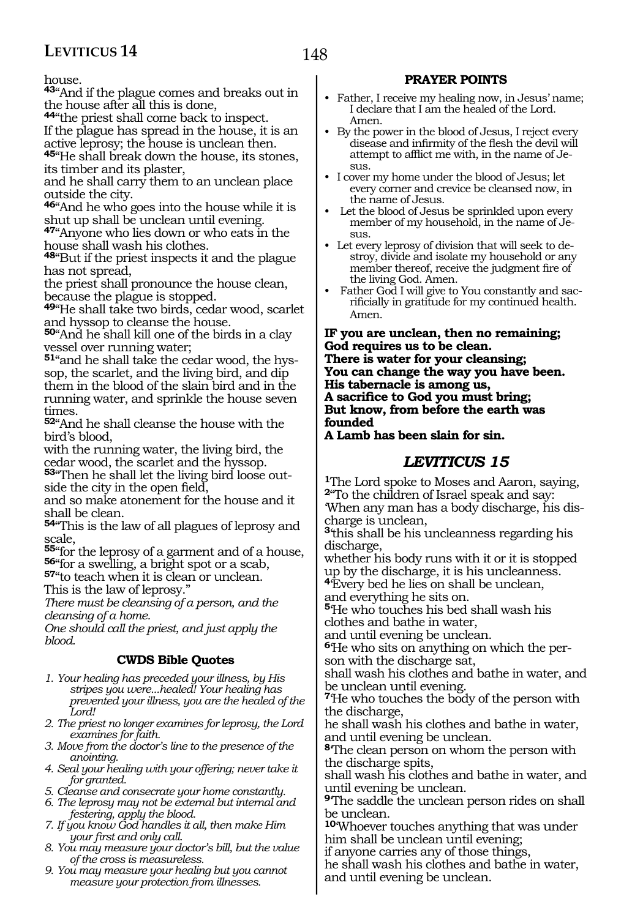house.

**<sup>43</sup>**"And if the plague comes and breaks out in the house after all this is done,

**<sup>44</sup>**"the priest shall come back to inspect.

If the plague has spread in the house, it is an active leprosy; the house is unclean then.

**<sup>45</sup>**"He shall break down the house, its stones, its timber and its plaster,

and he shall carry them to an unclean place outside the city.

**<sup>46</sup>**"And he who goes into the house while it is shut up shall be unclean until evening.

**<sup>47</sup>**"Anyone who lies down or who eats in the house shall wash his clothes.

**<sup>48</sup>**"But if the priest inspects it and the plague has not spread,

the priest shall pronounce the house clean, because the plague is stopped.

**<sup>49</sup>**"He shall take two birds, cedar wood, scarlet and hyssop to cleanse the house.

**<sup>50</sup>**"And he shall kill one of the birds in a clay vessel over running water;

**51**"and he shall take the cedar wood, the hyssop, the scarlet, and the living bird, and dip them in the blood of the slain bird and in the running water, and sprinkle the house seven times.

**<sup>52</sup>**"And he shall cleanse the house with the bird's blood,

with the running water, the living bird, the cedar wood, the scarlet and the hyssop.

**53**"Then he shall let the living bird loose outside the city in the open field,

and so make atonement for the house and it shall be clean.

**<sup>54</sup>**"This is the law of all plagues of leprosy and scale,

**<sup>55</sup>**"for the leprosy of a garment and of a house, **<sup>56</sup>**"for a swelling, a bright spot or a scab, **<sup>57</sup>**"to teach when it is clean or unclean.

This is the law of leprosy."

*There must be cleansing of a person, and the cleansing of a home.*

*One should call the priest, and just apply the blood.*

#### **CWDS Bible Quotes**

- *1. Your healing has preceded your illness, by His stripes you were...healed! Your healing has prevented your illness, you are the healed of the Lord!*
- *2. The priest no longer examines for leprosy, the Lord examines for faith.*

*3. Move from the doctor's line to the presence of the anointing.*

*4. Seal your healing with your offering; never take it for granted.*

*5. Cleanse and consecrate your home constantly.*

- *6. The leprosy may not be external but internal and festering, apply the blood.*
- *7. If you know God handles it all, then make Him your first and only call.*
- *8. You may measure your doctor's bill, but the value of the cross is measureless.*
- *9. You may measure your healing but you cannot measure your protection from illnesses.*

#### **PRAYER POINTS**

- Father, I receive my healing now, in Jesus' name; I declare that I am the healed of the Lord. Amen.
- By the power in the blood of Jesus, I reject every disease and infirmity of the flesh the devil will attempt to afflict me with, in the name of Jesus.
- I cover my home under the blood of Jesus; let every corner and crevice be cleansed now, in the name of Jesus.
- Let the blood of Jesus be sprinkled upon every member of my household, in the name of Jesus.
- Let every leprosy of division that will seek to destroy, divide and isolate my household or any member thereof, receive the judgment fire of the living God. Amen.
- Father God I will give to You constantly and sacrificially in gratitude for my continued health. Amen.

**If you are unclean, then no remaining; God requires us to be clean. There is water for your cleansing; You can change the way you have been. His tabernacle is among us, A sacrifice to God you must bring; But know, from before the earth was founded** 

#### **A Lamb has been slain for sin.**

#### *LEVITICUS 15*

**<sup>1</sup>**The Lord spoke to Moses and Aaron, saying, **<sup>2</sup>**"To the children of Israel speak and say: 'When any man has a body discharge, his dis-

charge is unclean,

**<sup>3</sup>**'this shall be his uncleanness regarding his discharge,

whether his body runs with it or it is stopped up by the discharge, it is his uncleanness.

**<sup>4</sup>**'Every bed he lies on shall be unclean,

and everything he sits on. **<sup>5</sup>**'He who touches his bed shall wash his

clothes and bathe in water,

and until evening be unclean.

**6**'He who sits on anything on which the person with the discharge sat,

shall wash his clothes and bathe in water, and be unclean until evening.

**<sup>7</sup>**'He who touches the body of the person with the discharge,

he shall wash his clothes and bathe in water, and until evening be unclean.

**<sup>8</sup>**'The clean person on whom the person with the discharge spits,

shall wash his clothes and bathe in water, and until evening be unclean.

**<sup>9</sup>**'The saddle the unclean person rides on shall be unclean.

**<sup>10</sup>**'Whoever touches anything that was under him shall be unclean until evening;

if anyone carries any of those things,

he shall wash his clothes and bathe in water, and until evening be unclean.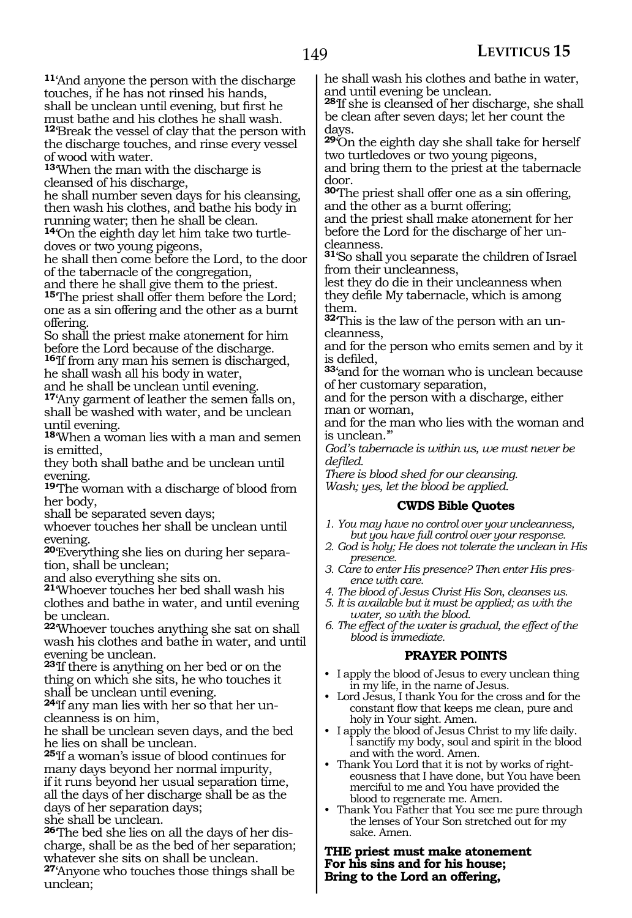**<sup>11</sup>**'And anyone the person with the discharge touches, if he has not rinsed his hands, shall be unclean until evening, but first he must bathe and his clothes he shall wash. **<sup>12</sup>**'Break the vessel of clay that the person with the discharge touches, and rinse every vessel of wood with water.

**<sup>13</sup>**'When the man with the discharge is cleansed of his discharge,

he shall number seven days for his cleansing, then wash his clothes, and bathe his body in running water; then he shall be clean.

**14**'On the eighth day let him take two turtledoves or two young pigeons,

he shall then come before the Lord, to the door of the tabernacle of the congregation,

and there he shall give them to the priest. **<sup>15</sup>**'The priest shall offer them before the Lord; one as a sin offering and the other as a burnt offering.

So shall the priest make atonement for him before the Lord because of the discharge. **<sup>16</sup>**'If from any man his semen is discharged, he shall wash all his body in water,

and he shall be unclean until evening.

**<sup>17</sup>**'Any garment of leather the semen falls on, shall be washed with water, and be unclean until evening.

**<sup>18</sup>**'When a woman lies with a man and semen is emitted,

they both shall bathe and be unclean until evening.

**<sup>19</sup>**'The woman with a discharge of blood from her body,

shall be separated seven days;

whoever touches her shall be unclean until evening.

**20**'Everything she lies on during her separation, shall be unclean;

and also everything she sits on.

**<sup>21</sup>**'Whoever touches her bed shall wash his clothes and bathe in water, and until evening be unclean.

**<sup>22</sup>**'Whoever touches anything she sat on shall wash his clothes and bathe in water, and until evening be unclean.

**<sup>23</sup>**'If there is anything on her bed or on the thing on which she sits, he who touches it shall be unclean until evening.

**24**'If any man lies with her so that her uncleanness is on him,

he shall be unclean seven days, and the bed he lies on shall be unclean.

**<sup>25</sup>**'If a woman's issue of blood continues for many days beyond her normal impurity, if it runs beyond her usual separation time, all the days of her discharge shall be as the days of her separation days; she shall be unclean.

**26**'The bed she lies on all the days of her discharge, shall be as the bed of her separation; whatever she sits on shall be unclean.

**<sup>27</sup>**'Anyone who touches those things shall be unclean;

he shall wash his clothes and bathe in water, and until evening be unclean.

**<sup>28</sup>**'If she is cleansed of her discharge, she shall be clean after seven days; let her count the days.

**<sup>29</sup>**'On the eighth day she shall take for herself two turtledoves or two young pigeons,

and bring them to the priest at the tabernacle door.

**<sup>30</sup>**'The priest shall offer one as a sin offering, and the other as a burnt offering;

and the priest shall make atonement for her before the Lord for the discharge of her uncleanness.

**<sup>31</sup>**'So shall you separate the children of Israel from their uncleanness,

lest they do die in their uncleanness when they defile My tabernacle, which is among them.

**32**'This is the law of the person with an uncleanness,

and for the person who emits semen and by it is defiled,

**<sup>33</sup>**'and for the woman who is unclean because of her customary separation,

and for the person with a discharge, either man or woman,

and for the man who lies with the woman and is unclean.'"

*God's tabernacle is within us, we must never be defiled.*

*There is blood shed for our cleansing.*

*Wash; yes, let the blood be applied.*

#### **CWDS Bible Quotes**

- *1. You may have no control over your uncleanness, but you have full control over your response.*
- *2. God is holy; He does not tolerate the unclean in His presence.*
- *3. Care to enter His presence? Then enter His presence with care.*
- *4. The blood of Jesus Christ His Son, cleanses us.*
- *5. It is available but it must be applied; as with the water, so with the blood.*
- *6. The effect of the water is gradual, the effect of the blood is immediate.*

#### **PRAYER POINTS**

- I apply the blood of Jesus to every unclean thing in my life, in the name of Jesus.
- Lord Jesus, I thank You for the cross and for the constant flow that keeps me clean, pure and holy in Your sight. Amen.
- I apply the blood of Jesus Christ to my life daily. I sanctify my body, soul and spirit in the blood and with the word. Amen.
- Thank You Lord that it is not by works of righteousness that I have done, but You have been merciful to me and You have provided the blood to regenerate me. Amen.
- Thank You Father that You see me pure through the lenses of Your Son stretched out for my sake. Amen.

**The priest must make atonement For his sins and for his house; Bring to the Lord an offering,**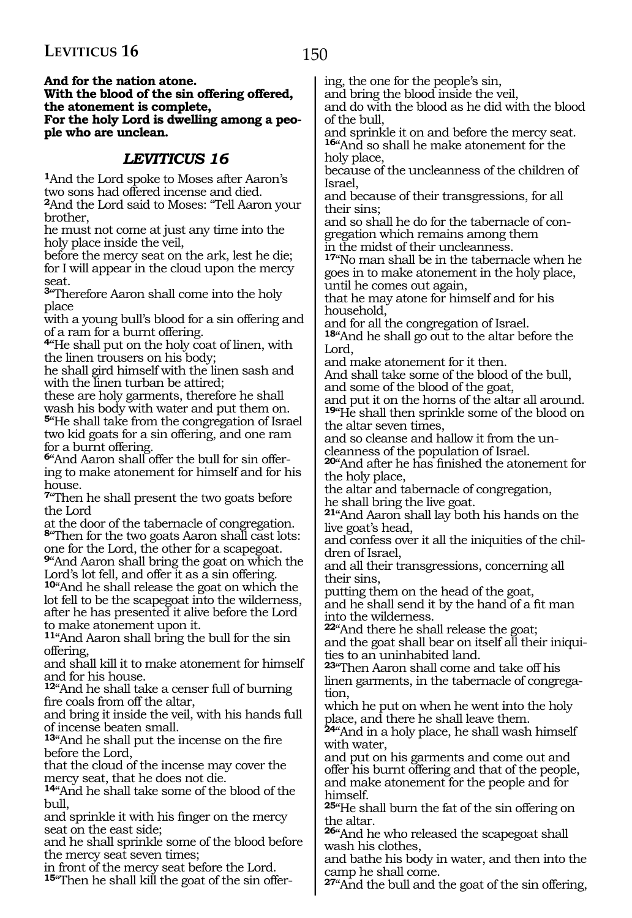**And for the nation atone.**

**With the blood of the sin offering offered, the atonement is complete, For the holy Lord is dwelling among a people who are unclean.**

### *LEVITICUS 16*

**<sup>1</sup>**And the Lord spoke to Moses after Aaron's two sons had offered incense and died. **<sup>2</sup>**And the Lord said to Moses: "Tell Aaron your

brother,

he must not come at just any time into the holy place inside the veil,

before the mercy seat on the ark, lest he die; for I will appear in the cloud upon the mercy seat.

**<sup>3</sup>**"Therefore Aaron shall come into the holy place

with a young bull's blood for a sin offering and of a ram for a burnt offering.

**<sup>4</sup>**"He shall put on the holy coat of linen, with the linen trousers on his body;

he shall gird himself with the linen sash and with the linen turban be attired;

these are holy garments, therefore he shall wash his body with water and put them on.

**<sup>5</sup>**"He shall take from the congregation of Israel two kid goats for a sin offering, and one ram for a burnt offering.

**6**"And Aaron shall offer the bull for sin offering to make atonement for himself and for his house.

**<sup>7</sup>**"Then he shall present the two goats before the Lord

at the door of the tabernacle of congregation. **<sup>8</sup>**"Then for the two goats Aaron shall cast lots: one for the Lord, the other for a scapegoat.

**<sup>9</sup>**"And Aaron shall bring the goat on which the Lord's lot fell, and offer it as a sin offering.

**<sup>10</sup>**"And he shall release the goat on which the lot fell to be the scapegoat into the wilderness, after he has presented it alive before the Lord to make atonement upon it.

**<sup>11</sup>**"And Aaron shall bring the bull for the sin offering,

and shall kill it to make atonement for himself and for his house.

**<sup>12</sup>**"And he shall take a censer full of burning fire coals from off the altar,

and bring it inside the veil, with his hands full of incense beaten small.

**<sup>13</sup>**"And he shall put the incense on the fire before the Lord,

that the cloud of the incense may cover the mercy seat, that he does not die.

**<sup>14</sup>**"And he shall take some of the blood of the bull,

and sprinkle it with his finger on the mercy seat on the east side;

and he shall sprinkle some of the blood before the mercy seat seven times;

in front of the mercy seat before the Lord.

**15**"Then he shall kill the goat of the sin offer-

ing, the one for the people's sin,

and bring the blood inside the veil,

and do with the blood as he did with the blood of the bull,

and sprinkle it on and before the mercy seat. **<sup>16</sup>**"And so shall he make atonement for the holy place,

because of the uncleanness of the children of Israel,

and because of their transgressions, for all their sins;

and so shall he do for the tabernacle of congregation which remains among them in the midst of their uncleanness.

**<sup>17</sup>**"No man shall be in the tabernacle when he goes in to make atonement in the holy place, until he comes out again,

that he may atone for himself and for his household,

and for all the congregation of Israel. **<sup>18</sup>**"And he shall go out to the altar before the

Lord,

and make atonement for it then. And shall take some of the blood of the bull,

and some of the blood of the goat,

and put it on the horns of the altar all around. **<sup>19</sup>**"He shall then sprinkle some of the blood on the altar seven times,

and so cleanse and hallow it from the uncleanness of the population of Israel.

**<sup>20</sup>**"And after he has finished the atonement for the holy place,

the altar and tabernacle of congregation, he shall bring the live goat.

**<sup>21</sup>**"And Aaron shall lay both his hands on the live goat's head,

and confess over it all the iniquities of the children of Israel,

and all their transgressions, concerning all their sins,

putting them on the head of the goat, and he shall send it by the hand of a fit man into the wilderness.

**<sup>22</sup>**"And there he shall release the goat; and the goat shall bear on itself all their iniquities to an uninhabited land.

**<sup>23</sup>**"Then Aaron shall come and take off his linen garments, in the tabernacle of congregation,

which he put on when he went into the holy place, and there he shall leave them.

**<sup>24</sup>**"And in a holy place, he shall wash himself with water,

and put on his garments and come out and offer his burnt offering and that of the people, and make atonement for the people and for himself.

**<sup>25</sup>**"He shall burn the fat of the sin offering on the altar.

**<sup>26</sup>**"And he who released the scapegoat shall wash his clothes,

and bathe his body in water, and then into the camp he shall come.

**<sup>27</sup>**"And the bull and the goat of the sin offering,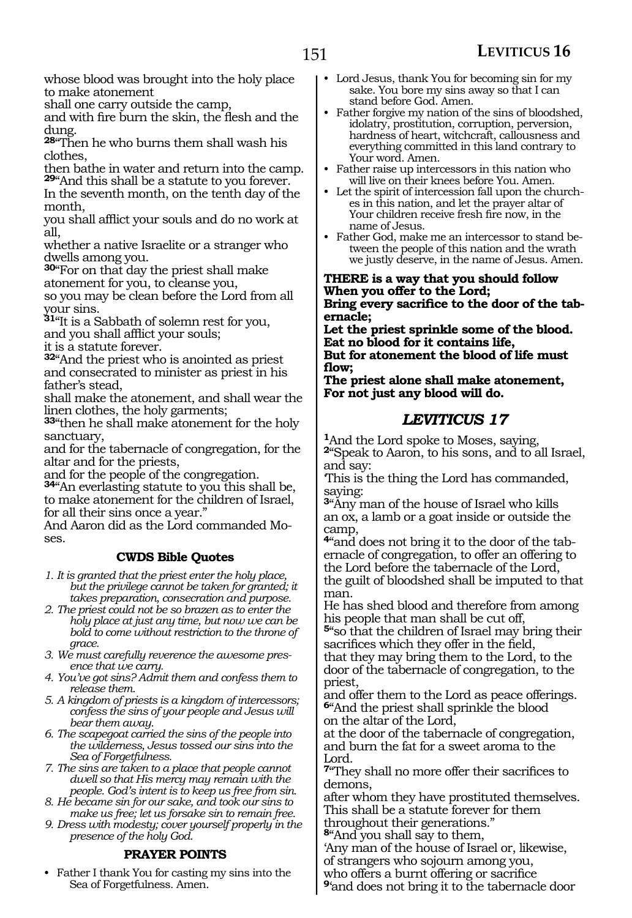whose blood was brought into the holy place to make atonement

shall one carry outside the camp,

and with fire burn the skin, the flesh and the dung.

**<sup>28</sup>**"Then he who burns them shall wash his clothes,

then bathe in water and return into the camp. **<sup>29</sup>**"And this shall be a statute to you forever.

In the seventh month, on the tenth day of the month,

you shall afflict your souls and do no work at all,

whether a native Israelite or a stranger who dwells among you.

**<sup>30</sup>**"For on that day the priest shall make atonement for you, to cleanse you,

so you may be clean before the Lord from all your sins.

**<sup>31</sup>**"It is a Sabbath of solemn rest for you, and you shall afflict your souls;

it is a statute forever.

**<sup>32</sup>**"And the priest who is anointed as priest and consecrated to minister as priest in his father's stead,

shall make the atonement, and shall wear the linen clothes, the holy garments;

**<sup>33</sup>**"then he shall make atonement for the holy sanctuary,

and for the tabernacle of congregation, for the altar and for the priests,

and for the people of the congregation.

**<sup>34</sup>**"An everlasting statute to you this shall be, to make atonement for the children of Israel, for all their sins once a year."

And Aaron did as the Lord commanded Moses.

#### **CWDS Bible Quotes**

*1. It is granted that the priest enter the holy place, but the privilege cannot be taken for granted; it takes preparation, consecration and purpose.*

- *2. The priest could not be so brazen as to enter the holy place at just any time, but now we can be bold to come without restriction to the throne of grace.*
- *3. We must carefully reverence the awesome presence that we carry.*
- *4. You've got sins? Admit them and confess them to release them.*
- *5. A kingdom of priests is a kingdom of intercessors; confess the sins of your people and Jesus will bear them away.*

*6. The scapegoat carried the sins of the people into the wilderness, Jesus tossed our sins into the Sea of Forgetfulness.*

*7. The sins are taken to a place that people cannot dwell so that His mercy may remain with the people. God's intent is to keep us free from sin.* 

*8. He became sin for our sake, and took our sins to make us free; let us forsake sin to remain free.*

*9. Dress with modesty; cover yourself properly in the presence of the holy God.* 

#### **PRAYER POINTS**

• Father I thank You for casting my sins into the Sea of Forgetfulness. Amen.

- Lord Jesus, thank You for becoming sin for my sake. You bore my sins away so that I can stand before God. Amen.
- Father forgive my nation of the sins of bloodshed, idolatry, prostitution, corruption, perversion, hardness of heart, witchcraft, callousness and everything committed in this land contrary to Your word. Amen.
- Father raise up intercessors in this nation who
- Let the spirit of intercession fall upon the churches in this nation, and let the prayer altar of Your children receive fresh fire now, in the name of Jesus.
- Father God, make me an intercessor to stand between the people of this nation and the wrath we justly deserve, in the name of Jesus. Amen.

**There is a way that you should follow When you offer to the Lord; Bring every sacrifice to the door of the tabernacle;**

**Let the priest sprinkle some of the blood. Eat no blood for it contains life, But for atonement the blood of life must flow;**

**The priest alone shall make atonement, For not just any blood will do.**

### *LEVITICUS 17*

**<sup>1</sup>**And the Lord spoke to Moses, saying, **<sup>2</sup>**"Speak to Aaron, to his sons, and to all Israel, and say:

'This is the thing the Lord has commanded, saying:

**<sup>3</sup>**"Any man of the house of Israel who kills an ox, a lamb or a goat inside or outside the camp,

**4**"and does not bring it to the door of the tabernacle of congregation, to offer an offering to the Lord before the tabernacle of the Lord, the guilt of bloodshed shall be imputed to that man.

He has shed blood and therefore from among his people that man shall be cut off,

**<sup>5</sup>**"so that the children of Israel may bring their sacrifices which they offer in the field,

that they may bring them to the Lord, to the door of the tabernacle of congregation, to the priest,

and offer them to the Lord as peace offerings. **<sup>6</sup>**"And the priest shall sprinkle the blood on the altar of the Lord,

at the door of the tabernacle of congregation, and burn the fat for a sweet aroma to the Lord.

**<sup>7</sup>**"They shall no more offer their sacrifices to demons,

after whom they have prostituted themselves. This shall be a statute forever for them throughout their generations."

**<sup>8</sup>**"And you shall say to them,

'Any man of the house of Israel or, likewise, of strangers who sojourn among you,

who offers a burnt offering or sacrifice

**<sup>9</sup>**'and does not bring it to the tabernacle door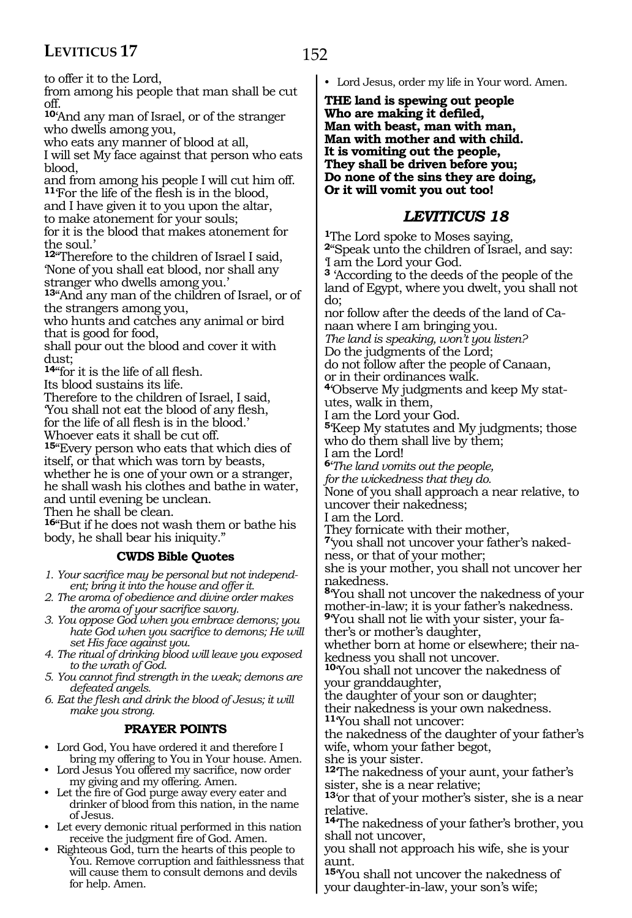to offer it to the Lord,

from among his people that man shall be cut off.

**<sup>10</sup>**'And any man of Israel, or of the stranger who dwells among you,

who eats any manner of blood at all,

I will set My face against that person who eats blood,

and from among his people I will cut him off. **<sup>11</sup>**'For the life of the flesh is in the blood, and I have given it to you upon the altar,

to make atonement for your souls;

for it is the blood that makes atonement for the soul.'

**<sup>12</sup>**"Therefore to the children of Israel I said, 'None of you shall eat blood, nor shall any stranger who dwells among you.'

**<sup>13</sup>**"And any man of the children of Israel, or of the strangers among you,

who hunts and catches any animal or bird that is good for food,

shall pour out the blood and cover it with dust;

**<sup>14</sup>**"for it is the life of all flesh.

Its blood sustains its life.

Therefore to the children of Israel, I said, 'You shall not eat the blood of any flesh,

for the life of all flesh is in the blood.'

Whoever eats it shall be cut off.

**<sup>15</sup>**"Every person who eats that which dies of itself, or that which was torn by beasts, whether he is one of your own or a stranger, he shall wash his clothes and bathe in water, and until evening be unclean. Then he shall be clean.

**<sup>16</sup>**"But if he does not wash them or bathe his

body, he shall bear his iniquity."

#### **CWDS Bible Quotes**

*1. Your sacrifice may be personal but not independent; bring it into the house and offer it.*

- *2. The aroma of obedience and divine order makes the aroma of your sacrifice savory.*
- *3. You oppose God when you embrace demons; you hate God when you sacrifice to demons; He will set His face against you.*
- *4. The ritual of drinking blood will leave you exposed to the wrath of God.*
- *5. You cannot find strength in the weak; demons are defeated angels.*
- *6. Eat the flesh and drink the blood of Jesus; it will make you strong.*

#### **PRAYER POINTS**

- Lord God, You have ordered it and therefore I bring my offering to You in Your house. Amen.
- Lord Jesus You offered my sacrifice, now order my giving and my offering. Amen.
- Let the fire of God purge away every eater and drinker of blood from this nation, in the name of Jesus.
- Let every demonic ritual performed in this nation receive the judgment fire of God. Amen.
- Righteous God, turn the hearts of this people to You. Remove corruption and faithlessness that will cause them to consult demons and devils for help. Amen.

• Lord Jesus, order my life in Your word. Amen.

**The land is spewing out people Who are making it defiled, Man with beast, man with man, Man with mother and with child. It is vomiting out the people, They shall be driven before you; Do none of the sins they are doing, Or it will vomit you out too!**

### *LEVITICUS 18*

**<sup>1</sup>**The Lord spoke to Moses saying, **<sup>2</sup>**"Speak unto the children of Israel, and say: 'I am the Lord your God.

**<sup>3</sup>** 'According to the deeds of the people of the land of Egypt, where you dwelt, you shall not do;

nor follow after the deeds of the land of Canaan where I am bringing you.

*The land is speaking, won't you listen?* 

Do the judgments of the Lord;

do not follow after the people of Canaan,

or in their ordinances walk. **4**'Observe My judgments and keep My statutes, walk in them,

I am the Lord your God.

**<sup>5</sup>**'Keep My statutes and My judgments; those who do them shall live by them;

I am the Lord!

**<sup>6</sup>**'*The land vomits out the people,* 

*for the wickedness that they do.* 

None of you shall approach a near relative, to uncover their nakedness;

I am the Lord.

They fornicate with their mother,

**7**'you shall not uncover your father's nakedness, or that of your mother;

she is your mother, you shall not uncover her nakedness.

**<sup>8</sup>**'You shall not uncover the nakedness of your mother-in-law; it is your father's nakedness. **9**'You shall not lie with your sister, your fa-

ther's or mother's daughter,

whether born at home or elsewhere; their nakedness you shall not uncover.

**<sup>10</sup>**'You shall not uncover the nakedness of your granddaughter,

the daughter of your son or daughter;

their nakedness is your own nakedness. **<sup>11</sup>**'You shall not uncover:

the nakedness of the daughter of your father's wife, whom your father begot,

she is your sister.

**<sup>12</sup>**'The nakedness of your aunt, your father's sister, she is a near relative;

**<sup>13</sup>**'or that of your mother's sister, she is a near relative.

**<sup>14</sup>**'The nakedness of your father's brother, you shall not uncover,

you shall not approach his wife, she is your aunt.

**<sup>15</sup>**'You shall not uncover the nakedness of your daughter-in-law, your son's wife;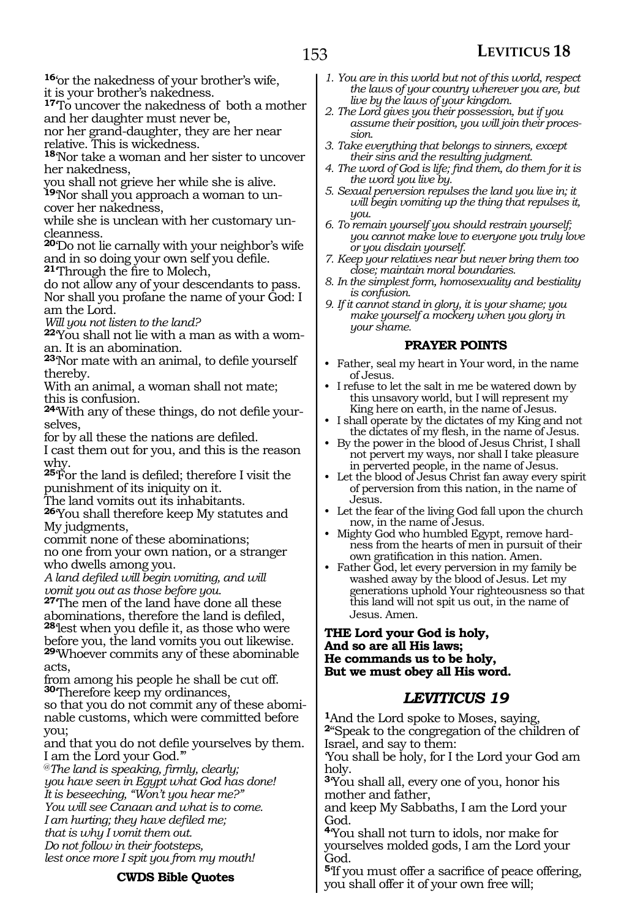**<sup>16</sup>**'or the nakedness of your brother's wife, it is your brother's nakedness.

**<sup>17</sup>**'To uncover the nakedness of both a mother and her daughter must never be,

nor her grand-daughter, they are her near relative. This is wickedness.

**<sup>18</sup>**'Nor take a woman and her sister to uncover her nakedness,

you shall not grieve her while she is alive.

**<sup>19</sup>**'Nor shall you approach a woman to un- cover her nakedness,

while she is unclean with her customary un- cleanness.

**<sup>20</sup>**'Do not lie carnally with your neighbor's wife and in so doing your own self you defile.

**<sup>21</sup>**'Through the fire to Molech,

do not allow any of your descendants to pass. Nor shall you profane the name of your God: I am the Lord.

*Will you not listen to the land?* 

**22**'You shall not lie with a man as with a woman. It is an abomination.

**<sup>23</sup>**'Nor mate with an animal, to defile yourself thereby.

With an animal, a woman shall not mate; this is confusion.

**24**'With any of these things, do not defile yourselves,

for by all these the nations are defiled.

I cast them out for you, and this is the reason why.

**<sup>25</sup>**'For the land is defiled; therefore I visit the punishment of its iniquity on it.

The land vomits out its inhabitants.

**<sup>26</sup>**'You shall therefore keep My statutes and My judgments,

commit none of these abominations; no one from your own nation, or a stranger who dwells among you.

*A land defiled will begin vomiting, and will vomit you out as those before you.* 

**<sup>27</sup>**'The men of the land have done all these abominations, therefore the land is defiled,

**<sup>28</sup>**'lest when you defile it, as those who were before you, the land vomits you out likewise. **<sup>29</sup>**'Whoever commits any of these abominable

acts,

from among his people he shall be cut off. **<sup>30</sup>**'Therefore keep my ordinances,

so that you do not commit any of these abominable customs, which were committed before you;

and that you do not defile yourselves by them. I am the Lord your God.'"

@*The land is speaking, firmly, clearly; you have seen in Egypt what God has done! It is beseeching, "Won't you hear me?" You will see Canaan and what is to come. I am hurting; they have defiled me; that is why I vomit them out. Do not follow in their footsteps, lest once more I spit you from my mouth!* 

**CWDS Bible Quotes**

- *1. You are in this world but not of this world, respect the laws of your country wherever you are, but live by the laws of your kingdom.*
- *2. The Lord gives you their possession, but if you assume their position, you will join their procession.*
- *3. Take everything that belongs to sinners, except their sins and the resulting judgment.*
- *4. The word of God is life; find them, do them for it is the word you live by.*
- *5. Sexual perversion repulses the land you live in; it will begin vomiting up the thing that repulses it, you.*
- *6. To remain yourself you should restrain yourself; you cannot make love to everyone you truly love or you disdain yourself.*
- *7. Keep your relatives near but never bring them too close; maintain moral boundaries.*
- *8. In the simplest form, homosexuality and bestiality is confusion.*
- *9. If it cannot stand in glory, it is your shame; you make yourself a mockery when you glory in your shame.*

#### **PRAYER POINTS**

- Father, seal my heart in Your word, in the name of Jesus.
- I refuse to let the salt in me be watered down by this unsavory world, but I will represent my King here on earth, in the name of Jesus.
- I shall operate by the dictates of my King and not the dictates of my flesh, in the name of Jesus.
- By the power in the blood of Jesus Christ, I shall not pervert my ways, nor shall I take pleasure in perverted people, in the name of Jesus.
- Let the blood of Jesus Christ fan away every spirit of perversion from this nation, in the name of Jesus.
- Let the fear of the living God fall upon the church now, in the name of Jesus.
- Mighty God who humbled Egypt, remove hardness from the hearts of men in pursuit of their own gratification in this nation. Amen.
- Father God, let every perversion in my family be washed away by the blood of Jesus. Let my generations uphold Your righteousness so that this land will not spit us out, in the name of Jesus. Amen.

#### **The Lord your God is holy, And so are all His laws; He commands us to be holy, But we must obey all His word.**

#### *LEVITICUS 19*

**<sup>1</sup>**And the Lord spoke to Moses, saying, **<sup>2</sup>**"Speak to the congregation of the children of Israel, and say to them:

'You shall be holy, for I the Lord your God am holy.

**<sup>3</sup>**'You shall all, every one of you, honor his mother and father,

and keep My Sabbaths, I am the Lord your God.

**<sup>4</sup>**'You shall not turn to idols, nor make for yourselves molded gods, I am the Lord your God.

**<sup>5</sup>**'If you must offer a sacrifice of peace offering, you shall offer it of your own free will;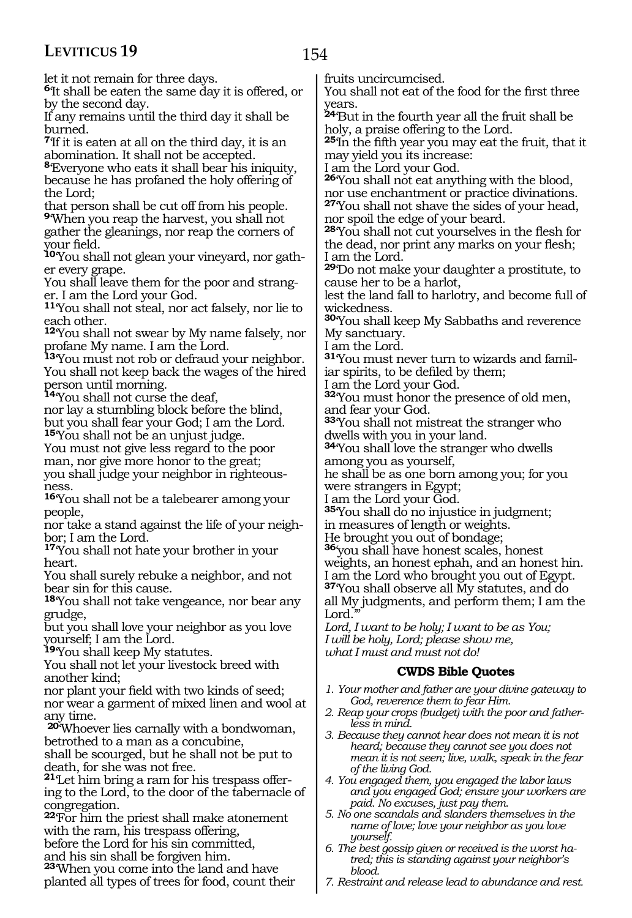154

let it not remain for three days.

**<sup>6</sup>**'It shall be eaten the same day it is offered, or by the second day.

If any remains until the third day it shall be burned.

**<sup>7</sup>**'If it is eaten at all on the third day, it is an abomination. It shall not be accepted.

**<sup>8</sup>**'Everyone who eats it shall bear his iniquity, because he has profaned the holy offering of the Lord;

that person shall be cut off from his people. **<sup>9</sup>**'When you reap the harvest, you shall not

gather the gleanings, nor reap the corners of your field.

**10**'You shall not glean your vineyard, nor gather every grape.

You shall leave them for the poor and stranger. I am the Lord your God.

**<sup>11</sup>**'You shall not steal, nor act falsely, nor lie to each other.

**<sup>12</sup>**'You shall not swear by My name falsely, nor profane My name. I am the Lord.

**<sup>13</sup>**'You must not rob or defraud your neighbor. You shall not keep back the wages of the hired person until morning.

**<sup>14</sup>**'You shall not curse the deaf,

nor lay a stumbling block before the blind, but you shall fear your God; I am the Lord. **<sup>15</sup>**'You shall not be an unjust judge.

You must not give less regard to the poor man, nor give more honor to the great; you shall judge your neighbor in righteousness.

**<sup>16</sup>**'You shall not be a talebearer among your people,

nor take a stand against the life of your neighbor; I am the Lord.

**<sup>17</sup>**'You shall not hate your brother in your heart.

You shall surely rebuke a neighbor, and not bear sin for this cause.

**<sup>18</sup>**'You shall not take vengeance, nor bear any grudge,

but you shall love your neighbor as you love yourself; I am the Lord.

**<sup>19</sup>**'You shall keep My statutes.

You shall not let your livestock breed with another kind;

nor plant your field with two kinds of seed; nor wear a garment of mixed linen and wool at any time.

**<sup>20</sup>**'Whoever lies carnally with a bondwoman, betrothed to a man as a concubine,

shall be scourged, but he shall not be put to death, for she was not free.

**21**'Let him bring a ram for his trespass offering to the Lord, to the door of the tabernacle of congregation.

**<sup>22</sup>**'For him the priest shall make atonement with the ram, his trespass offering, before the Lord for his sin committed,

and his sin shall be forgiven him.

**<sup>23</sup>**'When you come into the land and have planted all types of trees for food, count their fruits uncircumcised.

You shall not eat of the food for the first three years.

**<sup>24</sup>**'But in the fourth year all the fruit shall be holy, a praise offering to the Lord.

**<sup>25</sup>**'In the fifth year you may eat the fruit, that it may yield you its increase:

I am the Lord your God.

**<sup>26</sup>**'You shall not eat anything with the blood, nor use enchantment or practice divinations. **<sup>27</sup>**'You shall not shave the sides of your head,

nor spoil the edge of your beard.

**<sup>28</sup>**'You shall not cut yourselves in the flesh for the dead, nor print any marks on your flesh; I am the Lord.

**<sup>29</sup>**'Do not make your daughter a prostitute, to cause her to be a harlot,

lest the land fall to harlotry, and become full of wickedness.

**<sup>30</sup>**'You shall keep My Sabbaths and reverence My sanctuary.

I am the Lord.

**31**'You must never turn to wizards and familiar spirits, to be defiled by them;

I am the Lord your God.

**<sup>32</sup>**'You must honor the presence of old men, and fear your God.

**<sup>33</sup>**'You shall not mistreat the stranger who dwells with you in your land.

**<sup>34</sup>**'You shall love the stranger who dwells among you as yourself,

he shall be as one born among you; for you were strangers in Egypt;

I am the Lord your God.

**<sup>35</sup>**'You shall do no injustice in judgment;

in measures of length or weights.

He brought you out of bondage;

**<sup>36</sup>**'you shall have honest scales, honest

weights, an honest ephah, and an honest hin. I am the Lord who brought you out of Egypt.

**<sup>37</sup>**'You shall observe all My statutes, and do all My judgments, and perform them; I am the Lord.

*Lord, I want to be holy; I want to be as You; I will be holy, Lord; please show me, what I must and must not do!* 

#### **CWDS Bible Quotes**

- *1. Your mother and father are your divine gateway to God, reverence them to fear Him.*
- *2. Reap your crops (budget) with the poor and fatherless in mind.*
- *3. Because they cannot hear does not mean it is not heard; because they cannot see you does not mean it is not seen; live, walk, speak in the fear of the living God.*
- *4. You engaged them, you engaged the labor laws and you engaged God; ensure your workers are paid. No excuses, just pay them.*
- *5. No one scandals and slanders themselves in the name of love; love your neighbor as you love yourself.*
- *6. The best gossip given or received is the worst hatred; this is standing against your neighbor's blood.*
- *7. Restraint and release lead to abundance and rest.*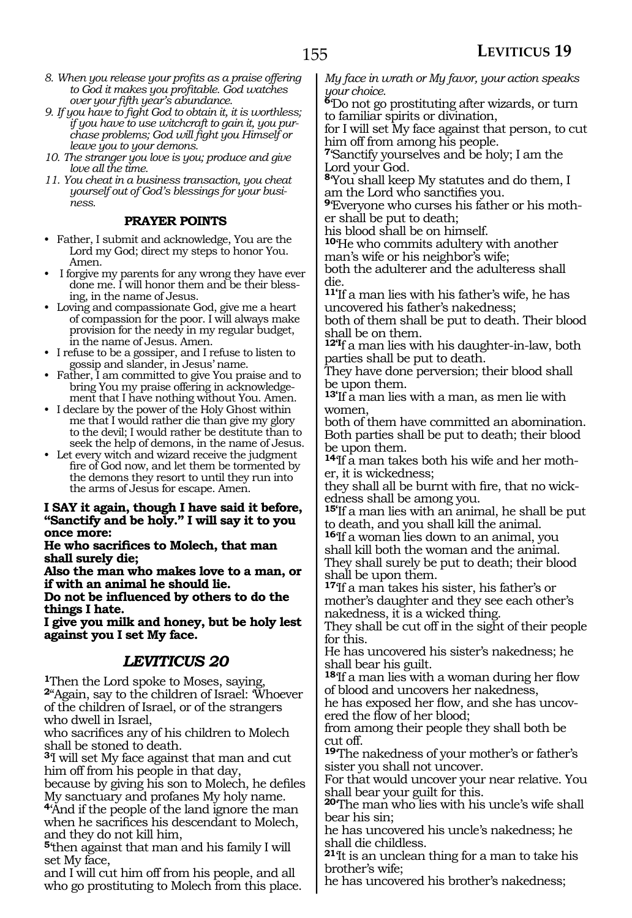- *8. When you release your profits as a praise offering to God it makes you profitable. God watches over your fifth year's abundance.*
- *9. If you have to fight God to obtain it, it is worthless; if you have to use witchcraft to gain it, you purchase problems; God will fight you Himself or leave you to your demons.*
- *10. The stranger you love is you; produce and give love all the time.*
- *11. You cheat in a business transaction, you cheat yourself out of God's blessings for your business.*

#### **PRAYER POINTS**

- Father, I submit and acknowledge, You are the Lord my God; direct my steps to honor You. Amen.
- I forgive my parents for any wrong they have ever done me. I will honor them and be their blessing, in the name of Jesus.
- Loving and compassionate God, give me a heart of compassion for the poor. I will always make provision for the needy in my regular budget, in the name of Jesus. Amen.
- I refuse to be a gossiper, and I refuse to listen to gossip and slander, in Jesus' name.
- Father, I am committed to give You praise and to bring You my praise offering in acknowledgement that I have nothing without You. Amen.
- I declare by the power of the Holy Ghost within me that I would rather die than give my glory to the devil; I would rather be destitute than to seek the help of demons, in the name of Jesus.
- Let every witch and wizard receive the judgment fire of God now, and let them be tormented by the demons they resort to until they run into the arms of Jesus for escape. Amen.

### **I say it again, though I have said it before, "Sanctify and be holy." I will say it to you once more:**

**He who sacrifices to Molech, that man shall surely die;**

**Also the man who makes love to a man, or if with an animal he should lie.**

**Do not be influenced by others to do the things I hate.**

**I give you milk and honey, but be holy lest against you I set My face.**

#### *LEVITICUS 20*

**<sup>1</sup>**Then the Lord spoke to Moses, saying, **<sup>2</sup>**"Again, say to the children of Israel: 'Whoever of the children of Israel, or of the strangers who dwell in Israel,

who sacrifices any of his children to Molech shall be stoned to death.

**<sup>3</sup>**'I will set My face against that man and cut him off from his people in that day,

because by giving his son to Molech, he defiles My sanctuary and profanes My holy name.

**<sup>4</sup>**'And if the people of the land ignore the man when he sacrifices his descendant to Molech, and they do not kill him,

**<sup>5</sup>**'then against that man and his family I will set My face,

and I will cut him off from his people, and all who go prostituting to Molech from this place. *My face in wrath or My favor, your action speaks your choice.*

**<sup>6</sup>**'Do not go prostituting after wizards, or turn to familiar spirits or divination,

for I will set My face against that person, to cut him off from among his people.

**<sup>7</sup>**'Sanctify yourselves and be holy; I am the Lord your God.

**<sup>8</sup>**'You shall keep My statutes and do them, I am the Lord who sanctifies you.

**9**'Everyone who curses his father or his mother shall be put to death;

his blood shall be on himself.

**<sup>10</sup>**'He who commits adultery with another man's wife or his neighbor's wife;

both the adulterer and the adulteress shall die.

**11'**If a man lies with his father's wife, he has uncovered his father's nakedness;

both of them shall be put to death. Their blood shall be on them.

**12'I**f a man lies with his daughter-in-law, both parties shall be put to death.

They have done perversion; their blood shall be upon them.

**13'**If a man lies with a man, as men lie with women,

both of them have committed an abomination. Both parties shall be put to death; their blood be upon them.

**14**The a man takes both his wife and her mother, it is wickedness;

they shall all be burnt with fire, that no wick- edness shall be among you.

**15'**If a man lies with an animal, he shall be put to death, and you shall kill the animal.

**<sup>16</sup>**'If a woman lies down to an animal, you shall kill both the woman and the animal.

They shall surely be put to death; their blood shall be upon them.

**<sup>17</sup>**'If a man takes his sister, his father's or mother's daughter and they see each other's nakedness, it is a wicked thing.

They shall be cut off in the sight of their people for this.

He has uncovered his sister's nakedness; he shall bear his guilt.

**<sup>18</sup>**'If a man lies with a woman during her flow of blood and uncovers her nakedness,

he has exposed her flow, and she has uncovered the flow of her blood;

from among their people they shall both be cut off.

**<sup>19</sup>**'The nakedness of your mother's or father's sister you shall not uncover.

For that would uncover your near relative. You shall bear your guilt for this.

**<sup>20</sup>**'The man who lies with his uncle's wife shall bear his sin;

he has uncovered his uncle's nakedness; he shall die childless.

**<sup>21</sup>**'It is an unclean thing for a man to take his brother's wife;

he has uncovered his brother's nakedness;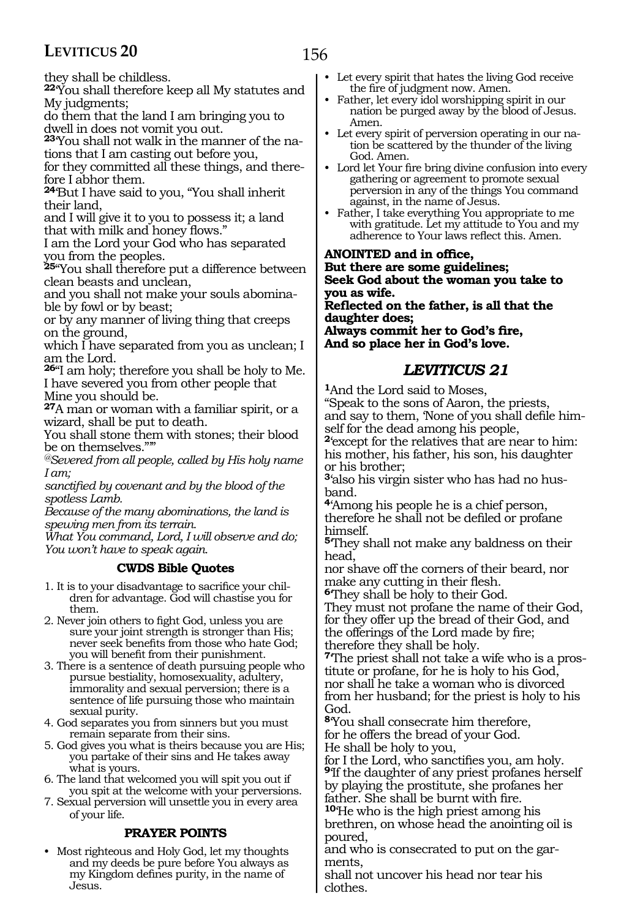they shall be childless.

**<sup>22</sup>**'You shall therefore keep all My statutes and My judgments;

do them that the land I am bringing you to dwell in does not vomit you out.

**23**'You shall not walk in the manner of the nations that I am casting out before you,

for they committed all these things, and therefore I abhor them.

**<sup>24</sup>**'But I have said to you, "You shall inherit their land,

and I will give it to you to possess it; a land that with milk and honey flows."

I am the Lord your God who has separated you from the peoples.

**<sup>25</sup>**"You shall therefore put a difference between clean beasts and unclean,

and you shall not make your souls abomina- ble by fowl or by beast;

or by any manner of living thing that creeps on the ground,

which I have separated from you as unclean; I am the Lord.

**<sup>26</sup>**"I am holy; therefore you shall be holy to Me. I have severed you from other people that Mine you should be.

**<sup>27</sup>**A man or woman with a familiar spirit, or a wizard, shall be put to death.

You shall stone them with stones; their blood be on themselves."'"

*@Severed from all people, called by His holy name I am;*

*sanctified by covenant and by the blood of the spotless Lamb.* 

*Because of the many abominations, the land is spewing men from its terrain.*

*What You command, Lord, I will observe and do; You won't have to speak again.*

#### **CWDS Bible Quotes**

- 1. It is to your disadvantage to sacrifice your children for advantage. God will chastise you for them.
- 2. Never join others to fight God, unless you are sure your joint strength is stronger than His; never seek benefits from those who hate God; you will benefit from their punishment.
- 3. There is a sentence of death pursuing people who pursue bestiality, homosexuality, adultery, immorality and sexual perversion; there is a sentence of life pursuing those who maintain sexual purity.
- 4. God separates you from sinners but you must remain separate from their sins.
- 5. God gives you what is theirs because you are His; you partake of their sins and He takes away what is yours.
- 6. The land that welcomed you will spit you out if you spit at the welcome with your perversions.
- 7. Sexual perversion will unsettle you in every area of your life.

#### **PRAYER POINTS**

• Most righteous and Holy God, let my thoughts and my deeds be pure before You always as my Kingdom defines purity, in the name of Jesus.

- Let every spirit that hates the living God receive the fire of judgment now. Amen.
- Father, let every idol worshipping spirit in our nation be purged away by the blood of Jesus. Amen.
- Let every spirit of perversion operating in our nation be scattered by the thunder of the living God. Amen.
- Lord let Your fire bring divine confusion into every gathering or agreement to promote sexual perversion in any of the things You command against, in the name of Jesus.
- Father, I take everything You appropriate to me with gratitude. Let my attitude to You and my adherence to Your laws reflect this. Amen.

#### **Anointed and in office,**

**But there are some guidelines; Seek God about the woman you take to you as wife.**

**Reflected on the father, is all that the daughter does; Always commit her to God's fire,**

**And so place her in God's love.**

### *LEVITICUS 21*

**<sup>1</sup>**And the Lord said to Moses, "Speak to the sons of Aaron, the priests, and say to them, 'None of you shall defile himself for the dead among his people, **<sup>2</sup>**'except for the relatives that are near to him: his mother, his father, his son, his daughter or his brother; **3**'also his virgin sister who has had no husband.

**<sup>4</sup>**'Among his people he is a chief person, therefore he shall not be defiled or profane himself.

**<sup>5</sup>**'They shall not make any baldness on their head,

nor shave off the corners of their beard, nor make any cutting in their flesh.

**<sup>6</sup>**'They shall be holy to their God.

They must not profane the name of their God, for they offer up the bread of their God, and the offerings of the Lord made by fire; therefore they shall be holy.

**7**'The priest shall not take a wife who is a prostitute or profane, for he is holy to his God, nor shall he take a woman who is divorced from her husband; for the priest is holy to his God.

**<sup>8</sup>**'You shall consecrate him therefore, for he offers the bread of your God. He shall be holy to you,

for I the Lord, who sanctifies you, am holy. **<sup>9</sup>**'If the daughter of any priest profanes herself by playing the prostitute, she profanes her father. She shall be burnt with fire.

**<sup>10</sup>**'He who is the high priest among his brethren, on whose head the anointing oil is poured,

and who is consecrated to put on the garments,

shall not uncover his head nor tear his clothes.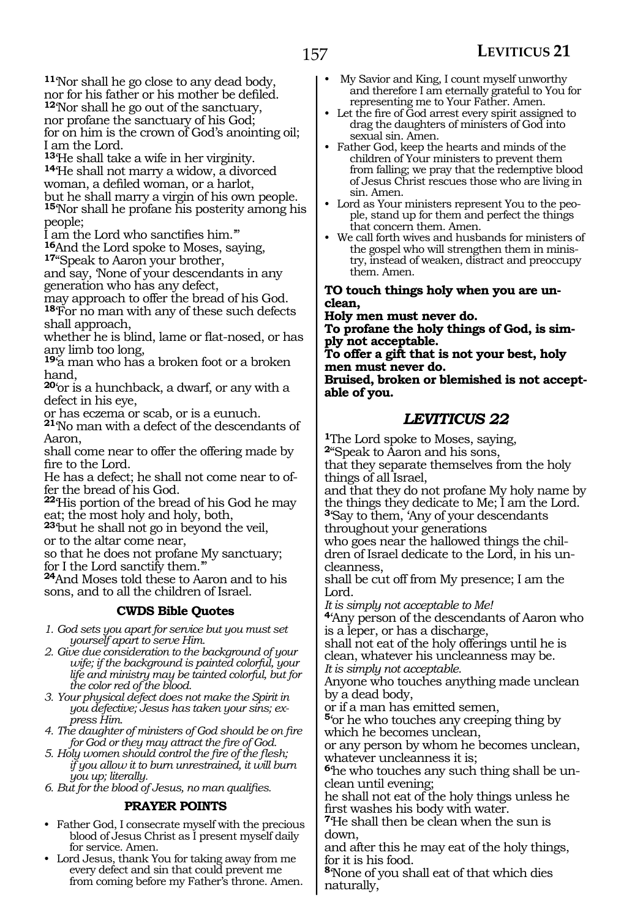**<sup>11</sup>**'Nor shall he go close to any dead body, nor for his father or his mother be defiled.

**<sup>12</sup>**'Nor shall he go out of the sanctuary,

nor profane the sanctuary of his God;

for on him is the crown of God's anointing oil; I am the Lord.<br><sup>13</sup>He shall take a wife in her virginity.

<sup>14</sup>He shall not marry a widow, a divorced woman, a defiled woman, or a harlot, but he shall marry a virgin of his own people.

**<sup>15</sup>**'Nor shall he profane his posterity among his people;

I am the Lord who sanctifies him.'"

**<sup>16</sup>**And the Lord spoke to Moses, saying, **<sup>17</sup>**"Speak to Aaron your brother,

and say, 'None of your descendants in any generation who has any defect,

may approach to offer the bread of his God. **<sup>18</sup>**'For no man with any of these such defects shall approach,

whether he is blind, lame or flat-nosed, or has any limb too long,

**<sup>19</sup>**'a man who has a broken foot or a broken hand,

**<sup>20</sup>**'or is a hunchback, a dwarf, or any with a defect in his eye,

or has eczema or scab, or is a eunuch.

**<sup>21</sup>**'No man with a defect of the descendants of Aaron,

shall come near to offer the offering made by fire to the Lord.

He has a defect; he shall not come near to offer the bread of his God.

**<sup>22</sup>**'His portion of the bread of his God he may eat; the most holy and holy, both,

**<sup>23</sup>**'but he shall not go in beyond the veil, or to the altar come near,

so that he does not profane My sanctuary; for I the Lord sanctify them.'"

**<sup>24</sup>**And Moses told these to Aaron and to his sons, and to all the children of Israel.

#### **CWDS Bible Quotes**

*1. God sets you apart for service but you must set yourself apart to serve Him.*

*2. Give due consideration to the background of your wife; if the background is painted colorful, your life and ministry may be tainted colorful, but for the color red of the blood.*

*3. Your physical defect does not make the Spirit in you defective; Jesus has taken your sins; express Him.*

*4. The daughter of ministers of God should be on fire for God or they may attract the fire of God.*

*5. Holy women should control the fire of the flesh; if you allow it to burn unrestrained, it will burn you up; literally.*

*6. But for the blood of Jesus, no man qualifies.*

#### **PRAYER POINTS**

- Father God, I consecrate myself with the precious blood of Jesus Christ as I present myself daily for service. Amen.
- Lord Jesus, thank You for taking away from me every defect and sin that could prevent me from coming before my Father's throne. Amen.
- My Savior and King, I count myself unworthy and therefore I am eternally grateful to You for representing me to Your Father. Amen.
- Let the fire of God arrest every spirit assigned to drag the daughters of ministers of God into sexual sin. Amen.
- Father God, keep the hearts and minds of the children of Your ministers to prevent them from falling; we pray that the redemptive blood of Jesus Christ rescues those who are living in sin. Amen.
- Lord as Your ministers represent You to the people, stand up for them and perfect the things that concern them. Amen.
- We call forth wives and husbands for ministers of the gospel who will strengthen them in ministry, instead of weaken, distract and preoccupy them. Amen.

**To touch things holy when you are unclean,**

**Holy men must never do. To profane the holy things of God, is simply not acceptable. To offer a gift that is not your best, holy men must never do. Bruised, broken or blemished is not acceptable of you.**

### *LEVITICUS 22*

**<sup>1</sup>**The Lord spoke to Moses, saying,

**<sup>2</sup>**"Speak to Aaron and his sons, that they separate themselves from the holy things of all Israel,

and that they do not profane My holy name by the things they dedicate to Me; I am the Lord. **<sup>3</sup>**'Say to them, 'Any of your descendants

throughout your generations who goes near the hallowed things the children of Israel dedicate to the Lord, in his un-

cleanness, shall be cut off from My presence; I am the

Lord.

*It is simply not acceptable to Me!*

**<sup>4</sup>**'Any person of the descendants of Aaron who is a leper, or has a discharge,

shall not eat of the holy offerings until he is clean, whatever his uncleanness may be. *It is simply not acceptable.*

Anyone who touches anything made unclean by a dead body,

or if a man has emitted semen,

**<sup>5</sup>**'or he who touches any creeping thing by which he becomes unclean,

or any person by whom he becomes unclean, whatever uncleanness it is;

**6**'he who touches any such thing shall be unclean until evening;

he shall not eat of the holy things unless he first washes his body with water.

**<sup>7</sup>**'He shall then be clean when the sun is down,

and after this he may eat of the holy things, for it is his food.

**<sup>8</sup>**'None of you shall eat of that which dies naturally,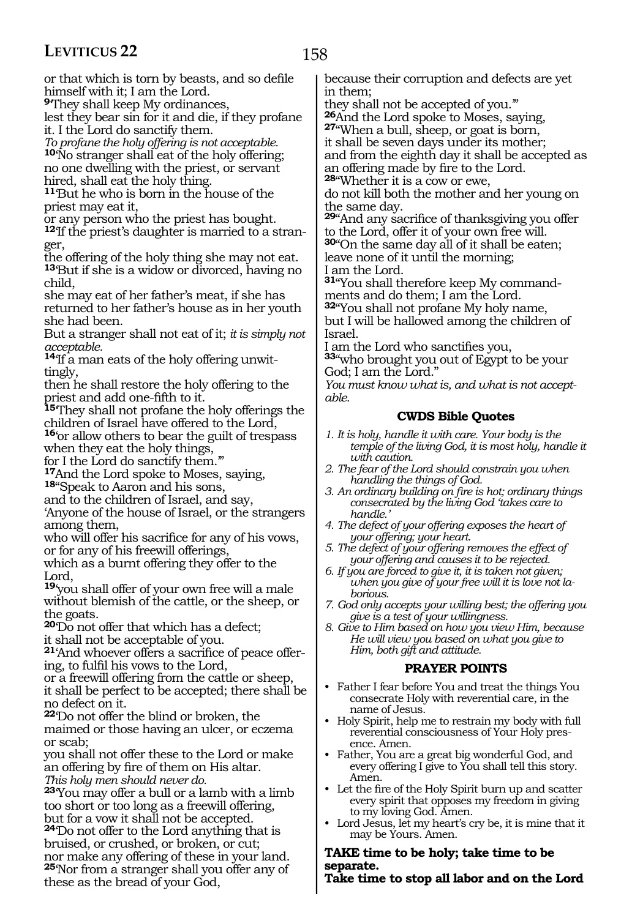158

or that which is torn by beasts, and so defile himself with it; I am the Lord.

**<sup>9</sup>**'They shall keep My ordinances,

lest they bear sin for it and die, if they profane it. I the Lord do sanctify them.

*To profane the holy offering is not acceptable.* **<sup>10</sup>**'No stranger shall eat of the holy offering; no one dwelling with the priest, or servant hired, shall eat the holy thing.

**<sup>11</sup>**'But he who is born in the house of the priest may eat it,

or any person who the priest has bought.

**12**'If the priest's daughter is married to a stranger,

the offering of the holy thing she may not eat. **<sup>13</sup>**'But if she is a widow or divorced, having no child,

she may eat of her father's meat, if she has returned to her father's house as in her youth she had been.

But a stranger shall not eat of it; *it is simply not acceptable.*

**14**'If a man eats of the holy offering unwittingly,

then he shall restore the holy offering to the priest and add one-fifth to it.

**<sup>15</sup>**'They shall not profane the holy offerings the children of Israel have offered to the Lord, **<sup>16</sup>**'or allow others to bear the guilt of trespass

when they eat the holy things, for I the Lord do sanctify them.'"

**<sup>17</sup>**And the Lord spoke to Moses, saying, **<sup>18</sup>**"Speak to Aaron and his sons,

and to the children of Israel, and say,

'Anyone of the house of Israel, or the strangers among them,

who will offer his sacrifice for any of his vows, or for any of his freewill offerings,

which as a burnt offering they offer to the Lord,

**<sup>19</sup>**'you shall offer of your own free will a male without blemish of the cattle, or the sheep, or the goats.

**<sup>20</sup>**'Do not offer that which has a defect; it shall not be acceptable of you.

**21**'And whoever offers a sacrifice of peace offering, to fulfil his vows to the Lord,

or a freewill offering from the cattle or sheep, it shall be perfect to be accepted; there shall be no defect on it.

**<sup>22</sup>**'Do not offer the blind or broken, the maimed or those having an ulcer, or eczema or scab;

you shall not offer these to the Lord or make an offering by fire of them on His altar. *This holy men should never do.*

**<sup>23</sup>**'You may offer a bull or a lamb with a limb too short or too long as a freewill offering, but for a vow it shall not be accepted.

**<sup>24</sup>**'Do not offer to the Lord anything that is bruised, or crushed, or broken, or cut; nor make any offering of these in your land. **<sup>25</sup>**'Nor from a stranger shall you offer any of these as the bread of your God,

because their corruption and defects are yet in them;

they shall not be accepted of you."<br>26 And the Lord spoke to Moses, saying,

**27** When a bull, sheep, or goat is born, it shall be seven days under its mother;

and from the eighth day it shall be accepted as an offering made by fire to the Lord.

**<sup>28</sup>**"Whether it is a cow or ewe,

do not kill both the mother and her young on the same day.

**<sup>29</sup>**"And any sacrifice of thanksgiving you offer to the Lord, offer it of your own free will. **<sup>30</sup>**"On the same day all of it shall be eaten; leave none of it until the morning;

I am the Lord.

**31**"You shall therefore keep My commandments and do them; I am the Lord.

**<sup>32</sup>**"You shall not profane My holy name, but I will be hallowed among the children of Israel.

I am the Lord who sanctifies you,

**<sup>33</sup>**"who brought you out of Egypt to be your God; I am the Lord."

*You must know what is, and what is not acceptable.*

#### **CWDS Bible Quotes**

- *1. It is holy, handle it with care. Your body is the temple of the living God, it is most holy, handle it with caution.*
- *2. The fear of the Lord should constrain you when handling the things of God.*
- *3. An ordinary building on fire is hot; ordinary things consecrated by the living God 'takes care to handle.'*
- *4. The defect of your offering exposes the heart of your offering; your heart.*
- *5. The defect of your offering removes the effect of your offering and causes it to be rejected.*
- *6. If you are forced to give it, it is taken not given; when you give of your free will it is love not laborious.*
- *7. God only accepts your willing best; the offering you give is a test of your willingness.*
- *8. Give to Him based on how you view Him, because He will view you based on what you give to Him, both gift and attitude.*

#### **PRAYER POINTS**

- Father I fear before You and treat the things You consecrate Holy with reverential care, in the name of Jesus.
- Holy Spirit, help me to restrain my body with full reverential consciousness of Your Holy presence. Amen.
- Father, You are a great big wonderful God, and every offering I give to You shall tell this story. Amen.
- Let the fire of the Holy Spirit burn up and scatter every spirit that opposes my freedom in giving to my loving God. Amen.
- Lord Jesus, let my heart's cry be, it is mine that it may be Yours. Amen.

#### **Take time to be holy; take time to be separate.**

**Take time to stop all labor and on the Lord**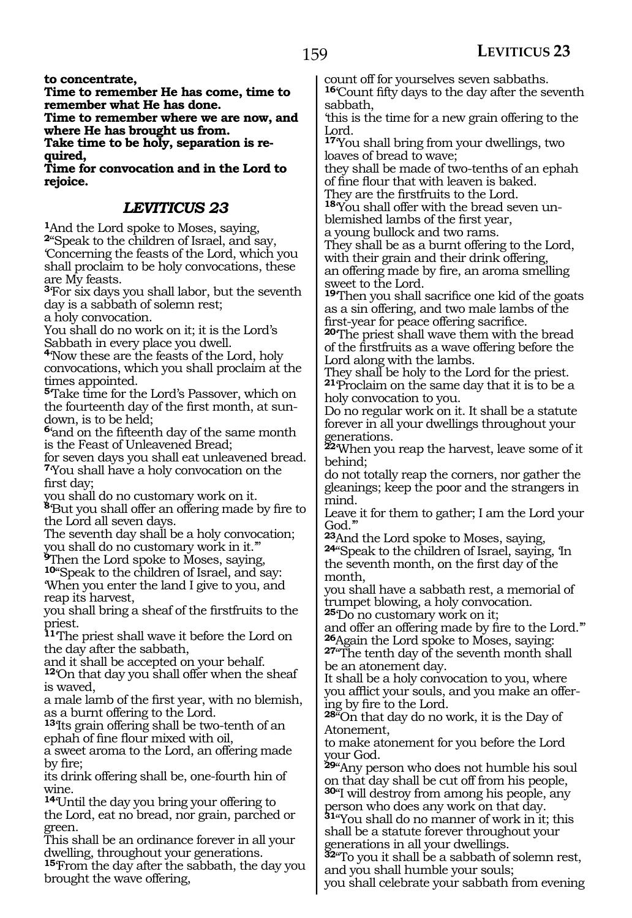**to concentrate,**

**Time to remember He has come, time to remember what He has done.**

**Time to remember where we are now, and where He has brought us from.**

**Take time to be holy, separation is required,**

**Time for convocation and in the Lord to rejoice.** 

### *LEVITICUS 23*

**<sup>1</sup>**And the Lord spoke to Moses, saying,

**<sup>2</sup>**"Speak to the children of Israel, and say, 'Concerning the feasts of the Lord, which you shall proclaim to be holy convocations, these are My feasts.

**<sup>3</sup>**'For six days you shall labor, but the seventh day is a sabbath of solemn rest;

a holy convocation.

You shall do no work on it; it is the Lord's Sabbath in every place you dwell.

**<sup>4</sup>**'Now these are the feasts of the Lord, holy convocations, which you shall proclaim at the times appointed.

**<sup>5</sup>**'Take time for the Lord's Passover, which on the fourteenth day of the first month, at sundown, is to be held;

**<sup>6</sup>**'and on the fifteenth day of the same month is the Feast of Unleavened Bread;

for seven days you shall eat unleavened bread. **<sup>7</sup>**'You shall have a holy convocation on the first day;

you shall do no customary work on it. **<sup>8</sup>**'But you shall offer an offering made by fire to the Lord all seven days.

The seventh day shall be a holy convocation; you shall do no customary work in it.'"

**<sup>9</sup>**Then the Lord spoke to Moses, saying,

**<sup>10</sup>**"Speak to the children of Israel, and say: 'When you enter the land I give to you, and reap its harvest,

you shall bring a sheaf of the firstfruits to the priest.

**<sup>11</sup>**'The priest shall wave it before the Lord on the day after the sabbath,

and it shall be accepted on your behalf.

<sup>12</sup>On that day you shall offer when the sheaf is waved,

a male lamb of the first year, with no blemish, as a burnt offering to the Lord.

**<sup>13</sup>**'Its grain offering shall be two-tenth of an ephah of fine flour mixed with oil,

a sweet aroma to the Lord, an offering made by fire;

its drink offering shall be, one-fourth hin of wine.

**<sup>14</sup>**'Until the day you bring your offering to the Lord, eat no bread, nor grain, parched or green.

This shall be an ordinance forever in all your dwelling, throughout your generations.

**<sup>15</sup>**'From the day after the sabbath, the day you brought the wave offering,

count off for yourselves seven sabbaths. **<sup>16</sup>**'Count fifty days to the day after the seventh sabbath,

'this is the time for a new grain offering to the Lord.

**<sup>17</sup>**'You shall bring from your dwellings, two loaves of bread to wave;

they shall be made of two-tenths of an ephah of fine flour that with leaven is baked.

They are the firstfruits to the Lord.

**18**'You shall offer with the bread seven unblemished lambs of the first year,

a young bullock and two rams.

They shall be as a burnt offering to the Lord, with their grain and their drink offering, an offering made by fire, an aroma smelling sweet to the Lord.

**<sup>19</sup>**'Then you shall sacrifice one kid of the goats as a sin offering, and two male lambs of the first-year for peace offering sacrifice.

**<sup>20</sup>**'The priest shall wave them with the bread of the firstfruits as a wave offering before the Lord along with the lambs.

They shall be holy to the Lord for the priest. **<sup>21</sup>**'Proclaim on the same day that it is to be a holy convocation to you.

Do no regular work on it. It shall be a statute forever in all your dwellings throughout your generations.

**<sup>22</sup>**'When you reap the harvest, leave some of it behind;

do not totally reap the corners, nor gather the gleanings; keep the poor and the strangers in mind.

Leave it for them to gather; I am the Lord your

God."<br><sup>23</sup>And the Lord spoke to Moses, saying, **24**"Speak to the children of Israel, saying, 'In the seventh month, on the first day of the month,

you shall have a sabbath rest, a memorial of trumpet blowing, a holy convocation.

**<sup>25</sup>**'Do no customary work on it;

and offer an offering made by fire to the Lord."<br><sup>26</sup> Again the Lord spoke to Moses, saying: **27**<sup>"</sup>The tenth day of the seventh month shall

be an atonement day.

It shall be a holy convocation to you, where you afflict your souls, and you make an offering by fire to the Lord.

**<sup>28</sup>**"On that day do no work, it is the Day of Atonement,

to make atonement for you before the Lord your God.

**<sup>29</sup>**"Any person who does not humble his soul on that day shall be cut off from his people,

**<sup>30</sup>**"I will destroy from among his people, any person who does any work on that day.

**Person who does any work on their it; this**<br>**31**"You shall do no manner of work in it; this shall be a statute forever throughout your generations in all your dwellings.

**<sup>32</sup>**"To you it shall be a sabbath of solemn rest, and you shall humble your souls;

you shall celebrate your sabbath from evening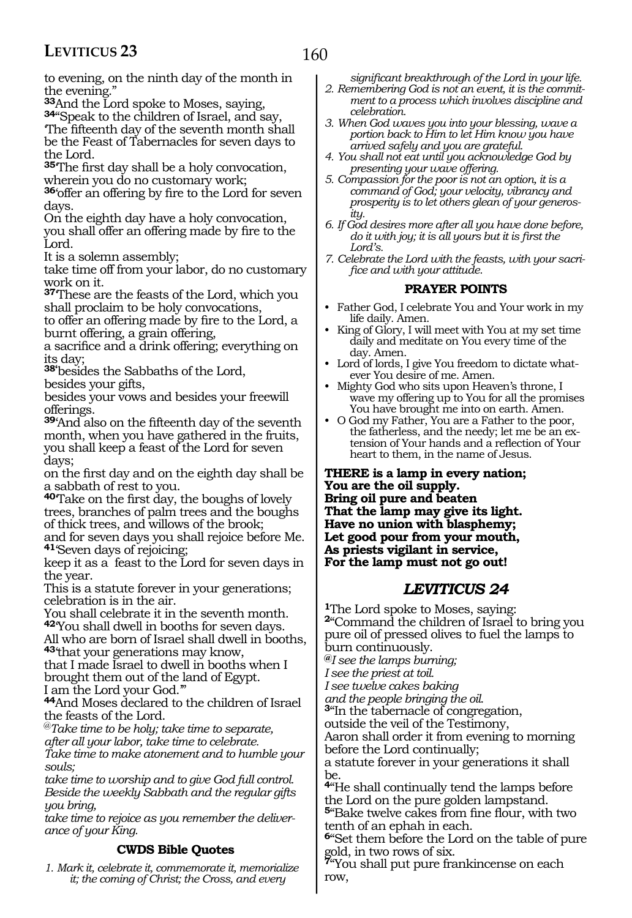to evening, on the ninth day of the month in

the evening."<br><sup>33</sup>And the Lord spoke to Moses, saying, **34**"Speak to the children of Israel, and say, 'The fifteenth day of the seventh month shall be the Feast of Tabernacles for seven days to the Lord.

**<sup>35</sup>**'The first day shall be a holy convocation, wherein you do no customary work;

**<sup>36</sup>**'offer an offering by fire to the Lord for seven days.

On the eighth day have a holy convocation, you shall offer an offering made by fire to the Lord.

It is a solemn assembly;

take time off from your labor, do no customary work on it.

**<sup>37</sup>**'These are the feasts of the Lord, which you shall proclaim to be holy convocations,

to offer an offering made by fire to the Lord, a burnt offering, a grain offering,

a sacrifice and a drink offering; everything on its day;

**38'**besides the Sabbaths of the Lord,

besides your gifts,

besides your vows and besides your freewill offerings.

**<sup>39</sup>**'And also on the fifteenth day of the seventh month, when you have gathered in the fruits, you shall keep a feast of the Lord for seven days;

on the first day and on the eighth day shall be a sabbath of rest to you.

**<sup>40</sup>**'Take on the first day, the boughs of lovely trees, branches of palm trees and the boughs of thick trees, and willows of the brook;

and for seven days you shall rejoice before Me. **<sup>41</sup>**'Seven days of rejoicing;

keep it as a feast to the Lord for seven days in the year.

This is a statute forever in your generations; celebration is in the air.

You shall celebrate it in the seventh month. **<sup>42</sup>**'You shall dwell in booths for seven days.

All who are born of Israel shall dwell in booths, **<sup>43</sup>**'that your generations may know,

that I made Israel to dwell in booths when I brought them out of the land of Egypt. I am the Lord your God.'"

**<sup>44</sup>**And Moses declared to the children of Israel the feasts of the Lord.

@*Take time to be holy; take time to separate, after all your labor, take time to celebrate. Take time to make atonement and to humble your souls;*

*take time to worship and to give God full control. Beside the weekly Sabbath and the regular gifts you bring,*

*take time to rejoice as you remember the deliverance of your King.* 

#### **CWDS Bible Quotes**

*1. Mark it, celebrate it, commemorate it, memorialize it; the coming of Christ; the Cross, and every* 

*significant breakthrough of the Lord in your life.*

- *2. Remembering God is not an event, it is the commitment to a process which involves discipline and celebration.*
- *3. When God waves you into your blessing, wave a portion back to Him to let Him know you have arrived safely and you are grateful.*
- *4. You shall not eat until you acknowledge God by presenting your wave offering.*
- *5. Compassion for the poor is not an option, it is a command of God; your velocity, vibrancy and prosperity is to let others glean of your generosity.*
- *6. If God desires more after all you have done before, do it with joy; it is all yours but it is first the Lord's.*
- *7. Celebrate the Lord with the feasts, with your sacrifice and with your attitude.*

#### **PRAYER POINTS**

- Father God, I celebrate You and Your work in my life daily. Amen.
- King of Glory, I will meet with You at my set time daily and meditate on You every time of the day. Amen.
- Lord of lords, I give You freedom to dictate whatever You desire of me. Amen.
- Mighty God who sits upon Heaven's throne, I wave my offering up to You for all the promises You have brought me into on earth. Amen.
- O God my Father, You are a Father to the poor, the fatherless, and the needy; let me be an extension of Your hands and a reflection of Your heart to them, in the name of Jesus.

**There is a lamp in every nation; You are the oil supply. Bring oil pure and beaten That the lamp may give its light. Have no union with blasphemy; Let good pour from your mouth, As priests vigilant in service, For the lamp must not go out!**

#### *LEVITICUS 24*

**<sup>1</sup>**The Lord spoke to Moses, saying: **<sup>2</sup>**"Command the children of Israel to bring you pure oil of pressed olives to fuel the lamps to burn continuously.

**@***I see the lamps burning;* 

*I see the priest at toil.* 

*I see twelve cakes baking*

*and the people bringing the oil.* 

**<sup>3</sup>**"In the tabernacle of congregation,

outside the veil of the Testimony,

Aaron shall order it from evening to morning before the Lord continually;

a statute forever in your generations it shall be.

**<sup>4</sup>**"He shall continually tend the lamps before the Lord on the pure golden lampstand. **<sup>5</sup>**"Bake twelve cakes from fine flour, with two

tenth of an ephah in each. **<sup>6</sup>**"Set them before the Lord on the table of pure

gold, in two rows of six. **<sup>7</sup>**"You shall put pure frankincense on each row,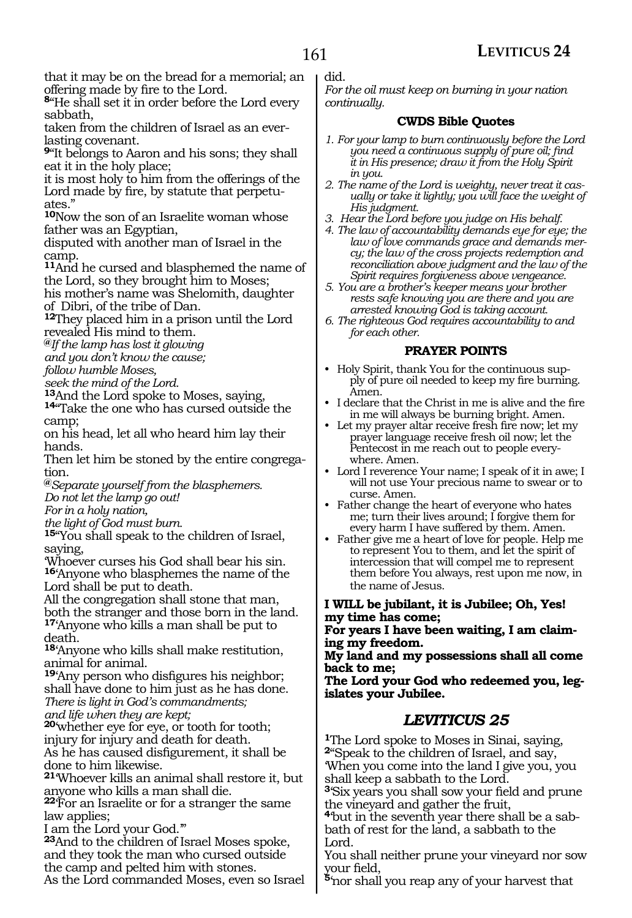that it may be on the bread for a memorial; an offering made by fire to the Lord.

**<sup>8</sup>**"He shall set it in order before the Lord every sabbath,

taken from the children of Israel as an everlasting covenant.

**<sup>9</sup>**"It belongs to Aaron and his sons; they shall eat it in the holy place;

it is most holy to him from the offerings of the Lord made by fire, by statute that perpetuates."

**<sup>10</sup>**Now the son of an Israelite woman whose father was an Egyptian,

disputed with another man of Israel in the camp.

**<sup>11</sup>**And he cursed and blasphemed the name of the Lord, so they brought him to Moses;

his mother's name was Shelomith, daughter of Dibri, of the tribe of Dan.

**<sup>12</sup>**They placed him in a prison until the Lord revealed His mind to them.

**@***If the lamp has lost it glowing* 

*and you don't know the cause;* 

*follow humble Moses,* 

*seek the mind of the Lord.* 

14<sup>"</sup>Take the one who has cursed outside the camp;

on his head, let all who heard him lay their hands.

Then let him be stoned by the entire congregation.

**@***Separate yourself from the blasphemers. Do not let the lamp go out!* 

*For in a holy nation,* 

*the light of God must burn.*

**<sup>15</sup>**"You shall speak to the children of Israel, saying,

'Whoever curses his God shall bear his sin. **<sup>16</sup>**'Anyone who blasphemes the name of the Lord shall be put to death.

All the congregation shall stone that man, both the stranger and those born in the land. **<sup>17</sup>**'Anyone who kills a man shall be put to death.

**<sup>18</sup>**'Anyone who kills shall make restitution, animal for animal.

**<sup>19</sup>**'Any person who disfigures his neighbor; shall have done to him just as he has done. *There is light in God's commandments; and life when they are kept;* 

**<sup>20</sup>**'whether eye for eye, or tooth for tooth; injury for injury and death for death. As he has caused disfigurement, it shall be done to him likewise.

**<sup>21</sup>**'Whoever kills an animal shall restore it, but anyone who kills a man shall die.

**<sup>22</sup>**'For an Israelite or for a stranger the same law applies;

I am the Lord your God.'"

**<sup>23</sup>**And to the children of Israel Moses spoke, and they took the man who cursed outside the camp and pelted him with stones. As the Lord commanded Moses, even so Israel did.

*For the oil must keep on burning in your nation continually.* 

#### **CWDS Bible Quotes**

- *1. For your lamp to burn continuously before the Lord you need a continuous supply of pure oil; find it in His presence; draw it from the Holy Spirit in you.*
- *2. The name of the Lord is weighty, never treat it cas-ually or take it lightly; you will face the weight of His judgment.*
- *3. Hear the Lord before you judge on His behalf.*
- *4. The law of accountability demands eye for eye; the law of love commands grace and demands mercy; the law of the cross projects redemption and reconciliation above judgment and the law of the Spirit requires forgiveness above vengeance.*
- *5. You are a brother's keeper means your brother rests safe knowing you are there and you are arrested knowing God is taking account.*
- *6. The righteous God requires accountability to and for each other.*

#### **PRAYER POINTS**

- Holy Spirit, thank You for the continuous supply of pure oil needed to keep my fire burning. Amen.
- I declare that the Christ in me is alive and the fire in me will always be burning bright. Amen.
- Let my prayer altar receive fresh fire now; let my prayer language receive fresh oil now; let the Pentecost in me reach out to people everywhere. Amen.
- Lord I reverence Your name; I speak of it in awe; I will not use Your precious name to swear or to curse. Amen.
- Father change the heart of everyone who hates me; turn their lives around; I forgive them for every harm I have suffered by them. Amen.
- Father give me a heart of love for people. Help me to represent You to them, and let the spirit of intercession that will compel me to represent them before You always, rest upon me now, in the name of Jesus.

**I Will be jubilant, it is Jubilee; Oh, Yes! my time has come;**

**For years I have been waiting, I am claim- ing my freedom.**

**My land and my possessions shall all come back to me;**

**The Lord your God who redeemed you, leg- islates your Jubilee.**

#### *LEVITICUS 25*

**<sup>1</sup>**The Lord spoke to Moses in Sinai, saying, **<sup>2</sup>**"Speak to the children of Israel, and say, 'When you come into the land I give you, you shall keep a sabbath to the Lord.

**<sup>3</sup>**'Six years you shall sow your field and prune the vineyard and gather the fruit,

**4**'but in the seventh year there shall be a sabbath of rest for the land, a sabbath to the Lord.

You shall neither prune your vineyard nor sow your field,

**<sup>5</sup>**'nor shall you reap any of your harvest that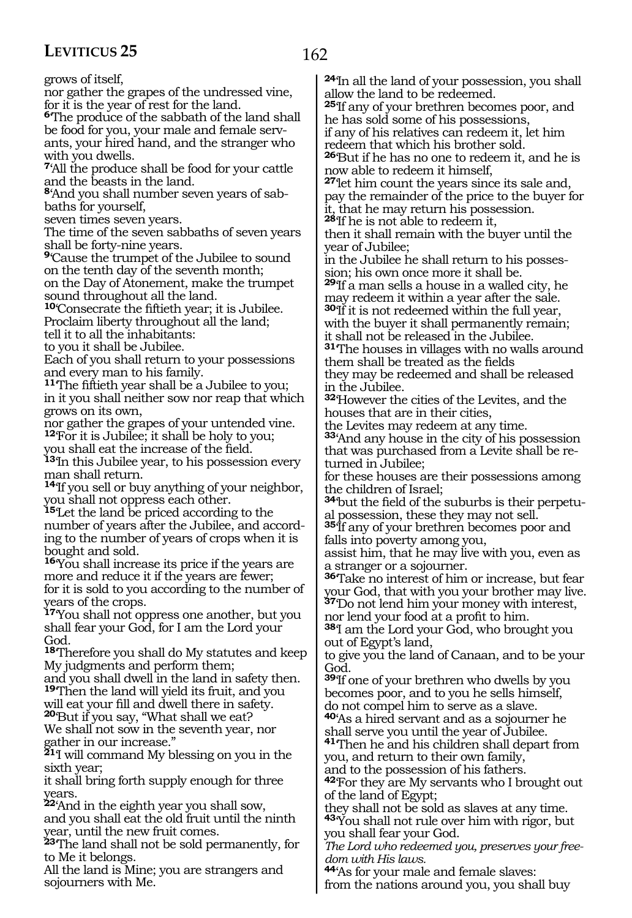162

grows of itself,

nor gather the grapes of the undressed vine, for it is the year of rest for the land.

**<sup>6</sup>**'The produce of the sabbath of the land shall be food for you, your male and female servants, your hired hand, and the stranger who with you dwells.

**<sup>7</sup>**'All the produce shall be food for your cattle and the beasts in the land.

**<sup>8</sup>**'And you shall number seven years of sab- baths for yourself,

seven times seven years.

The time of the seven sabbaths of seven years shall be forty-nine years.

**<sup>9</sup>**'Cause the trumpet of the Jubilee to sound on the tenth day of the seventh month; on the Day of Atonement, make the trumpet

sound throughout all the land.

**<sup>10</sup>**'Consecrate the fiftieth year; it is Jubilee. Proclaim liberty throughout all the land; tell it to all the inhabitants:

to you it shall be Jubilee.

Each of you shall return to your possessions and every man to his family.

**<sup>11</sup>**'The fiftieth year shall be a Jubilee to you; in it you shall neither sow nor reap that which grows on its own,

nor gather the grapes of your untended vine. **<sup>12</sup>**'For it is Jubilee; it shall be holy to you;

you shall eat the increase of the field.

**<sup>13</sup>**'In this Jubilee year, to his possession every man shall return.

**<sup>14</sup>**'If you sell or buy anything of your neighbor, you shall not oppress each other.

**<sup>15</sup>**'Let the land be priced according to the number of years after the Jubilee, and according to the number of years of crops when it is bought and sold.

**<sup>16</sup>**'You shall increase its price if the years are more and reduce it if the years are fewer; for it is sold to you according to the number of years of the crops.

**<sup>17</sup>**'You shall not oppress one another, but you shall fear your God, for I am the Lord your God.

**<sup>18</sup>**'Therefore you shall do My statutes and keep My judgments and perform them;

and you shall dwell in the land in safety then. **<sup>19</sup>**'Then the land will yield its fruit, and you will eat your fill and dwell there in safety.

**<sup>20</sup>**'But if you say, "What shall we eat? We shall not sow in the seventh year, nor gather in our increase."

**<sup>21</sup>**'I will command My blessing on you in the sixth year;

it shall bring forth supply enough for three years.

**<sup>22</sup>**'And in the eighth year you shall sow, and you shall eat the old fruit until the ninth year, until the new fruit comes.

**<sup>23</sup>**'The land shall not be sold permanently, for to Me it belongs.

All the land is Mine; you are strangers and sojourners with Me.

**<sup>24</sup>**'In all the land of your possession, you shall allow the land to be redeemed.

**<sup>25</sup>**'If any of your brethren becomes poor, and he has sold some of his possessions, if any of his relatives can redeem it, let him

redeem that which his brother sold.

**<sup>26</sup>**'But if he has no one to redeem it, and he is now able to redeem it himself,

**<sup>27</sup>**'let him count the years since its sale and, pay the remainder of the price to the buyer for it, that he may return his possession.

**<sup>28</sup>**'If he is not able to redeem it,

then it shall remain with the buyer until the year of Jubilee;

in the Jubilee he shall return to his possession; his own once more it shall be.

**<sup>29</sup>**'If a man sells a house in a walled city, he may redeem it within a year after the sale. **<sup>30</sup>**'If it is not redeemed within the full year, with the buyer it shall permanently remain;

it shall not be released in the Jubilee. **<sup>31</sup>**'The houses in villages with no walls around them shall be treated as the fields they may be redeemed and shall be released in the Jubilee.

**<sup>32</sup>**'However the cities of the Levites, and the houses that are in their cities,

the Levites may redeem at any time.

**<sup>33</sup>**'And any house in the city of his possession that was purchased from a Levite shall be returned in Jubilee;

for these houses are their possessions among the children of Israel;

**<sup>34</sup>**'but the field of the suburbs is their perpetu- al possession, these they may not sell.

**<sup>35</sup>**'If any of your brethren becomes poor and falls into poverty among you,

assist him, that he may live with you, even as a stranger or a sojourner.

**<sup>36</sup>**'Take no interest of him or increase, but fear your God, that with you your brother may live. **<sup>37</sup>**'Do not lend him your money with interest,

nor lend your food at a profit to him. **<sup>38</sup>**'I am the Lord your God, who brought you

out of Egypt's land,

to give you the land of Canaan, and to be your God.

**<sup>39</sup>**'If one of your brethren who dwells by you becomes poor, and to you he sells himself, do not compel him to serve as a slave.

**<sup>40</sup>**'As a hired servant and as a sojourner he shall serve you until the year of Jubilee.

**<sup>41</sup>**'Then he and his children shall depart from you, and return to their own family,

and to the possession of his fathers.

**<sup>42</sup>**'For they are My servants who I brought out of the land of Egypt;

they shall not be sold as slaves at any time. **<sup>43</sup>**'You shall not rule over him with rigor, but you shall fear your God.

*The Lord who redeemed you, preserves your freedom with His laws.*

**<sup>44</sup>**'As for your male and female slaves: from the nations around you, you shall buy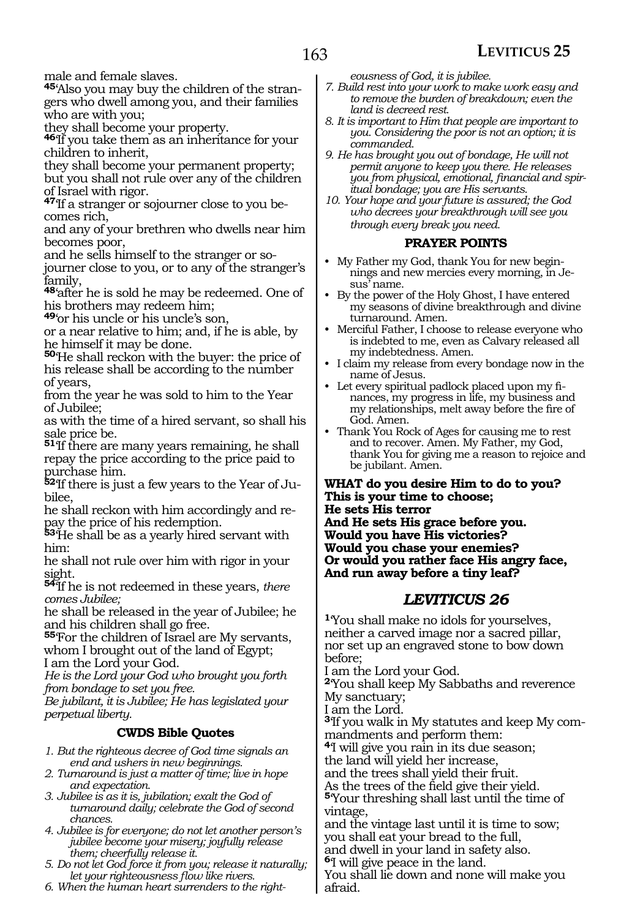male and female slaves.

**45**'Also you may buy the children of the strangers who dwell among you, and their families who are with you;

they shall become your property.

**<sup>46</sup>**'If you take them as an inheritance for your children to inherit,

they shall become your permanent property; but you shall not rule over any of the children of Israel with rigor.

**47**If a stranger or sojourner close to you be-<br>comes rich.

and any of your brethren who dwells near him becomes poor,<br>and he sells himself to the stranger or so-

journer close to you, or to any of the stranger's family,

**<sup>48</sup>**'after he is sold he may be redeemed. One of his brothers may redeem him;

**<sup>49</sup>**'or his uncle or his uncle's son,

or a near relative to him; and, if he is able, by he himself it may be done.

**<sup>50</sup>**'He shall reckon with the buyer: the price of his release shall be according to the number of years,

from the year he was sold to him to the Year of Jubilee;

as with the time of a hired servant, so shall his sale price be.

**<sup>51</sup>**'If there are many years remaining, he shall repay the price according to the price paid to purchase him.

**52**'If there is just a few years to the Year of Jubilee,

he shall reckon with him accordingly and repay the price of his redemption.

**<sup>53</sup>**'He shall be as a yearly hired servant with him:

he shall not rule over him with rigor in your sight.

**<sup>54</sup>**'If he is not redeemed in these years, *there comes Jubilee;*

he shall be released in the year of Jubilee; he and his children shall go free.

**<sup>55</sup>**'For the children of Israel are My servants, whom I brought out of the land of Egypt; I am the Lord your God.

*He is the Lord your God who brought you forth from bondage to set you free.* 

*Be jubilant, it is Jubilee; He has legislated your perpetual liberty.*

#### **CWDS Bible Quotes**

*1. But the righteous decree of God time signals an end and ushers in new beginnings.*

*2. Turnaround is just a matter of time; live in hope and expectation.*

- *3. Jubilee is as it is, jubilation; exalt the God of turnaround daily; celebrate the God of second chances.*
- *4. Jubilee is for everyone; do not let another person's jubilee become your misery; joyfully release them; cheerfully release it.*

*5. Do not let God force it from you; release it naturally; let your righteousness flow like rivers.*

*6. When the human heart surrenders to the right-*

*eousness of God, it is jubilee.*

- *7. Build rest into your work to make work easy and to remove the burden of breakdown; even the land is decreed rest.*
- *8. It is important to Him that people are important to you. Considering the poor is not an option; it is commanded.*
- *9. He has brought you out of bondage, He will not permit anyone to keep you there. He releases you from physical, emotional, financial and spiritual bondage; you are His servants.*
- *10. Your hope and your future is assured; the God who decrees your breakthrough will see you through every break you need.*

#### **PRAYER POINTS**

- My Father my God, thank You for new beginnings and new mercies every morning, in Jesus' name.
- By the power of the Holy Ghost, I have entered my seasons of divine breakthrough and divine turnaround. Amen.
- Merciful Father, I choose to release everyone who is indebted to me, even as Calvary released all my indebtedness. Amen.
- I claim my release from every bondage now in the name of Jesus.
- Let every spiritual padlock placed upon my finances, my progress in life, my business and my relationships, melt away before the fire of God. Amen.
- Thank You Rock of Ages for causing me to rest and to recover. Amen. My Father, my God, thank You for giving me a reason to rejoice and be jubilant. Amen.

**What do you desire Him to do to you? This is your time to choose; He sets His terror And He sets His grace before you. Would you have His victories? Would you chase your enemies? Or would you rather face His angry face, And run away before a tiny leaf?**

#### *LEVITICUS 26*

**<sup>1</sup>**'You shall make no idols for yourselves, neither a carved image nor a sacred pillar, nor set up an engraved stone to bow down before;

I am the Lord your God.

**<sup>2</sup>**'You shall keep My Sabbaths and reverence My sanctuary;

I am the Lord.

afraid.

**3**'If you walk in My statutes and keep My commandments and perform them:

**<sup>4</sup>**'I will give you rain in its due season;

the land will yield her increase,

and the trees shall yield their fruit.

As the trees of the field give their yield. **<sup>5</sup>**'Your threshing shall last until the time of vintage,

and the vintage last until it is time to sow; you shall eat your bread to the full,

and dwell in your land in safety also.

**<sup>6</sup>**'I will give peace in the land. You shall lie down and none will make you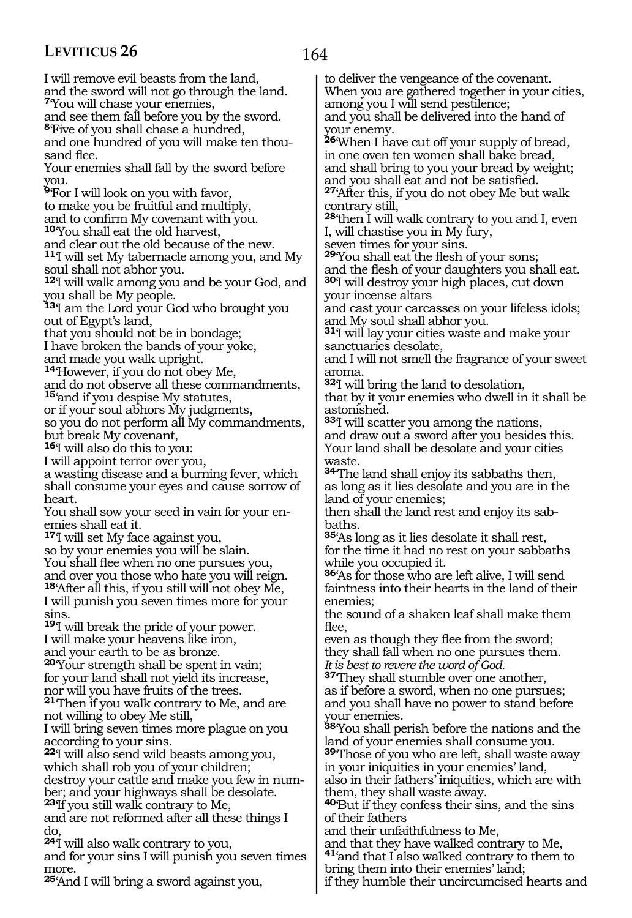164

I will remove evil beasts from the land, and the sword will not go through the land. **<sup>7</sup>**'You will chase your enemies,

and see them fall before you by the sword. **<sup>8</sup>**'Five of you shall chase a hundred,

and one hundred of you will make ten thousand flee.

Your enemies shall fall by the sword before you.

**<sup>9</sup>**'For I will look on you with favor, to make you be fruitful and multiply,

and to confirm My covenant with you.

**<sup>10</sup>**'You shall eat the old harvest,

and clear out the old because of the new.

**<sup>11</sup>**'I will set My tabernacle among you, and My soul shall not abhor you.

**<sup>12</sup>**'I will walk among you and be your God, and you shall be My people.

**<sup>13</sup>**'I am the Lord your God who brought you out of Egypt's land,

that you should not be in bondage;

I have broken the bands of your yoke, and made you walk upright.

**<sup>14</sup>**'However, if you do not obey Me,

and do not observe all these commandments, **<sup>15</sup>**'and if you despise My statutes,

or if your soul abhors My judgments,

so you do not perform all My commandments, but break My covenant,

**<sup>16</sup>**'I will also do this to you:

I will appoint terror over you,

a wasting disease and a burning fever, which shall consume your eyes and cause sorrow of heart.

You shall sow your seed in vain for your enemies shall eat it.

**<sup>17</sup>**'I will set My face against you,

so by your enemies you will be slain. You shall flee when no one pursues you, and over you those who hate you will reign. **<sup>18</sup>**'After all this, if you still will not obey Me, I will punish you seven times more for your sins.

**<sup>19</sup>**'I will break the pride of your power. I will make your heavens like iron, and your earth to be as bronze.

**<sup>20</sup>**'Your strength shall be spent in vain; for your land shall not yield its increase, nor will you have fruits of the trees.

**<sup>21</sup>**'Then if you walk contrary to Me, and are not willing to obey Me still,

I will bring seven times more plague on you according to your sins.

**<sup>22</sup>**'I will also send wild beasts among you, which shall rob you of your children; destroy your cattle and make you few in number; and your highways shall be desolate. **<sup>23</sup>**'If you still walk contrary to Me,

and are not reformed after all these things I do,

**<sup>24</sup>**'I will also walk contrary to you,

and for your sins I will punish you seven times more.

**<sup>25</sup>**'And I will bring a sword against you,

to deliver the vengeance of the covenant. When you are gathered together in your cities, among you I will send pestilence;

and you shall be delivered into the hand of your enemy.

**<sup>26</sup>**'When I have cut off your supply of bread, in one oven ten women shall bake bread, and shall bring to you your bread by weight; and you shall eat and not be satisfied. **<sup>27</sup>**'After this, if you do not obey Me but walk

contrary still,

**<sup>28</sup>**'then I will walk contrary to you and I, even I, will chastise you in My fury,

seven times for your sins.

**<sup>29</sup>**'You shall eat the flesh of your sons; and the flesh of your daughters you shall eat. **<sup>30</sup>**'I will destroy your high places, cut down your incense altars

and cast your carcasses on your lifeless idols; and My soul shall abhor you.

**<sup>31</sup>**'I will lay your cities waste and make your sanctuaries desolate,

and I will not smell the fragrance of your sweet aroma.

**<sup>32</sup>**'I will bring the land to desolation,

that by it your enemies who dwell in it shall be astonished.

**<sup>33</sup>**'I will scatter you among the nations, and draw out a sword after you besides this. Your land shall be desolate and your cities waste.

**<sup>34</sup>**'The land shall enjoy its sabbaths then, as long as it lies desolate and you are in the land of your enemies;

then shall the land rest and enjoy its sabbaths.

**<sup>35</sup>**'As long as it lies desolate it shall rest, for the time it had no rest on your sabbaths while you occupied it.

**<sup>36</sup>**'As for those who are left alive, I will send faintness into their hearts in the land of their enemies;

the sound of a shaken leaf shall make them flee,

even as though they flee from the sword; they shall fall when no one pursues them. *It is best to revere the word of God.*

**<sup>37</sup>**'They shall stumble over one another, as if before a sword, when no one pursues; and you shall have no power to stand before your enemies.

**<sup>38</sup>**'You shall perish before the nations and the land of your enemies shall consume you.

**<sup>39</sup>**'Those of you who are left, shall waste away in your iniquities in your enemies' land, also in their fathers' iniquities, which are with

them, they shall waste away. **<sup>40</sup>**'But if they confess their sins, and the sins of their fathers

and their unfaithfulness to Me,

and that they have walked contrary to Me, **<sup>41</sup>**'and that I also walked contrary to them to

bring them into their enemies' land;

if they humble their uncircumcised hearts and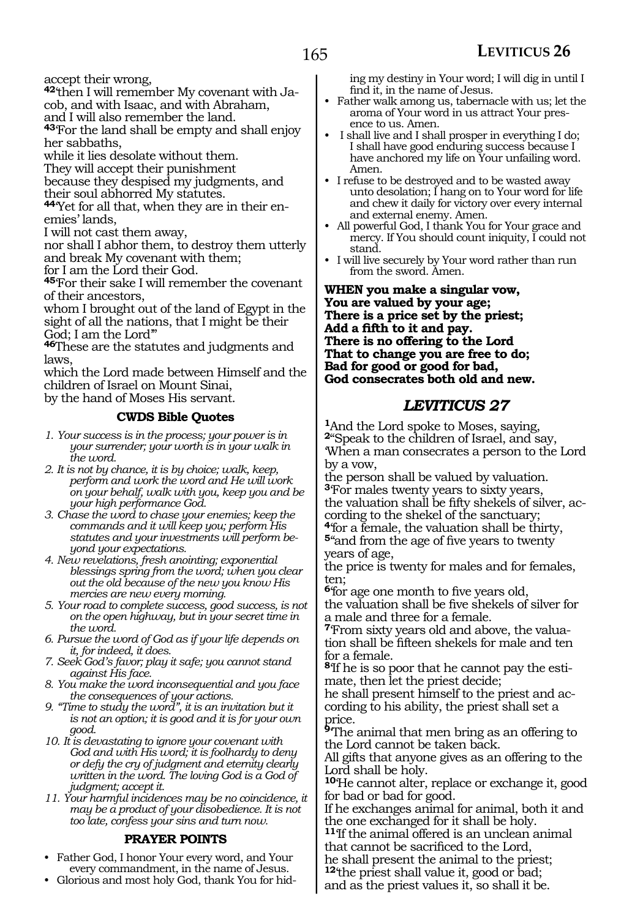accept their wrong,

**42**'then I will remember My covenant with Ja-

cob, and with Isaac, and with Abraham,

and I will also remember the land.

**<sup>43</sup>**'For the land shall be empty and shall enjoy her sabbaths,

while it lies desolate without them.

They will accept their punishment

because they despised my judgments, and

their soul abhorred My statutes.

**<sup>44</sup>**'Yet for all that, when they are in their en- emies' lands,

I will not cast them away,

nor shall I abhor them, to destroy them utterly and break My covenant with them;

for I am the Lord their God.

**<sup>45</sup>**'For their sake I will remember the covenant of their ancestors,

whom I brought out of the land of Egypt in the sight of all the nations, that I might be their God; I am the Lord'"

**<sup>46</sup>**These are the statutes and judgments and laws,

which the Lord made between Himself and the children of Israel on Mount Sinai, by the hand of Moses His servant.

#### **CWDS Bible Quotes**

- *1. Your success is in the process; your power is in your surrender; your worth is in your walk in the word.*
- *2. It is not by chance, it is by choice; walk, keep, perform and work the word and He will work on your behalf, walk with you, keep you and be your high performance God.*
- *3. Chase the word to chase your enemies; keep the commands and it will keep you; perform His statutes and your investments will perform beyond your expectations.*
- *4. New revelations, fresh anointing; exponential blessings spring from the word; when you clear out the old because of the new you know His mercies are new every morning.*
- *5. Your road to complete success, good success, is not on the open highway, but in your secret time in the word.*
- *6. Pursue the word of God as if your life depends on it, for indeed, it does.*
- *7. Seek God's favor; play it safe; you cannot stand against His face.*
- *8. You make the word inconsequential and you face the consequences of your actions.*
- *9. "Time to study the word", it is an invitation but it is not an option; it is good and it is for your own good.*
- *10. It is devastating to ignore your covenant with God and with His word; it is foolhardy to deny or defy the cry of judgment and eternity clearly written in the word. The loving God is a God of judgment; accept it.*

*11. Your harmful incidences may be no coincidence, it may be a product of your disobedience. It is not too late, confess your sins and turn now.*

#### **PRAYER POINTS**

- Father God, I honor Your every word, and Your every commandment, in the name of Jesus.
- Glorious and most holy God, thank You for hid-

ing my destiny in Your word; I will dig in until I find it, in the name of Jesus.

- Father walk among us, tabernacle with us; let the aroma of Your word in us attract Your presence to us. Amen.
- I shall live and I shall prosper in everything I do; I shall have good enduring success because I have anchored my life on Your unfailing word. Amen.
- I refuse to be destroyed and to be wasted away unto desolation; I hang on to Your word for life and chew it daily for victory over every internal and external enemy. Amen.
- All powerful God, I thank You for Your grace and mercy. If You should count iniquity, I could not stand.
- I will live securely by Your word rather than run from the sword. Amen.

**When you make a singular vow, You are valued by your age; There is a price set by the priest; Add a fifth to it and pay. There is no offering to the Lord That to change you are free to do; Bad for good or good for bad, God consecrates both old and new.**

#### *LEVITICUS 27*

**<sup>1</sup>**And the Lord spoke to Moses, saying, **<sup>2</sup>**"Speak to the children of Israel, and say, 'When a man consecrates a person to the Lord by a vow,

the person shall be valued by valuation. **<sup>3</sup>**'For males twenty years to sixty years, the valuation shall be fifty shekels of silver, according to the shekel of the sanctuary;

**<sup>4</sup>**'for a female, the valuation shall be thirty, **<sup>5</sup>**''and from the age of five years to twenty years of age,

the price is twenty for males and for females, ten;

**<sup>6</sup>**'for age one month to five years old, the valuation shall be five shekels of silver for a male and three for a female.

**7**'From sixty years old and above, the valuation shall be fifteen shekels for male and ten for a female.

**8**'If he is so poor that he cannot pay the estimate, then let the priest decide;

he shall present himself to the priest and according to his ability, the priest shall set a price.

**<sup>9</sup>**'The animal that men bring as an offering to the Lord cannot be taken back.

All gifts that anyone gives as an offering to the Lord shall be holy.

**<sup>10</sup>**'He cannot alter, replace or exchange it, good for bad or bad for good.

If he exchanges animal for animal, both it and the one exchanged for it shall be holy.

**<sup>11</sup>**'If the animal offered is an unclean animal that cannot be sacrificed to the Lord,

he shall present the animal to the priest; **<sup>12</sup>**'the priest shall value it, good or bad;

and as the priest values it, so shall it be.